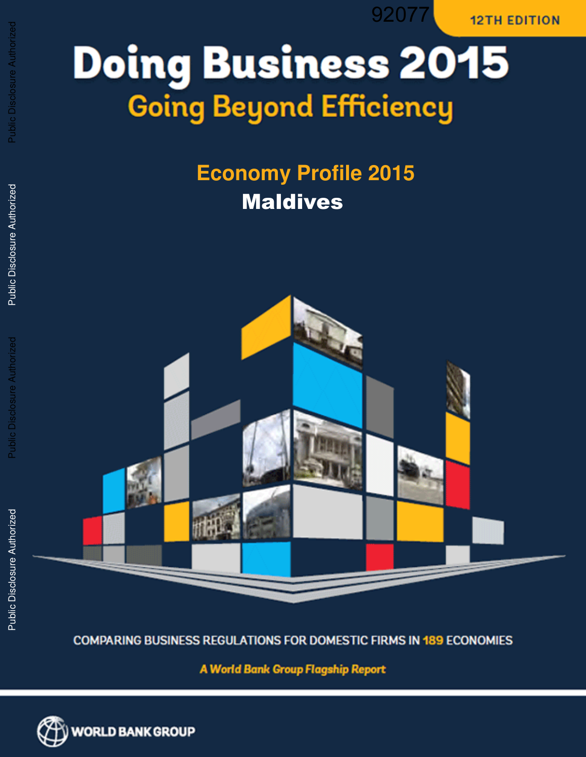92077

**12TH EDITION** 

# **Doing Business 2015 Going Beyond Efficiency**

# **Economy Profile 2015**  Maldives



**COMPARING BUSINESS REGULATIONS FOR DOMESTIC FIRMS IN 189 ECONOMIES** 

**A World Bank Group Flagship Report** 



Public Disclosure Authorized

**Public Disclosure Authorized** 

Public Disclosure Authorized

Public Disclosure Authorized

Public Disclosure Authorized

Public Disclosure Authorized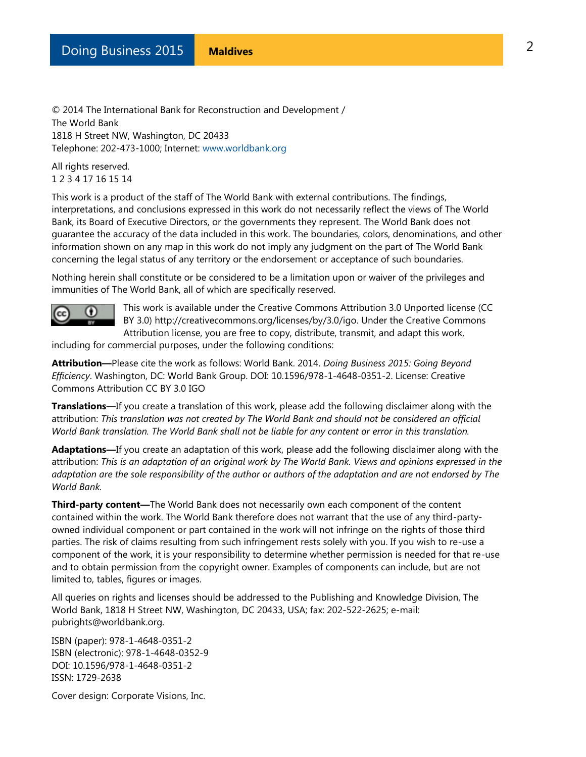© 2014 The International Bank for Reconstruction and Development / The World Bank 1818 H Street NW, Washington, DC 20433 Telephone: 202-473-1000; Internet: [www.worldbank.org](http://www.worldbank.org/)

All rights reserved. 1 2 3 4 17 16 15 14

This work is a product of the staff of The World Bank with external contributions. The findings, interpretations, and conclusions expressed in this work do not necessarily reflect the views of The World Bank, its Board of Executive Directors, or the governments they represent. The World Bank does not guarantee the accuracy of the data included in this work. The boundaries, colors, denominations, and other information shown on any map in this work do not imply any judgment on the part of The World Bank concerning the legal status of any territory or the endorsement or acceptance of such boundaries.

Nothing herein shall constitute or be considered to be a limitation upon or waiver of the privileges and immunities of The World Bank, all of which are specifically reserved.



This work is available under the Creative Commons Attribution 3.0 Unported license (CC BY 3.0) http://creativecommons.org/licenses/by/3.0/igo. Under the Creative Commons Attribution license, you are free to copy, distribute, transmit, and adapt this work,

including for commercial purposes, under the following conditions:

**Attribution—**Please cite the work as follows: World Bank. 2014. *Doing Business 2015: Going Beyond Efficiency*. Washington, DC: World Bank Group. DOI: 10.1596/978-1-4648-0351-2. License: Creative Commons Attribution CC BY 3.0 IGO

**Translations**—If you create a translation of this work, please add the following disclaimer along with the attribution: *This translation was not created by The World Bank and should not be considered an official World Bank translation. The World Bank shall not be liable for any content or error in this translation.* 

**Adaptations—**If you create an adaptation of this work, please add the following disclaimer along with the attribution: *This is an adaptation of an original work by The World Bank. Views and opinions expressed in the adaptation are the sole responsibility of the author or authors of the adaptation and are not endorsed by The World Bank.* 

**Third-party content—**The World Bank does not necessarily own each component of the content contained within the work. The World Bank therefore does not warrant that the use of any third-partyowned individual component or part contained in the work will not infringe on the rights of those third parties. The risk of claims resulting from such infringement rests solely with you. If you wish to re-use a component of the work, it is your responsibility to determine whether permission is needed for that re-use and to obtain permission from the copyright owner. Examples of components can include, but are not limited to, tables, figures or images.

All queries on rights and licenses should be addressed to the Publishing and Knowledge Division, The World Bank, 1818 H Street NW, Washington, DC 20433, USA; fax: 202-522-2625; e-mail: pubrights@worldbank.org.

ISBN (paper): 978-1-4648-0351-2 ISBN (electronic): 978-1-4648-0352-9 DOI: 10.1596/978-1-4648-0351-2 ISSN: 1729-2638

Cover design: Corporate Visions, Inc.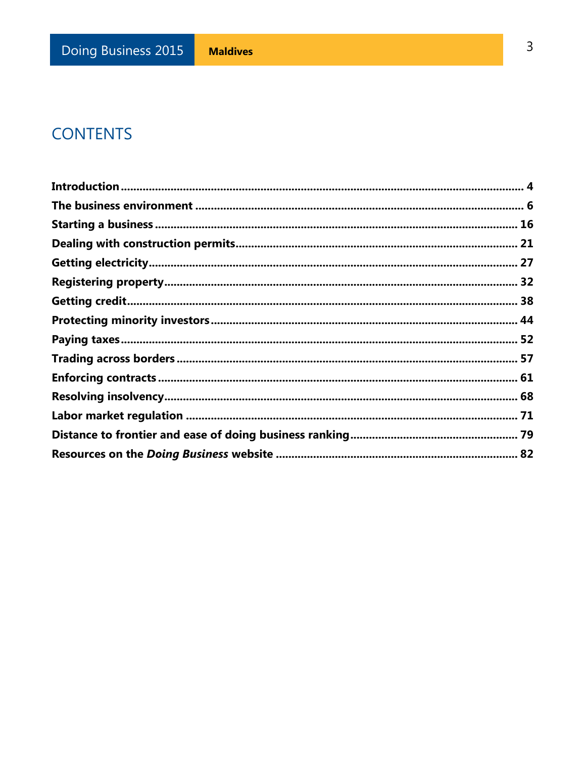### **CONTENTS**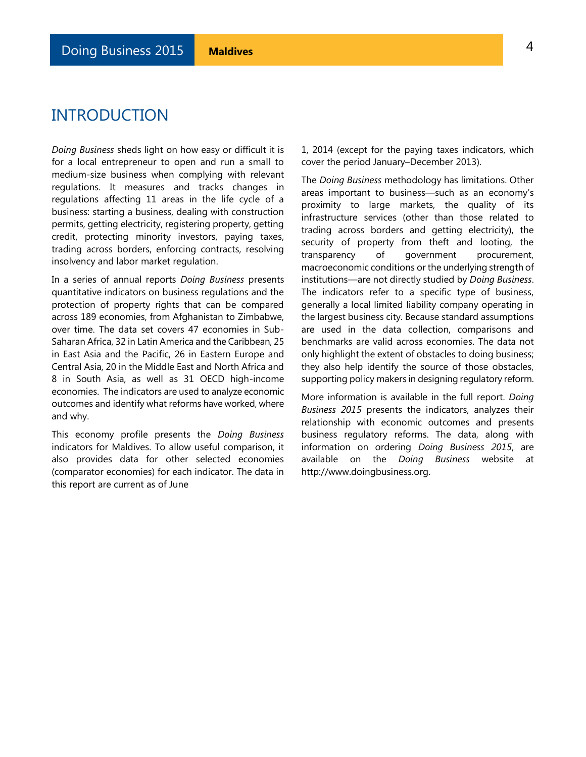### <span id="page-3-0"></span>INTRODUCTION

*Doing Business* sheds light on how easy or difficult it is for a local entrepreneur to open and run a small to medium-size business when complying with relevant regulations. It measures and tracks changes in regulations affecting 11 areas in the life cycle of a business: starting a business, dealing with construction permits, getting electricity, registering property, getting credit, protecting minority investors, paying taxes, trading across borders, enforcing contracts, resolving insolvency and labor market regulation.

In a series of annual reports *Doing Business* presents quantitative indicators on business regulations and the protection of property rights that can be compared across 189 economies, from Afghanistan to Zimbabwe, over time. The data set covers 47 economies in Sub-Saharan Africa, 32 in Latin America and the Caribbean, 25 in East Asia and the Pacific, 26 in Eastern Europe and Central Asia, 20 in the Middle East and North Africa and 8 in South Asia, as well as 31 OECD high-income economies. The indicators are used to analyze economic outcomes and identify what reforms have worked, where and why.

This economy profile presents the *Doing Business* indicators for Maldives. To allow useful comparison, it also provides data for other selected economies (comparator economies) for each indicator. The data in this report are current as of June

1, 2014 (except for the paying taxes indicators, which cover the period January–December 2013).

The *Doing Business* methodology has limitations. Other areas important to business—such as an economy's proximity to large markets, the quality of its infrastructure services (other than those related to trading across borders and getting electricity), the security of property from theft and looting, the transparency of government procurement, macroeconomic conditions or the underlying strength of institutions—are not directly studied by *Doing Business*. The indicators refer to a specific type of business, generally a local limited liability company operating in the largest business city. Because standard assumptions are used in the data collection, comparisons and benchmarks are valid across economies. The data not only highlight the extent of obstacles to doing business; they also help identify the source of those obstacles, supporting policy makers in designing regulatory reform.

More information is available in the full report. *Doing Business 2015* presents the indicators, analyzes their relationship with economic outcomes and presents business regulatory reforms. The data, along with information on ordering *Doing Business 2015*, are available on the *Doing Business* website at http://www.doingbusiness.org.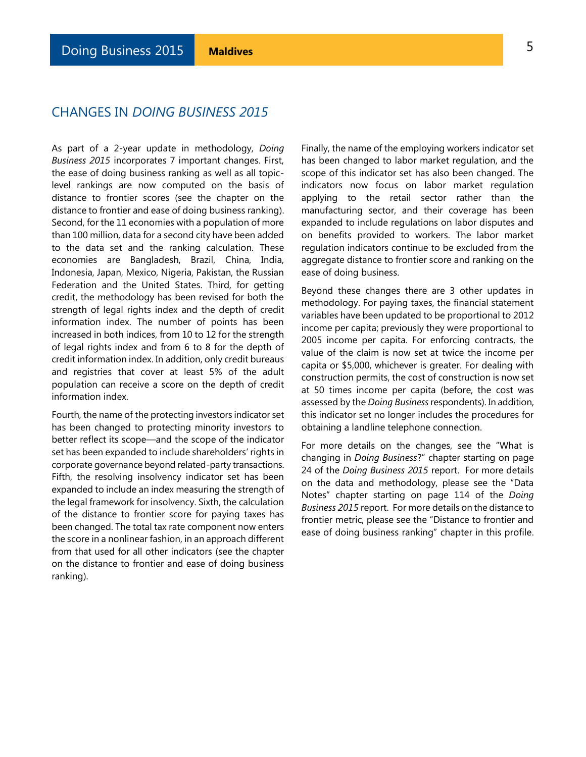### CHANGES IN *DOING BUSINESS 2015*

As part of a 2-year update in methodology, *Doing Business 2015* incorporates 7 important changes. First, the ease of doing business ranking as well as all topiclevel rankings are now computed on the basis of distance to frontier scores (see the chapter on the distance to frontier and ease of doing business ranking). Second, for the 11 economies with a population of more than 100 million, data for a second city have been added to the data set and the ranking calculation. These economies are Bangladesh, Brazil, China, India, Indonesia, Japan, Mexico, Nigeria, Pakistan, the Russian Federation and the United States. Third, for getting credit, the methodology has been revised for both the strength of legal rights index and the depth of credit information index. The number of points has been increased in both indices, from 10 to 12 for the strength of legal rights index and from 6 to 8 for the depth of credit information index. In addition, only credit bureaus and registries that cover at least 5% of the adult population can receive a score on the depth of credit information index.

Fourth, the name of the protecting investors indicator set has been changed to protecting minority investors to better reflect its scope—and the scope of the indicator set has been expanded to include shareholders' rights in corporate governance beyond related-party transactions. Fifth, the resolving insolvency indicator set has been expanded to include an index measuring the strength of the legal framework for insolvency. Sixth, the calculation of the distance to frontier score for paying taxes has been changed. The total tax rate component now enters the score in a nonlinear fashion, in an approach different from that used for all other indicators (see the chapter on the distance to frontier and ease of doing business ranking).

Finally, the name of the employing workers indicator set has been changed to labor market regulation, and the scope of this indicator set has also been changed. The indicators now focus on labor market regulation applying to the retail sector rather than the manufacturing sector, and their coverage has been expanded to include regulations on labor disputes and on benefits provided to workers. The labor market regulation indicators continue to be excluded from the aggregate distance to frontier score and ranking on the ease of doing business.

Beyond these changes there are 3 other updates in methodology. For paying taxes, the financial statement variables have been updated to be proportional to 2012 income per capita; previously they were proportional to 2005 income per capita. For enforcing contracts, the value of the claim is now set at twice the income per capita or \$5,000, whichever is greater. For dealing with construction permits, the cost of construction is now set at 50 times income per capita (before, the cost was assessed by the *Doing Business* respondents). In addition, this indicator set no longer includes the procedures for obtaining a landline telephone connection.

For more details on the changes, see the "What is changing in *Doing Business*?" chapter starting on page 24 of the *Doing Business 2015* report. For more details on the data and methodology, please see the "Data Notes" chapter starting on page 114 of the *Doing Business 2015* report. For more details on the distance to frontier metric, please see the "Distance to frontier and ease of doing business ranking" chapter in this profile.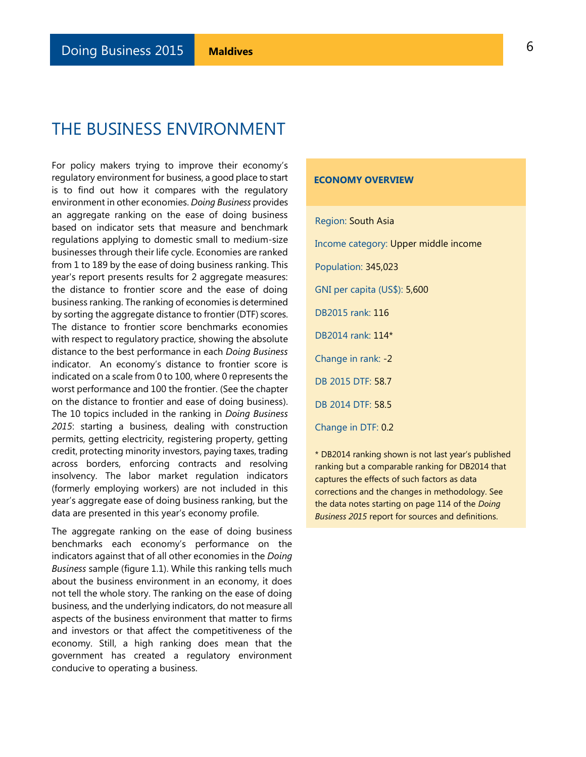<span id="page-5-0"></span>For policy makers trying to improve their economy's regulatory environment for business, a good place to start is to find out how it compares with the regulatory environment in other economies. *Doing Business* provides an aggregate ranking on the ease of doing business based on indicator sets that measure and benchmark regulations applying to domestic small to medium-size businesses through their life cycle. Economies are ranked from 1 to 189 by the ease of doing business ranking. This year's report presents results for 2 aggregate measures: the distance to frontier score and the ease of doing business ranking. The ranking of economies is determined by sorting the aggregate distance to frontier (DTF) scores. The distance to frontier score benchmarks economies with respect to regulatory practice, showing the absolute distance to the best performance in each *Doing Business*  indicator. An economy's distance to frontier score is indicated on a scale from 0 to 100, where 0 represents the worst performance and 100 the frontier. (See the chapter on the distance to frontier and ease of doing business). The 10 topics included in the ranking in *Doing Business 2015*: starting a business, dealing with construction permits, getting electricity, registering property, getting credit, protecting minority investors, paying taxes, trading across borders, enforcing contracts and resolving insolvency. The labor market regulation indicators (formerly employing workers) are not included in this year's aggregate ease of doing business ranking, but the data are presented in this year's economy profile.

The aggregate ranking on the ease of doing business benchmarks each economy's performance on the indicators against that of all other economies in the *Doing Business* sample (figure 1.1). While this ranking tells much about the business environment in an economy, it does not tell the whole story. The ranking on the ease of doing business, and the underlying indicators, do not measure all aspects of the business environment that matter to firms and investors or that affect the competitiveness of the economy. Still, a high ranking does mean that the government has created a regulatory environment conducive to operating a business.

#### **ECONOMY OVERVIEW**

Region: South Asia

Income category: Upper middle income

Population: 345,023

GNI per capita (US\$): 5,600

DB2015 rank: 116

DB2014 rank: 114\*

Change in rank: -2

DB 2015 DTF: 58.7

DB 2014 DTF: 58.5

Change in DTF: 0.2

\* DB2014 ranking shown is not last year's published ranking but a comparable ranking for DB2014 that captures the effects of such factors as data corrections and the changes in methodology. See the data notes starting on page 114 of the *Doing Business 2015* report for sources and definitions.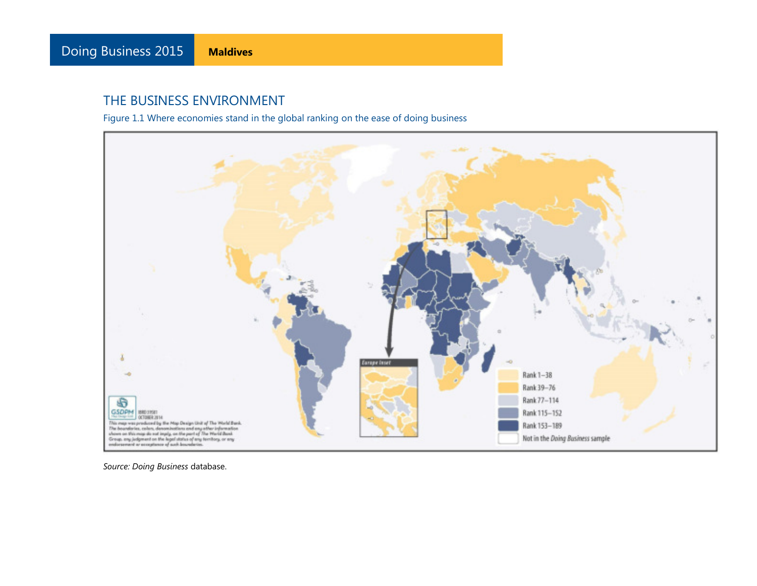Figure 1.1 Where economies stand in the global ranking on the ease of doing business

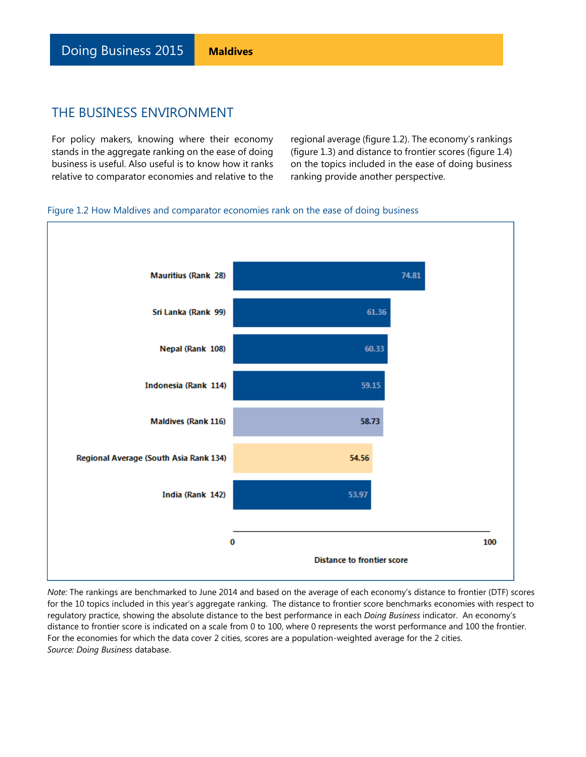Doing Business 2015 **Maldives**

### THE BUSINESS ENVIRONMENT

For policy makers, knowing where their economy stands in the aggregate ranking on the ease of doing business is useful. Also useful is to know how it ranks relative to comparator economies and relative to the regional average (figure 1.2). The economy's rankings (figure 1.3) and distance to frontier scores (figure 1.4) on the topics included in the ease of doing business ranking provide another perspective.

#### Figure 1.2 How Maldives and comparator economies rank on the ease of doing business



*Note:* The rankings are benchmarked to June 2014 and based on the average of each economy's distance to frontier (DTF) scores for the 10 topics included in this year's aggregate ranking. The distance to frontier score benchmarks economies with respect to regulatory practice, showing the absolute distance to the best performance in each *Doing Business* indicator. An economy's distance to frontier score is indicated on a scale from 0 to 100, where 0 represents the worst performance and 100 the frontier. For the economies for which the data cover 2 cities, scores are a population-weighted average for the 2 cities. *Source: Doing Business* database.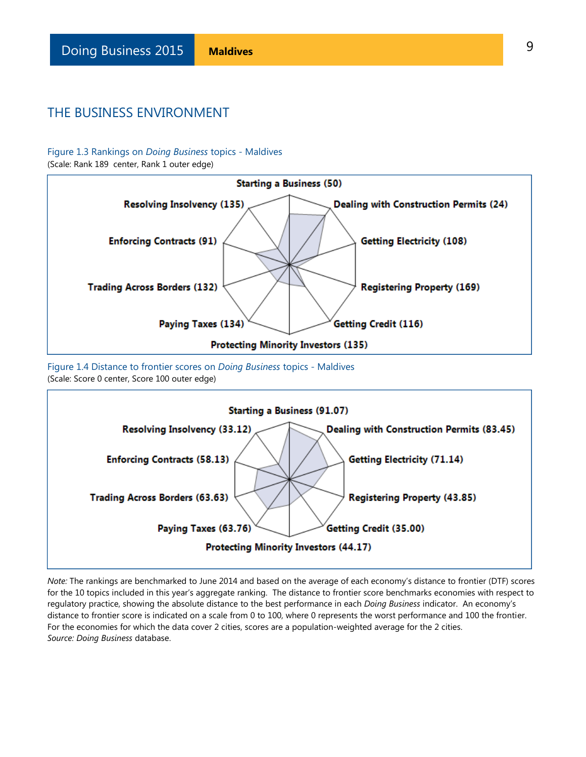#### Figure 1.3 Rankings on *Doing Business* topics - Maldives

(Scale: Rank 189 center, Rank 1 outer edge)



Figure 1.4 Distance to frontier scores on *Doing Business* topics - Maldives (Scale: Score 0 center, Score 100 outer edge)



*Note:* The rankings are benchmarked to June 2014 and based on the average of each economy's distance to frontier (DTF) scores for the 10 topics included in this year's aggregate ranking. The distance to frontier score benchmarks economies with respect to regulatory practice, showing the absolute distance to the best performance in each *Doing Business* indicator. An economy's distance to frontier score is indicated on a scale from 0 to 100, where 0 represents the worst performance and 100 the frontier. For the economies for which the data cover 2 cities, scores are a population-weighted average for the 2 cities. *Source: Doing Business* database.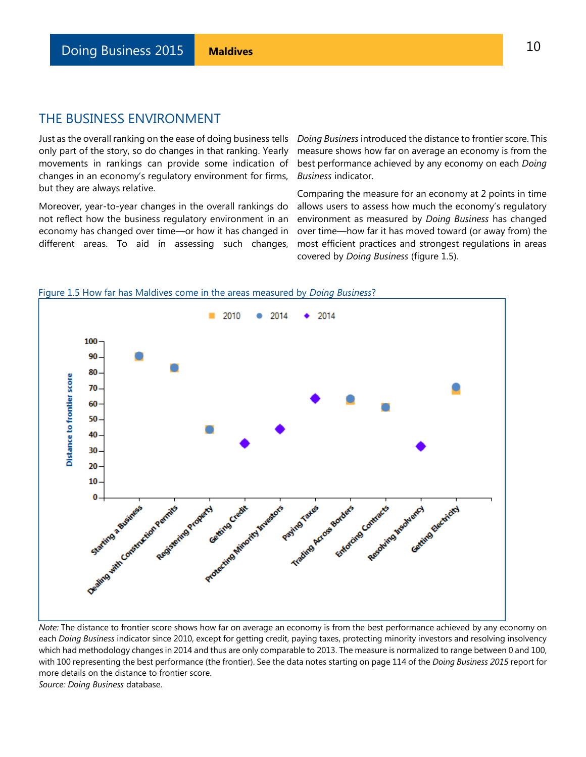Just as the overall ranking on the ease of doing business tells only part of the story, so do changes in that ranking. Yearly movements in rankings can provide some indication of changes in an economy's regulatory environment for firms, but they are always relative.

Moreover, year-to-year changes in the overall rankings do not reflect how the business regulatory environment in an economy has changed over time—or how it has changed in different areas. To aid in assessing such changes,

*Doing Business* introduced the distance to frontier score. This measure shows how far on average an economy is from the best performance achieved by any economy on each *Doing Business* indicator.

Comparing the measure for an economy at 2 points in time allows users to assess how much the economy's regulatory environment as measured by *Doing Business* has changed over time—how far it has moved toward (or away from) the most efficient practices and strongest regulations in areas covered by *Doing Business* (figure 1.5).



*Note:* The distance to frontier score shows how far on average an economy is from the best performance achieved by any economy on each *Doing Business* indicator since 2010, except for getting credit, paying taxes, protecting minority investors and resolving insolvency which had methodology changes in 2014 and thus are only comparable to 2013. The measure is normalized to range between 0 and 100, with 100 representing the best performance (the frontier). See the data notes starting on page 114 of the *Doing Business 2015* report for more details on the distance to frontier score.

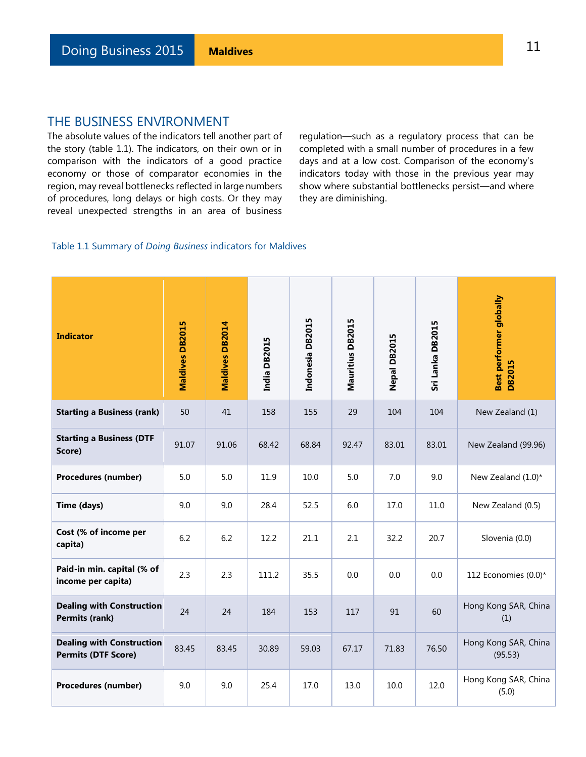The absolute values of the indicators tell another part of the story (table 1.1). The indicators, on their own or in comparison with the indicators of a good practice economy or those of comparator economies in the region, may reveal bottlenecks reflected in large numbers of procedures, long delays or high costs. Or they may reveal unexpected strengths in an area of business

regulation—such as a regulatory process that can be completed with a small number of procedures in a few days and at a low cost. Comparison of the economy's indicators today with those in the previous year may show where substantial bottlenecks persist—and where they are diminishing.

#### Table 1.1 Summary of *Doing Business* indicators for Maldives

| <b>Indicator</b>                                               | <b>Maldives DB2015</b> | Maldives DB2014 | India DB2015 | Indonesia DB2015 | Mauritius DB2015 | Nepal DB2015 | Sri Lanka DB2015 | Best performer globally<br><b>DB2015</b> |
|----------------------------------------------------------------|------------------------|-----------------|--------------|------------------|------------------|--------------|------------------|------------------------------------------|
| <b>Starting a Business (rank)</b>                              | 50                     | 41              | 158          | 155              | 29               | 104          | 104              | New Zealand (1)                          |
| <b>Starting a Business (DTF</b><br>Score)                      | 91.07                  | 91.06           | 68.42        | 68.84            | 92.47            | 83.01        | 83.01            | New Zealand (99.96)                      |
| Procedures (number)                                            | 5.0                    | 5.0             | 11.9         | 10.0             | 5.0              | 7.0          | 9.0              | New Zealand (1.0)*                       |
| Time (days)                                                    | 9.0                    | 9.0             | 28.4         | 52.5             | 6.0              | 17.0         | 11.0             | New Zealand (0.5)                        |
| Cost (% of income per<br>capita)                               | 6.2                    | 6.2             | 12.2         | 21.1             | 2.1              | 32.2         | 20.7             | Slovenia (0.0)                           |
| Paid-in min. capital (% of<br>income per capita)               | 2.3                    | 2.3             | 111.2        | 35.5             | 0.0              | 0.0          | 0.0              | 112 Economies (0.0)*                     |
| <b>Dealing with Construction</b><br><b>Permits (rank)</b>      | 24                     | 24              | 184          | 153              | 117              | 91           | 60               | Hong Kong SAR, China<br>(1)              |
| <b>Dealing with Construction</b><br><b>Permits (DTF Score)</b> | 83.45                  | 83.45           | 30.89        | 59.03            | 67.17            | 71.83        | 76.50            | Hong Kong SAR, China<br>(95.53)          |
| Procedures (number)                                            | 9.0                    | 9.0             | 25.4         | 17.0             | 13.0             | 10.0         | 12.0             | Hong Kong SAR, China<br>(5.0)            |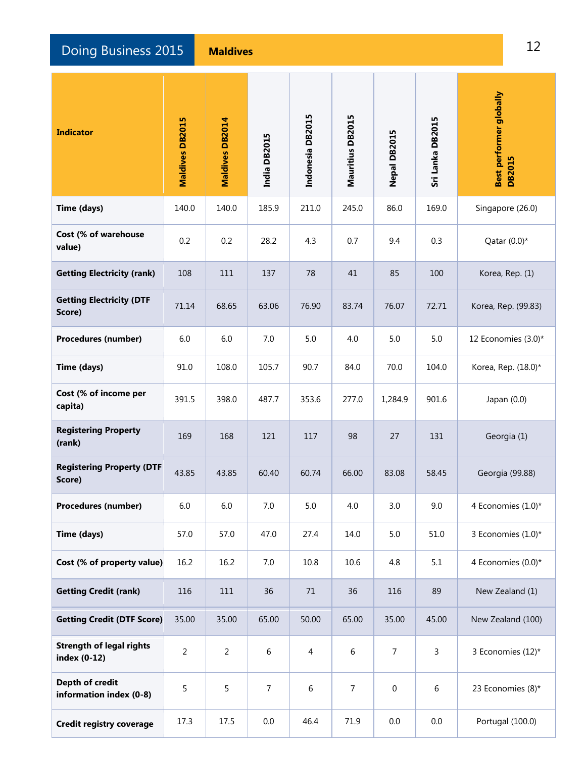**Doing Business 2015 Maldives** 12 **Maldives** 12

| <b>Indicator</b>                                | Maldives DB2015 | Maldives DB2014 | India DB2015   | Indonesia DB2015 | Mauritius DB2015 | <b>Nepal DB2015</b> | Sri Lanka DB2015 | Best performer globally<br><b>DB2015</b> |
|-------------------------------------------------|-----------------|-----------------|----------------|------------------|------------------|---------------------|------------------|------------------------------------------|
| Time (days)                                     | 140.0           | 140.0           | 185.9          | 211.0            | 245.0            | 86.0                | 169.0            | Singapore (26.0)                         |
| Cost (% of warehouse<br>value)                  | 0.2             | 0.2             | 28.2           | 4.3              | 0.7              | 9.4                 | 0.3              | Qatar $(0.0)^*$                          |
| <b>Getting Electricity (rank)</b>               | 108             | 111             | 137            | 78               | 41               | 85                  | 100              | Korea, Rep. (1)                          |
| <b>Getting Electricity (DTF</b><br>Score)       | 71.14           | 68.65           | 63.06          | 76.90            | 83.74            | 76.07               | 72.71            | Korea, Rep. (99.83)                      |
| Procedures (number)                             | 6.0             | 6.0             | 7.0            | 5.0              | 4.0              | 5.0                 | 5.0              | 12 Economies (3.0)*                      |
| Time (days)                                     | 91.0            | 108.0           | 105.7          | 90.7             | 84.0             | 70.0                | 104.0            | Korea, Rep. (18.0)*                      |
| Cost (% of income per<br>capita)                | 391.5           | 398.0           | 487.7          | 353.6            | 277.0            | 1,284.9             | 901.6            | Japan $(0.0)$                            |
| <b>Registering Property</b><br>(rank)           | 169             | 168             | 121            | 117              | 98               | 27                  | 131              | Georgia (1)                              |
| <b>Registering Property (DTF</b><br>Score)      | 43.85           | 43.85           | 60.40          | 60.74            | 66.00            | 83.08               | 58.45            | Georgia (99.88)                          |
| Procedures (number)                             | 6.0             | $6.0\,$         | $7.0\,$        | 5.0              | 4.0              | 3.0                 | 9.0              | 4 Economies (1.0)*                       |
| Time (days)                                     | 57.0            | 57.0            | 47.0           | 27.4             | 14.0             | 5.0                 | 51.0             | 3 Economies (1.0)*                       |
| Cost (% of property value)                      | 16.2            | 16.2            | 7.0            | 10.8             | 10.6             | 4.8                 | 5.1              | 4 Economies (0.0)*                       |
| <b>Getting Credit (rank)</b>                    | 116             | 111             | 36             | 71               | 36               | 116                 | 89               | New Zealand (1)                          |
| <b>Getting Credit (DTF Score)</b>               | 35.00           | 35.00           | 65.00          | 50.00            | 65.00            | 35.00               | 45.00            | New Zealand (100)                        |
| <b>Strength of legal rights</b><br>index (0-12) | $\overline{2}$  | $\overline{2}$  | 6              | 4                | 6                | $\overline{7}$      | $\overline{3}$   | 3 Economies (12)*                        |
| Depth of credit<br>information index (0-8)      | 5               | 5               | $\overline{7}$ | 6                | $\overline{7}$   | $\boldsymbol{0}$    | $\sqrt{6}$       | 23 Economies (8)*                        |
| <b>Credit registry coverage</b>                 | 17.3            | 17.5            | 0.0            | 46.4             | 71.9             | 0.0                 | $0.0\,$          | Portugal (100.0)                         |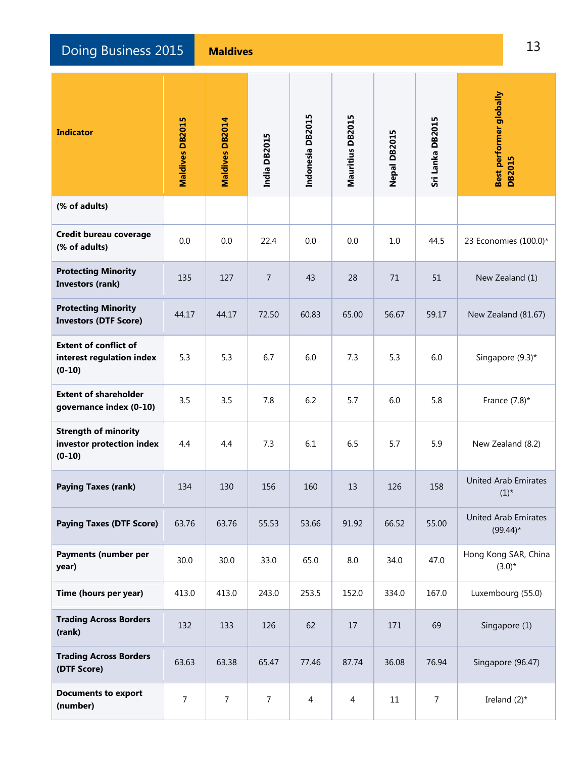**Doing Business 2015 Maldives** 13 **Maldives** 13

| <b>Indicator</b>                                                      | <b>Maldives DB2015</b> | Maldives DB2014  | India DB2015 | Indonesia DB2015 | Mauritius DB2015 | <b>Nepal DB2015</b> | Sri Lanka DB2015 | <b>Best performer globally</b><br><b>DB2015</b> |
|-----------------------------------------------------------------------|------------------------|------------------|--------------|------------------|------------------|---------------------|------------------|-------------------------------------------------|
| (% of adults)                                                         |                        |                  |              |                  |                  |                     |                  |                                                 |
| Credit bureau coverage<br>(% of adults)                               | 0.0                    | 0.0              | 22.4         | 0.0              | 0.0              | 1.0                 | 44.5             | 23 Economies (100.0)*                           |
| <b>Protecting Minority</b><br>Investors (rank)                        | 135                    | 127              | 7            | 43               | 28               | 71                  | 51               | New Zealand (1)                                 |
| <b>Protecting Minority</b><br><b>Investors (DTF Score)</b>            | 44.17                  | 44.17            | 72.50        | 60.83            | 65.00            | 56.67               | 59.17            | New Zealand (81.67)                             |
| <b>Extent of conflict of</b><br>interest regulation index<br>$(0-10)$ | 5.3                    | 5.3              | 6.7          | 6.0              | 7.3              | 5.3                 | 6.0              | Singapore (9.3)*                                |
| <b>Extent of shareholder</b><br>governance index (0-10)               | 3.5                    | 3.5              | 7.8          | 6.2              | 5.7              | 6.0                 | 5.8              | France $(7.8)$ *                                |
| <b>Strength of minority</b><br>investor protection index<br>$(0-10)$  | 4.4                    | 4.4              | 7.3          | 6.1              | 6.5              | 5.7                 | 5.9              | New Zealand (8.2)                               |
| <b>Paying Taxes (rank)</b>                                            | 134                    | 130              | 156          | 160              | 13               | 126                 | 158              | <b>United Arab Emirates</b><br>$(1)^*$          |
| <b>Paying Taxes (DTF Score)</b>                                       | 63.76                  | 63.76            | 55.53        | 53.66            | 91.92            | 66.52               | 55.00            | <b>United Arab Emirates</b><br>$(99.44)^*$      |
| Payments (number per<br>year)                                         | 30.0                   | 30.0             | 33.0         | 65.0             | 8.0              | 34.0                | 47.0             | Hong Kong SAR, China<br>$(3.0)*$                |
| Time (hours per year)                                                 | 413.0                  | 413.0            | 243.0        | 253.5            | 152.0            | 334.0               | 167.0            | Luxembourg (55.0)                               |
| <b>Trading Across Borders</b><br>(rank)                               | 132                    | 133              | 126          | 62               | 17               | 171                 | 69               | Singapore (1)                                   |
| <b>Trading Across Borders</b><br>(DTF Score)                          | 63.63                  | 63.38            | 65.47        | 77.46            | 87.74            | 36.08               | 76.94            | Singapore (96.47)                               |
| <b>Documents to export</b><br>(number)                                | $\boldsymbol{7}$       | $\boldsymbol{7}$ | 7            | 4                | $\overline{4}$   | $11\,$              | $\overline{7}$   | Ireland $(2)^*$                                 |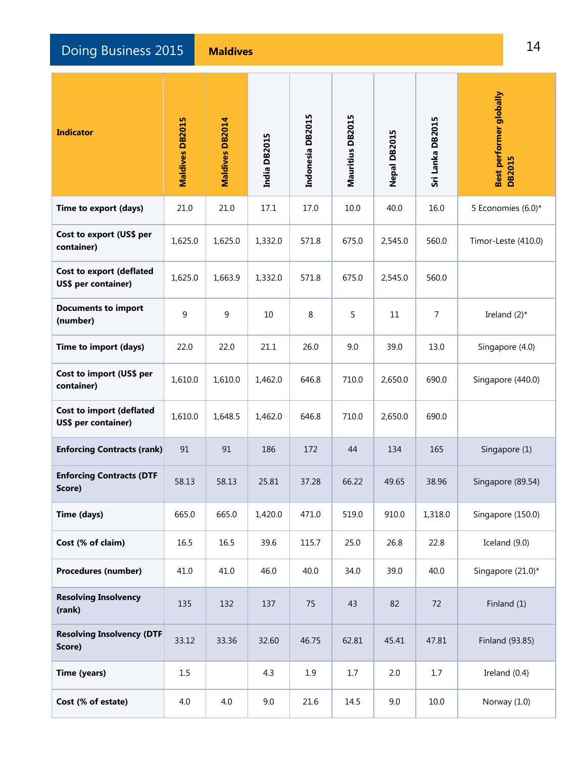**Doing Business 2015 Maldives** 14 **Maldives** 14

| <b>Indicator</b>                                       | <b>Maldives DB2015</b> | Maldives DB2014 | India DB2015 | Indonesia DB2015 | Mauritius DB2015 | Nepal DB2015 | Sri Lanka DB2015 | Best performer globally<br><b>DB2015</b> |
|--------------------------------------------------------|------------------------|-----------------|--------------|------------------|------------------|--------------|------------------|------------------------------------------|
| Time to export (days)                                  | 21.0                   | 21.0            | 17.1         | 17.0             | 10.0             | 40.0         | 16.0             | 5 Economies (6.0)*                       |
| Cost to export (US\$ per<br>container)                 | 1,625.0                | 1,625.0         | 1,332.0      | 571.8            | 675.0            | 2,545.0      | 560.0            | Timor-Leste (410.0)                      |
| <b>Cost to export (deflated</b><br>US\$ per container) | 1,625.0                | 1,663.9         | 1,332.0      | 571.8            | 675.0            | 2,545.0      | 560.0            |                                          |
| <b>Documents to import</b><br>(number)                 | 9                      | 9               | 10           | 8                | 5                | 11           | $\overline{7}$   | Ireland $(2)^*$                          |
| Time to import (days)                                  | 22.0                   | 22.0            | 21.1         | 26.0             | 9.0              | 39.0         | 13.0             | Singapore (4.0)                          |
| Cost to import (US\$ per<br>container)                 | 1,610.0                | 1,610.0         | 1,462.0      | 646.8            | 710.0            | 2,650.0      | 690.0            | Singapore (440.0)                        |
| <b>Cost to import (deflated</b><br>US\$ per container) | 1,610.0                | 1,648.5         | 1,462.0      | 646.8            | 710.0            | 2,650.0      | 690.0            |                                          |
| <b>Enforcing Contracts (rank)</b>                      | 91                     | 91              | 186          | 172              | 44               | 134          | 165              | Singapore (1)                            |
| <b>Enforcing Contracts (DTF</b><br>Score)              | 58.13                  | 58.13           | 25.81        | 37.28            | 66.22            | 49.65        | 38.96            | Singapore (89.54)                        |
| Time (days)                                            | 665.0                  | 665.0           | 1,420.0      | 471.0            | 519.0            | 910.0        | 1,318.0          | Singapore (150.0)                        |
| Cost (% of claim)                                      | 16.5                   | 16.5            | 39.6         | 115.7            | 25.0             | 26.8         | 22.8             | Iceland (9.0)                            |
| <b>Procedures (number)</b>                             | 41.0                   | 41.0            | 46.0         | 40.0             | 34.0             | 39.0         | 40.0             | Singapore (21.0)*                        |
| <b>Resolving Insolvency</b><br>(rank)                  | 135                    | 132             | 137          | 75               | 43               | 82           | 72               | Finland (1)                              |
| <b>Resolving Insolvency (DTF</b><br>Score)             | 33.12                  | 33.36           | 32.60        | 46.75            | 62.81            | 45.41        | 47.81            | Finland (93.85)                          |
| Time (years)                                           | 1.5                    |                 | 4.3          | 1.9              | 1.7              | 2.0          | 1.7              | Ireland $(0.4)$                          |
| Cost (% of estate)                                     | 4.0                    | 4.0             | 9.0          | 21.6             | 14.5             | 9.0          | 10.0             | Norway (1.0)                             |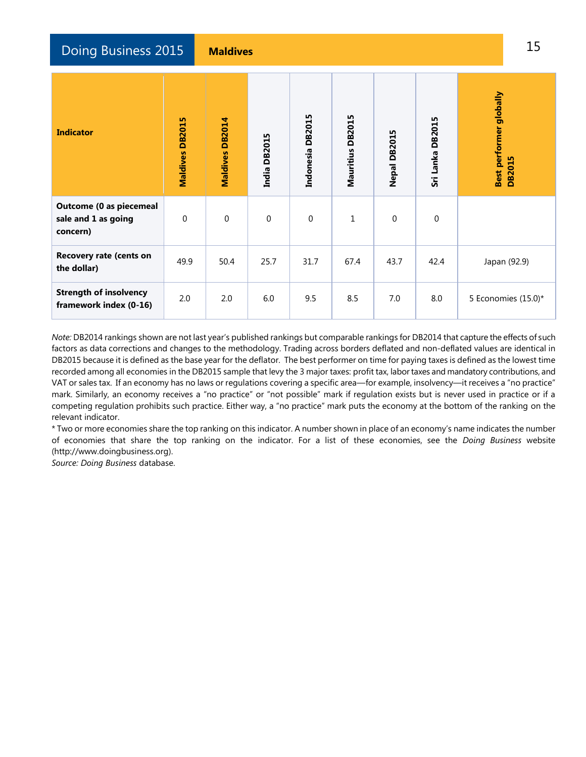Doing Business 2015 **Maldives** 15

| <b>Indicator</b>                                                  | <b>DB2015</b><br>Maldives | <b>DB2014</b><br>Maldives | <b>DB2015</b><br>India | Indonesia DB2015 | Mauritius DB2015 | Nepal DB2015 | Sri Lanka DB2015 | Best performer globally<br><b>DB2015</b> |
|-------------------------------------------------------------------|---------------------------|---------------------------|------------------------|------------------|------------------|--------------|------------------|------------------------------------------|
| <b>Outcome (0 as piecemeal</b><br>sale and 1 as going<br>concern) | $\Omega$                  | $\Omega$                  | $\boldsymbol{0}$       | $\boldsymbol{0}$ | $\mathbf 1$      | $\mathbf 0$  | $\Omega$         |                                          |
| <b>Recovery rate (cents on</b><br>the dollar)                     | 49.9                      | 50.4                      | 25.7                   | 31.7             | 67.4             | 43.7         | 42.4             | Japan (92.9)                             |
| <b>Strength of insolvency</b><br>framework index (0-16)           | 2.0                       | 2.0                       | 6.0                    | 9.5              | 8.5              | 7.0          | 8.0              | 5 Economies (15.0)*                      |

*Note:* DB2014 rankings shown are not last year's published rankings but comparable rankings for DB2014 that capture the effects of such factors as data corrections and changes to the methodology. Trading across borders deflated and non-deflated values are identical in DB2015 because it is defined as the base year for the deflator. The best performer on time for paying taxes is defined as the lowest time recorded among all economies in the DB2015 sample that levy the 3 major taxes: profit tax, labor taxes and mandatory contributions, and VAT or sales tax. If an economy has no laws or regulations covering a specific area—for example, insolvency—it receives a "no practice" mark. Similarly, an economy receives a "no practice" or "not possible" mark if regulation exists but is never used in practice or if a competing regulation prohibits such practice. Either way, a "no practice" mark puts the economy at the bottom of the ranking on the relevant indicator.

\* Two or more economies share the top ranking on this indicator. A number shown in place of an economy's name indicates the number of economies that share the top ranking on the indicator. For a list of these economies, see the *Doing Business* website (http://www.doingbusiness.org).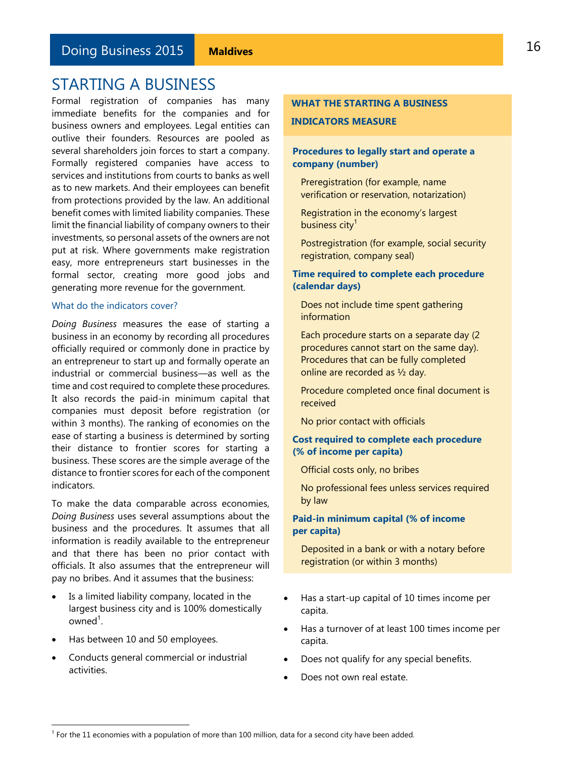<span id="page-15-0"></span>Formal registration of companies has many immediate benefits for the companies and for business owners and employees. Legal entities can outlive their founders. Resources are pooled as several shareholders join forces to start a company. Formally registered companies have access to services and institutions from courts to banks as well as to new markets. And their employees can benefit from protections provided by the law. An additional benefit comes with limited liability companies. These limit the financial liability of company owners to their investments, so personal assets of the owners are not put at risk. Where governments make registration easy, more entrepreneurs start businesses in the formal sector, creating more good jobs and generating more revenue for the government.

#### What do the indicators cover?

*Doing Business* measures the ease of starting a business in an economy by recording all procedures officially required or commonly done in practice by an entrepreneur to start up and formally operate an industrial or commercial business—as well as the time and cost required to complete these procedures. It also records the paid-in minimum capital that companies must deposit before registration (or within 3 months). The ranking of economies on the ease of starting a business is determined by sorting their distance to frontier scores for starting a business. These scores are the simple average of the distance to frontier scores for each of the component indicators.

To make the data comparable across economies, *Doing Business* uses several assumptions about the business and the procedures. It assumes that all information is readily available to the entrepreneur and that there has been no prior contact with officials. It also assumes that the entrepreneur will pay no bribes. And it assumes that the business:

- Is a limited liability company, located in the largest business city and is 100% domestically  $owned<sup>1</sup>$ .
- Has between 10 and 50 employees.

L

 Conducts general commercial or industrial activities.

### **WHAT THE STARTING A BUSINESS INDICATORS MEASURE**

#### **Procedures to legally start and operate a company (number)**

Preregistration (for example, name verification or reservation, notarization)

Registration in the economy's largest business city<sup>1</sup>

Postregistration (for example, social security registration, company seal)

#### **Time required to complete each procedure (calendar days)**

Does not include time spent gathering information

Each procedure starts on a separate day (2 procedures cannot start on the same day). Procedures that can be fully completed online are recorded as ½ day.

Procedure completed once final document is received

No prior contact with officials

### **Cost required to complete each procedure (% of income per capita)**

Official costs only, no bribes

No professional fees unless services required by law

### **Paid-in minimum capital (% of income per capita)**

Deposited in a bank or with a notary before registration (or within 3 months)

- Has a start-up capital of 10 times income per capita.
- Has a turnover of at least 100 times income per capita.
- Does not qualify for any special benefits.
- Does not own real estate.

 $1$  For the 11 economies with a population of more than 100 million, data for a second city have been added.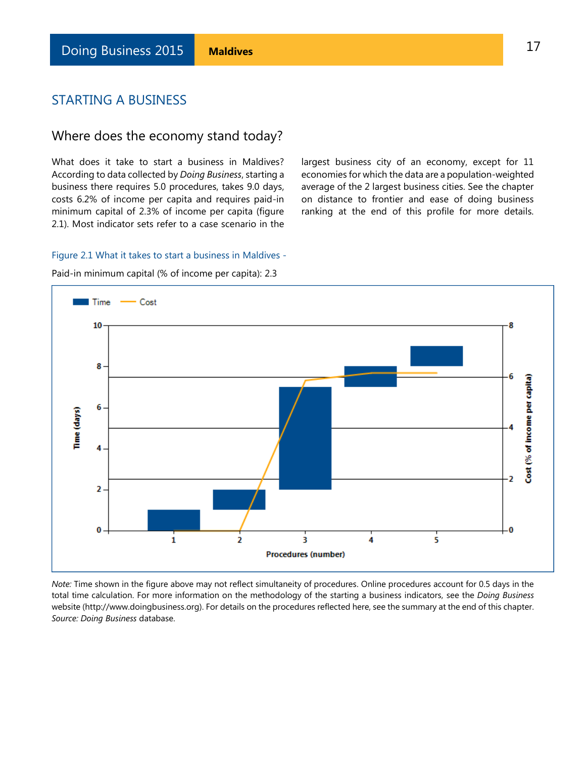### Where does the economy stand today?

What does it take to start a business in Maldives? According to data collected by *Doing Business*, starting a business there requires 5.0 procedures, takes 9.0 days, costs 6.2% of income per capita and requires paid-in minimum capital of 2.3% of income per capita (figure 2.1). Most indicator sets refer to a case scenario in the

largest business city of an economy, except for 11 economies for which the data are a population-weighted average of the 2 largest business cities. See the chapter on distance to frontier and ease of doing business ranking at the end of this profile for more details.

#### Figure 2.1 What it takes to start a business in Maldives -

 $\blacksquare$  Time  $\blacksquare$  Cost 10 Ω 8  $\boldsymbol{6}$ Cost (% of income per capita) 6 Time (days) 4 Þ  $\overline{a}$  $\bf{0}$ Ō 5 1 2 в 4 **Procedures (number)** 

Paid-in minimum capital (% of income per capita): 2.3

*Note:* Time shown in the figure above may not reflect simultaneity of procedures. Online procedures account for 0.5 days in the total time calculation. For more information on the methodology of the starting a business indicators, see the *Doing Business* website (http://www.doingbusiness.org). For details on the procedures reflected here, see the summary at the end of this chapter. *Source: Doing Business* database.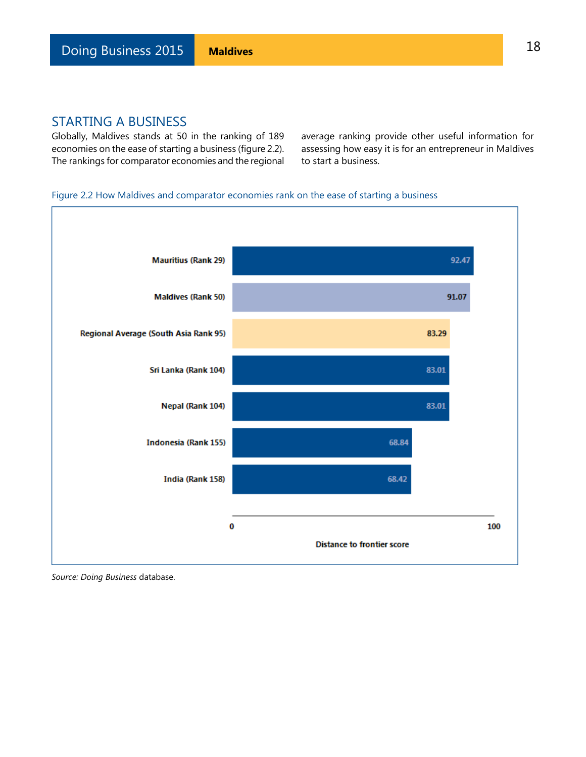Globally, Maldives stands at 50 in the ranking of 189 economies on the ease of starting a business (figure 2.2). The rankings for comparator economies and the regional average ranking provide other useful information for assessing how easy it is for an entrepreneur in Maldives to start a business.

#### Figure 2.2 How Maldives and comparator economies rank on the ease of starting a business

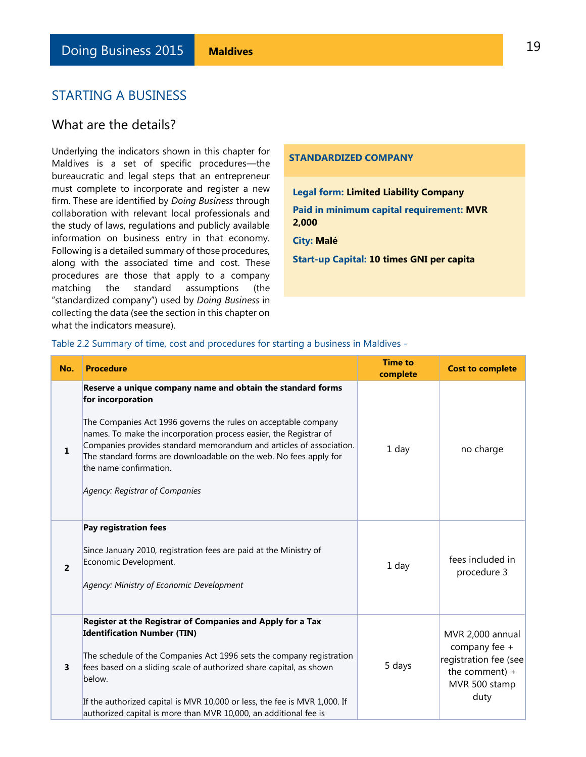### What are the details?

Underlying the indicators shown in this chapter for Maldives is a set of specific procedures—the bureaucratic and legal steps that an entrepreneur must complete to incorporate and register a new firm. These are identified by *Doing Business* through collaboration with relevant local professionals and the study of laws, regulations and publicly available information on business entry in that economy. Following is a detailed summary of those procedures, along with the associated time and cost. These procedures are those that apply to a company matching the standard assumptions (the "standardized company") used by *Doing Business* in collecting the data (see the section in this chapter on what the indicators measure).

#### **STANDARDIZED COMPANY**

**Legal form: Limited Liability Company** 

**Paid in minimum capital requirement: MVR 2,000**

#### **City: Malé**

**Start-up Capital: 10 times GNI per capita**

Table 2.2 Summary of time, cost and procedures for starting a business in Maldives -

| No.            | <b>Procedure</b>                                                                                                                                                                                                                                                                                                                                                                                                                | <b>Time to</b><br>complete | <b>Cost to complete</b>                                                                                 |
|----------------|---------------------------------------------------------------------------------------------------------------------------------------------------------------------------------------------------------------------------------------------------------------------------------------------------------------------------------------------------------------------------------------------------------------------------------|----------------------------|---------------------------------------------------------------------------------------------------------|
| 1              | Reserve a unique company name and obtain the standard forms<br>for incorporation<br>The Companies Act 1996 governs the rules on acceptable company<br>names. To make the incorporation process easier, the Registrar of<br>Companies provides standard memorandum and articles of association.<br>The standard forms are downloadable on the web. No fees apply for<br>the name confirmation.<br>Agency: Registrar of Companies | 1 day                      | no charge                                                                                               |
| $\overline{2}$ | Pay registration fees<br>Since January 2010, registration fees are paid at the Ministry of<br>Economic Development.<br>Agency: Ministry of Economic Development                                                                                                                                                                                                                                                                 | 1 day                      | fees included in<br>procedure 3                                                                         |
| 3              | Register at the Registrar of Companies and Apply for a Tax<br><b>Identification Number (TIN)</b><br>The schedule of the Companies Act 1996 sets the company registration<br>fees based on a sliding scale of authorized share capital, as shown<br>below.<br>If the authorized capital is MVR 10,000 or less, the fee is MVR 1,000. If<br>authorized capital is more than MVR 10,000, an additional fee is                      | 5 days                     | MVR 2,000 annual<br>company fee +<br>registration fee (see<br>the comment) $+$<br>MVR 500 stamp<br>duty |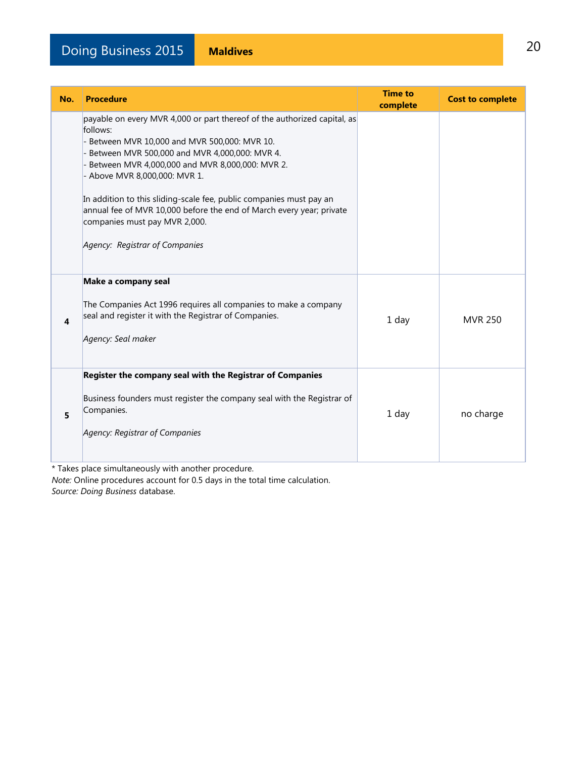| No. | <b>Procedure</b>                                                                                                                                                                                                                                                                                                                                                                                                                                                                             | <b>Time to</b><br>complete | <b>Cost to complete</b> |
|-----|----------------------------------------------------------------------------------------------------------------------------------------------------------------------------------------------------------------------------------------------------------------------------------------------------------------------------------------------------------------------------------------------------------------------------------------------------------------------------------------------|----------------------------|-------------------------|
|     | payable on every MVR 4,000 or part thereof of the authorized capital, as<br>follows:<br>- Between MVR 10,000 and MVR 500,000: MVR 10.<br>Between MVR 500,000 and MVR 4,000,000: MVR 4.<br>Between MVR 4,000,000 and MVR 8,000,000: MVR 2.<br>- Above MVR 8,000,000: MVR 1.<br>In addition to this sliding-scale fee, public companies must pay an<br>annual fee of MVR 10,000 before the end of March every year; private<br>companies must pay MVR 2,000.<br>Agency: Registrar of Companies |                            |                         |
| 4   | Make a company seal<br>The Companies Act 1996 requires all companies to make a company<br>seal and register it with the Registrar of Companies.<br>Agency: Seal maker                                                                                                                                                                                                                                                                                                                        | 1 day                      | <b>MVR 250</b>          |
| 5   | Register the company seal with the Registrar of Companies<br>Business founders must register the company seal with the Registrar of<br>Companies.<br>Agency: Registrar of Companies                                                                                                                                                                                                                                                                                                          | 1 day                      | no charge               |

\* Takes place simultaneously with another procedure.

*Note:* Online procedures account for 0.5 days in the total time calculation. *Source: Doing Business* database.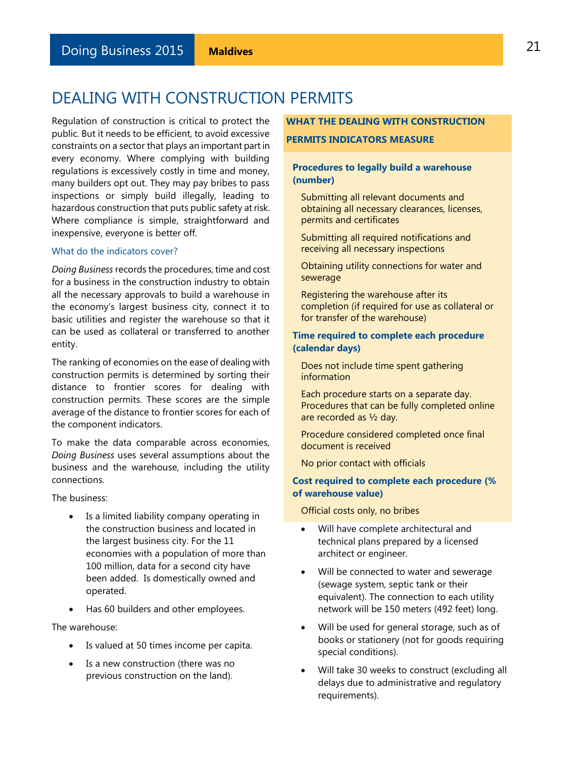### <span id="page-20-0"></span>DEALING WITH CONSTRUCTION PERMITS

Regulation of construction is critical to protect the public. But it needs to be efficient, to avoid excessive constraints on a sector that plays an important part in every economy. Where complying with building regulations is excessively costly in time and money, many builders opt out. They may pay bribes to pass inspections or simply build illegally, leading to hazardous construction that puts public safety at risk. Where compliance is simple, straightforward and inexpensive, everyone is better off.

#### What do the indicators cover?

*Doing Business* records the procedures, time and cost for a business in the construction industry to obtain all the necessary approvals to build a warehouse in the economy's largest business city, connect it to basic utilities and register the warehouse so that it can be used as collateral or transferred to another entity.

The ranking of economies on the ease of dealing with construction permits is determined by sorting their distance to frontier scores for dealing with construction permits. These scores are the simple average of the distance to frontier scores for each of the component indicators.

To make the data comparable across economies, *Doing Business* uses several assumptions about the business and the warehouse, including the utility connections.

The business:

- Is a limited liability company operating in the construction business and located in the largest business city. For the 11 economies with a population of more than 100 million, data for a second city have been added. Is domestically owned and operated.
- Has 60 builders and other employees.

The warehouse:

- Is valued at 50 times income per capita.
- Is a new construction (there was no previous construction on the land).

#### **WHAT THE DEALING WITH CONSTRUCTION**

#### **PERMITS INDICATORS MEASURE**

#### **Procedures to legally build a warehouse (number)**

Submitting all relevant documents and obtaining all necessary clearances, licenses, permits and certificates

Submitting all required notifications and receiving all necessary inspections

Obtaining utility connections for water and sewerage

Registering the warehouse after its completion (if required for use as collateral or for transfer of the warehouse)

#### **Time required to complete each procedure (calendar days)**

Does not include time spent gathering information

Each procedure starts on a separate day. Procedures that can be fully completed online are recorded as ½ day.

Procedure considered completed once final document is received

No prior contact with officials

#### **Cost required to complete each procedure (% of warehouse value)**

Official costs only, no bribes

- Will have complete architectural and technical plans prepared by a licensed architect or engineer.
- Will be connected to water and sewerage (sewage system, septic tank or their equivalent). The connection to each utility network will be 150 meters (492 feet) long.
- Will be used for general storage, such as of books or stationery (not for goods requiring special conditions).
- Will take 30 weeks to construct (excluding all delays due to administrative and regulatory requirements).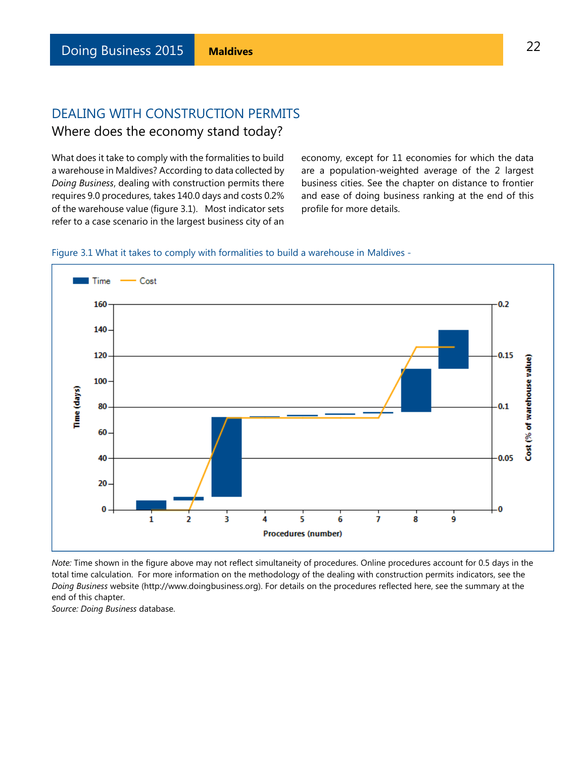### DEALING WITH CONSTRUCTION PERMITS Where does the economy stand today?

What does it take to comply with the formalities to build a warehouse in Maldives? According to data collected by *Doing Business*, dealing with construction permits there requires 9.0 procedures, takes 140.0 days and costs 0.2% of the warehouse value (figure 3.1). Most indicator sets refer to a case scenario in the largest business city of an

economy, except for 11 economies for which the data are a population-weighted average of the 2 largest business cities. See the chapter on distance to frontier and ease of doing business ranking at the end of this profile for more details.





*Note:* Time shown in the figure above may not reflect simultaneity of procedures. Online procedures account for 0.5 days in the total time calculation. For more information on the methodology of the dealing with construction permits indicators, see the *Doing Business* website (http://www.doingbusiness.org). For details on the procedures reflected here, see the summary at the end of this chapter.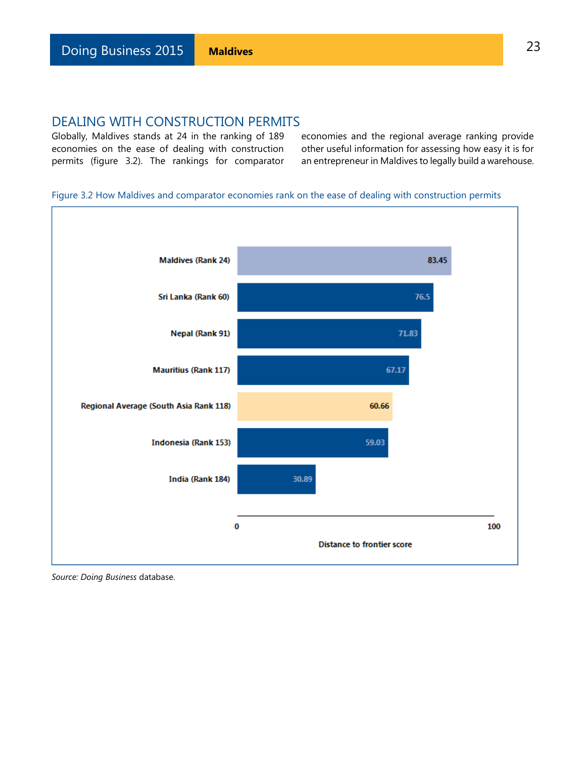Globally, Maldives stands at 24 in the ranking of 189 economies on the ease of dealing with construction permits (figure 3.2). The rankings for comparator economies and the regional average ranking provide other useful information for assessing how easy it is for an entrepreneur in Maldives to legally build a warehouse.

#### Figure 3.2 How Maldives and comparator economies rank on the ease of dealing with construction permits

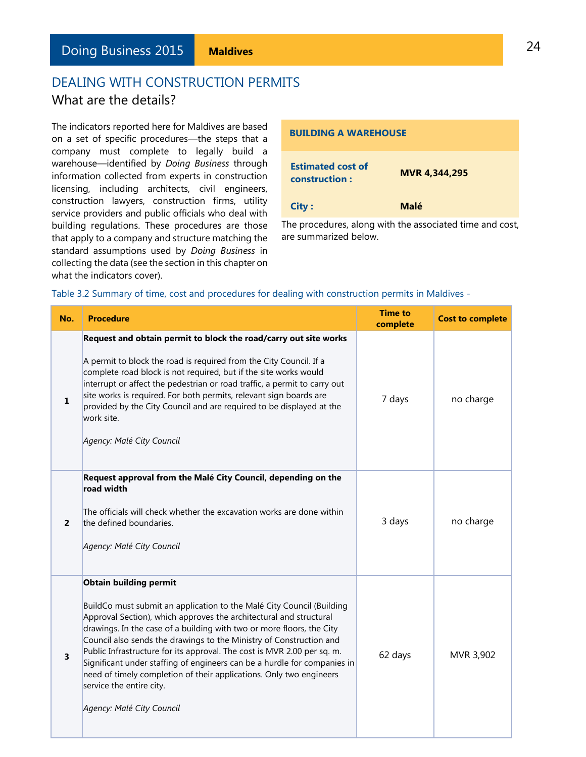### DEALING WITH CONSTRUCTION PERMITS What are the details?

The indicators reported here for Maldives are based on a set of specific procedures—the steps that a company must complete to legally build a warehouse—identified by *Doing Business* through information collected from experts in construction licensing, including architects, civil engineers, construction lawyers, construction firms, utility service providers and public officials who deal with building regulations. These procedures are those that apply to a company and structure matching the standard assumptions used by *Doing Business* in collecting the data (see the section in this chapter on what the indicators cover).

| <b>BUILDING A WAREHOUSE</b>               |                      |  |  |  |  |
|-------------------------------------------|----------------------|--|--|--|--|
| <b>Estimated cost of</b><br>construction: | <b>MVR 4,344,295</b> |  |  |  |  |
| <b>City:</b>                              | Malé                 |  |  |  |  |

The procedures, along with the associated time and cost, are summarized below.

| No.                     | <b>Procedure</b>                                                                                                                                                                                                                                                                                                                                                                                                                                                                                                                                                                                                    | <b>Time to</b><br>complete | <b>Cost to complete</b> |
|-------------------------|---------------------------------------------------------------------------------------------------------------------------------------------------------------------------------------------------------------------------------------------------------------------------------------------------------------------------------------------------------------------------------------------------------------------------------------------------------------------------------------------------------------------------------------------------------------------------------------------------------------------|----------------------------|-------------------------|
| 1                       | Request and obtain permit to block the road/carry out site works<br>A permit to block the road is required from the City Council. If a<br>complete road block is not required, but if the site works would<br>interrupt or affect the pedestrian or road traffic, a permit to carry out<br>site works is required. For both permits, relevant sign boards are<br>provided by the City Council and are required to be displayed at the<br>work site.<br>Agency: Malé City Council                                                                                                                                    | 7 days                     | no charge               |
| $\overline{\mathbf{c}}$ | Request approval from the Malé City Council, depending on the<br>road width<br>The officials will check whether the excavation works are done within<br>the defined boundaries.<br>Agency: Malé City Council                                                                                                                                                                                                                                                                                                                                                                                                        | 3 days                     | no charge               |
| 3                       | <b>Obtain building permit</b><br>BuildCo must submit an application to the Malé City Council (Building<br>Approval Section), which approves the architectural and structural<br>drawings. In the case of a building with two or more floors, the City<br>Council also sends the drawings to the Ministry of Construction and<br>Public Infrastructure for its approval. The cost is MVR 2.00 per sq. m.<br>Significant under staffing of engineers can be a hurdle for companies in<br>need of timely completion of their applications. Only two engineers<br>service the entire city.<br>Agency: Malé City Council | 62 days                    | MVR 3,902               |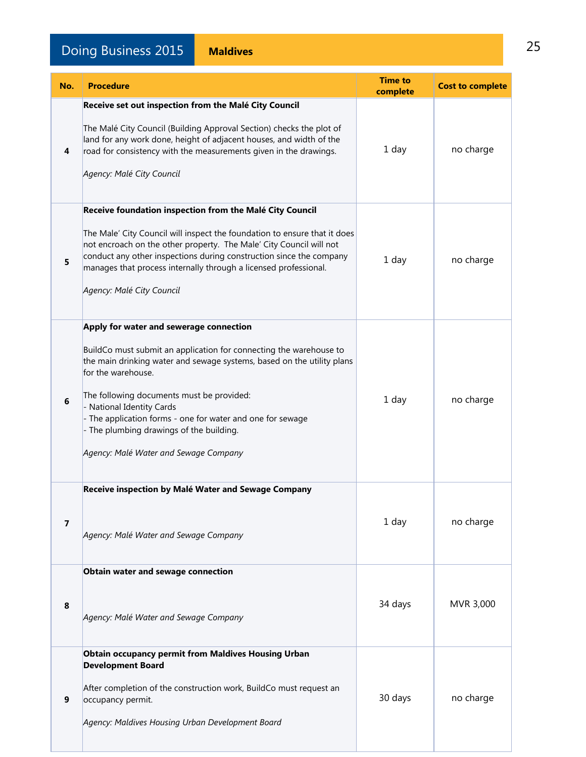# Doing Business 2015 **Maldives** 25

| No.            | <b>Procedure</b>                                                                                                                                                                                                                                                                                                                                                                                                                           | <b>Time to</b><br>complete | <b>Cost to complete</b> |
|----------------|--------------------------------------------------------------------------------------------------------------------------------------------------------------------------------------------------------------------------------------------------------------------------------------------------------------------------------------------------------------------------------------------------------------------------------------------|----------------------------|-------------------------|
| 4              | Receive set out inspection from the Malé City Council<br>The Malé City Council (Building Approval Section) checks the plot of<br>land for any work done, height of adjacent houses, and width of the<br>road for consistency with the measurements given in the drawings.<br>Agency: Malé City Council                                                                                                                                     | 1 day                      | no charge               |
| 5              | Receive foundation inspection from the Malé City Council<br>The Male' City Council will inspect the foundation to ensure that it does<br>not encroach on the other property. The Male' City Council will not<br>conduct any other inspections during construction since the company<br>manages that process internally through a licensed professional.<br>Agency: Malé City Council                                                       | 1 day                      | no charge               |
| 6              | Apply for water and sewerage connection<br>BuildCo must submit an application for connecting the warehouse to<br>the main drinking water and sewage systems, based on the utility plans<br>for the warehouse.<br>The following documents must be provided:<br>- National Identity Cards<br>- The application forms - one for water and one for sewage<br>- The plumbing drawings of the building.<br>Agency: Malé Water and Sewage Company | 1 day                      | no charge               |
| $\overline{7}$ | Receive inspection by Malé Water and Sewage Company<br>Agency: Malé Water and Sewage Company                                                                                                                                                                                                                                                                                                                                               | 1 day                      | no charge               |
| 8              | Obtain water and sewage connection<br>Agency: Malé Water and Sewage Company                                                                                                                                                                                                                                                                                                                                                                | 34 days                    | MVR 3,000               |
| 9              | <b>Obtain occupancy permit from Maldives Housing Urban</b><br><b>Development Board</b><br>After completion of the construction work, BuildCo must request an<br>occupancy permit.<br>Agency: Maldives Housing Urban Development Board                                                                                                                                                                                                      | 30 days                    | no charge               |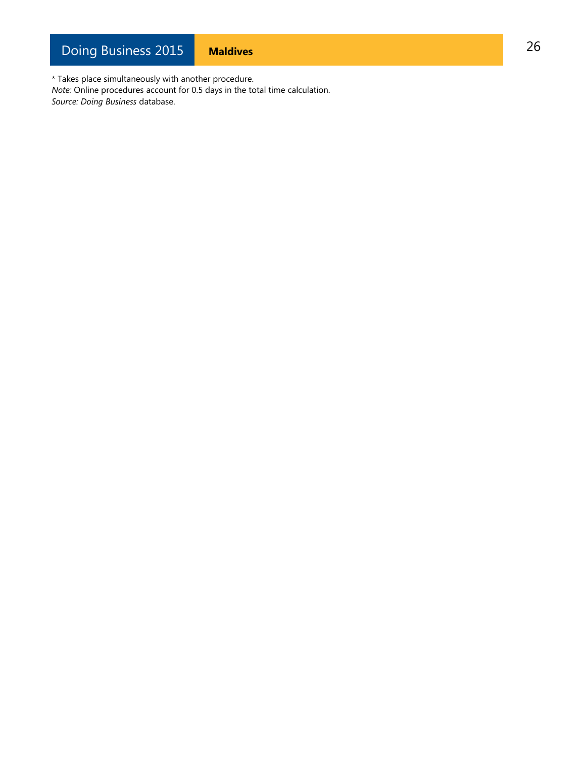\* Takes place simultaneously with another procedure. *Note:* Online procedures account for 0.5 days in the total time calculation. *Source: Doing Business* database.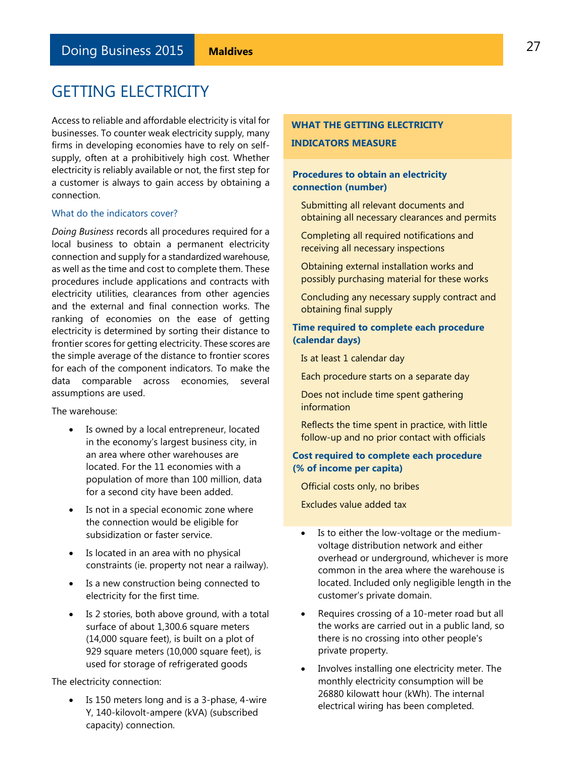<span id="page-26-0"></span>Access to reliable and affordable electricity is vital for businesses. To counter weak electricity supply, many firms in developing economies have to rely on selfsupply, often at a prohibitively high cost. Whether electricity is reliably available or not, the first step for a customer is always to gain access by obtaining a connection.

#### What do the indicators cover?

*Doing Business* records all procedures required for a local business to obtain a permanent electricity connection and supply for a standardized warehouse, as well as the time and cost to complete them. These procedures include applications and contracts with electricity utilities, clearances from other agencies and the external and final connection works. The ranking of economies on the ease of getting electricity is determined by sorting their distance to frontier scores for getting electricity. These scores are the simple average of the distance to frontier scores for each of the component indicators. To make the data comparable across economies, several assumptions are used.

The warehouse:

- Is owned by a local entrepreneur, located in the economy's largest business city, in an area where other warehouses are located. For the 11 economies with a population of more than 100 million, data for a second city have been added.
- Is not in a special economic zone where the connection would be eligible for subsidization or faster service.
- Is located in an area with no physical constraints (ie. property not near a railway).
- Is a new construction being connected to electricity for the first time.
- Is 2 stories, both above ground, with a total surface of about 1,300.6 square meters (14,000 square feet), is built on a plot of 929 square meters (10,000 square feet), is used for storage of refrigerated goods

The electricity connection:

 Is 150 meters long and is a 3-phase, 4-wire Y, 140-kilovolt-ampere (kVA) (subscribed capacity) connection.

### **WHAT THE GETTING ELECTRICITY INDICATORS MEASURE**

### **Procedures to obtain an electricity connection (number)**

- Submitting all relevant documents and obtaining all necessary clearances and permits
- Completing all required notifications and receiving all necessary inspections
- Obtaining external installation works and possibly purchasing material for these works
- Concluding any necessary supply contract and obtaining final supply

#### **Time required to complete each procedure (calendar days)**

Is at least 1 calendar day

Each procedure starts on a separate day

Does not include time spent gathering information

Reflects the time spent in practice, with little follow-up and no prior contact with officials

#### **Cost required to complete each procedure (% of income per capita)**

Official costs only, no bribes

Excludes value added tax

- Is to either the low-voltage or the mediumvoltage distribution network and either overhead or underground, whichever is more common in the area where the warehouse is located. Included only negligible length in the customer's private domain.
- Requires crossing of a 10-meter road but all the works are carried out in a public land, so there is no crossing into other people's private property.
- Involves installing one electricity meter. The monthly electricity consumption will be 26880 kilowatt hour (kWh). The internal electrical wiring has been completed.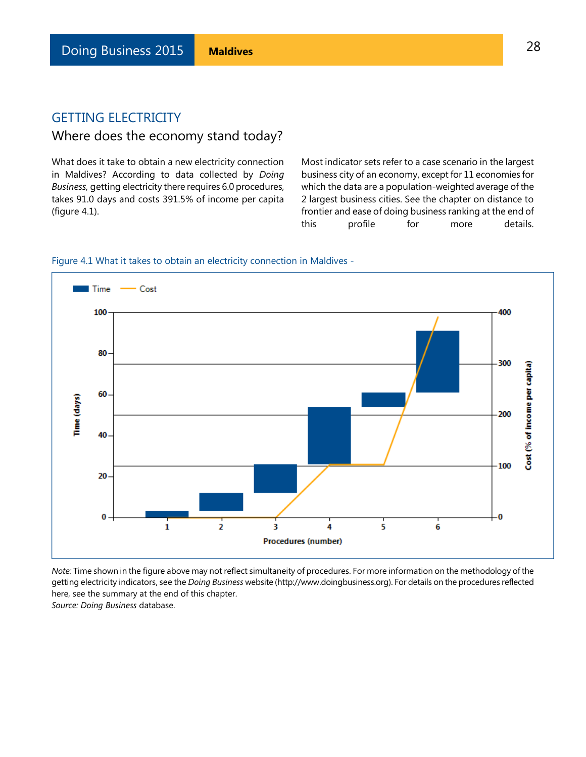### Where does the economy stand today?

What does it take to obtain a new electricity connection in Maldives? According to data collected by *Doing Business,* getting electricity there requires 6.0 procedures, takes 91.0 days and costs 391.5% of income per capita (figure 4.1).

Most indicator sets refer to a case scenario in the largest business city of an economy, except for 11 economies for which the data are a population-weighted average of the 2 largest business cities. See the chapter on distance to frontier and ease of doing business ranking at the end of this profile for more details.





*Note:* Time shown in the figure above may not reflect simultaneity of procedures. For more information on the methodology of the getting electricity indicators, see the *Doing Business* website (http://www.doingbusiness.org). For details on the procedures reflected here, see the summary at the end of this chapter. *Source: Doing Business* database.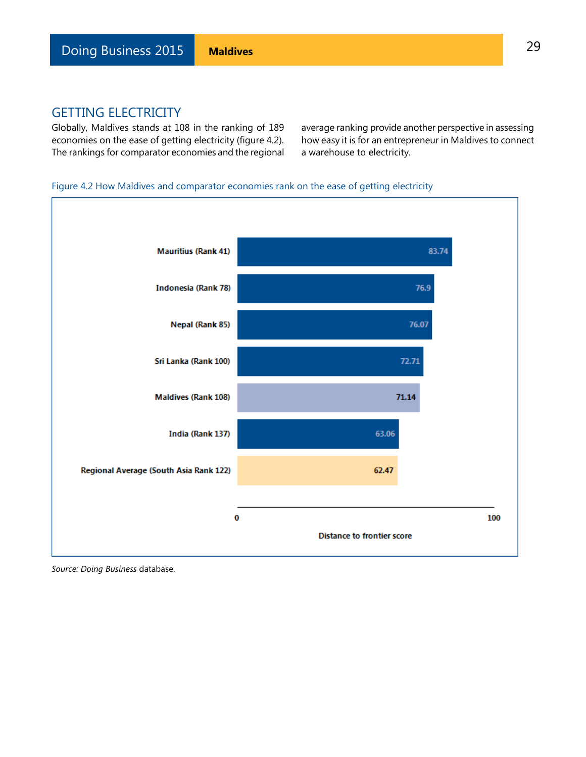Globally, Maldives stands at 108 in the ranking of 189 economies on the ease of getting electricity (figure 4.2). The rankings for comparator economies and the regional average ranking provide another perspective in assessing how easy it is for an entrepreneur in Maldives to connect a warehouse to electricity.

#### Figure 4.2 How Maldives and comparator economies rank on the ease of getting electricity

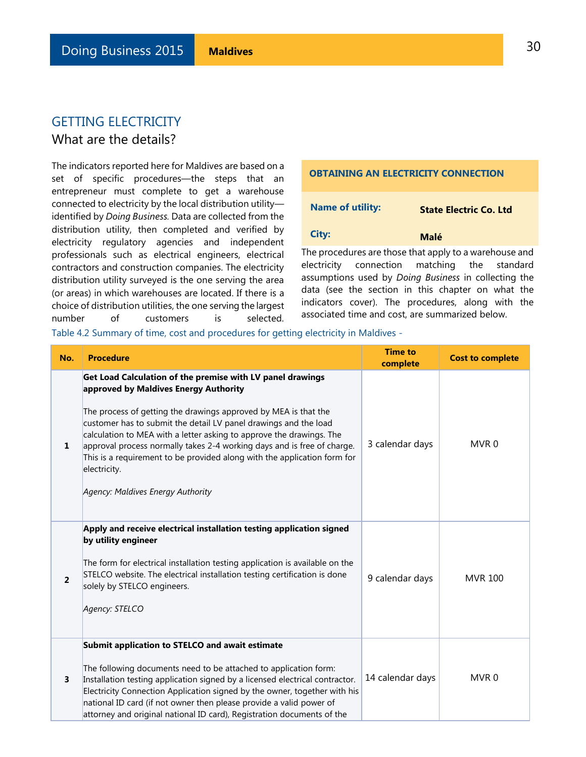### What are the details?

The indicators reported here for Maldives are based on a set of specific procedures—the steps that an entrepreneur must complete to get a warehouse connected to electricity by the local distribution utility identified by *Doing Business.* Data are collected from the distribution utility, then completed and verified by electricity regulatory agencies and independent professionals such as electrical engineers, electrical contractors and construction companies. The electricity distribution utility surveyed is the one serving the area (or areas) in which warehouses are located. If there is a choice of distribution utilities, the one serving the largest number of customers is selected.

# **OBTAINING AN ELECTRICITY CONNECTION Name of utility: State Electric Co. Ltd City:** Malé The procedures are those that apply to a warehouse and

electricity connection matching the standard assumptions used by *Doing Business* in collecting the data (see the section in this chapter on what the indicators cover). The procedures, along with the associated time and cost, are summarized below.

Table 4.2 Summary of time, cost and procedures for getting electricity in Maldives -

| No.            | <b>Procedure</b>                                                                                                                                                                                                                                                                                                                                                                                                                                                                                                               | <b>Time to</b><br>complete | <b>Cost to complete</b> |
|----------------|--------------------------------------------------------------------------------------------------------------------------------------------------------------------------------------------------------------------------------------------------------------------------------------------------------------------------------------------------------------------------------------------------------------------------------------------------------------------------------------------------------------------------------|----------------------------|-------------------------|
| 1              | Get Load Calculation of the premise with LV panel drawings<br>approved by Maldives Energy Authority<br>The process of getting the drawings approved by MEA is that the<br>customer has to submit the detail LV panel drawings and the load<br>calculation to MEA with a letter asking to approve the drawings. The<br>approval process normally takes 2-4 working days and is free of charge.<br>This is a requirement to be provided along with the application form for<br>electricity.<br>Agency: Maldives Energy Authority | 3 calendar days            | MVR <sub>0</sub>        |
| $\overline{2}$ | Apply and receive electrical installation testing application signed<br>by utility engineer<br>The form for electrical installation testing application is available on the<br>STELCO website. The electrical installation testing certification is done<br>solely by STELCO engineers.<br>Agency: STELCO                                                                                                                                                                                                                      | 9 calendar days            | <b>MVR 100</b>          |
| 3              | Submit application to STELCO and await estimate<br>The following documents need to be attached to application form:<br>Installation testing application signed by a licensed electrical contractor.<br>Electricity Connection Application signed by the owner, together with his<br>national ID card (if not owner then please provide a valid power of<br>attorney and original national ID card), Registration documents of the                                                                                              | 14 calendar days           | MVR <sub>0</sub>        |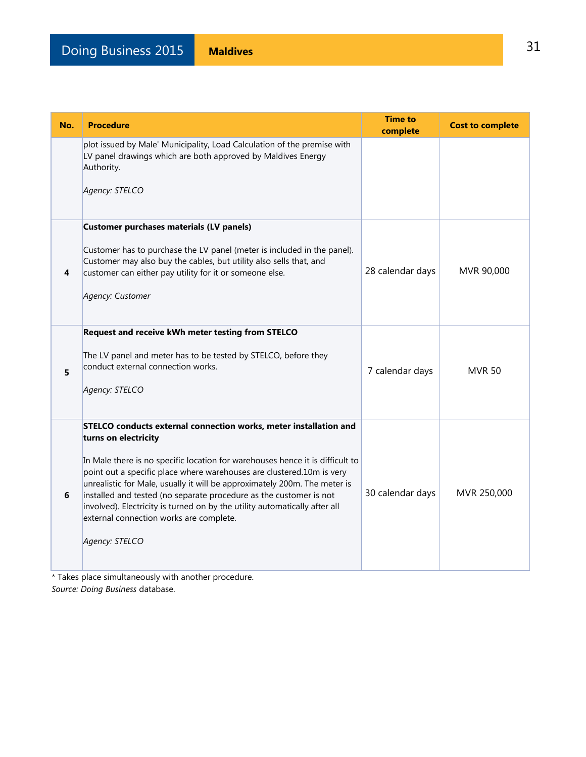| No. | <b>Procedure</b>                                                                                                                                                                                                                                                                                                                                                                                                                                                                                                                                  | <b>Time to</b><br>complete | <b>Cost to complete</b> |
|-----|---------------------------------------------------------------------------------------------------------------------------------------------------------------------------------------------------------------------------------------------------------------------------------------------------------------------------------------------------------------------------------------------------------------------------------------------------------------------------------------------------------------------------------------------------|----------------------------|-------------------------|
|     | plot issued by Male' Municipality, Load Calculation of the premise with<br>LV panel drawings which are both approved by Maldives Energy<br>Authority.<br>Agency: STELCO                                                                                                                                                                                                                                                                                                                                                                           |                            |                         |
| 4   | Customer purchases materials (LV panels)<br>Customer has to purchase the LV panel (meter is included in the panel).<br>Customer may also buy the cables, but utility also sells that, and<br>customer can either pay utility for it or someone else.<br>Agency: Customer                                                                                                                                                                                                                                                                          | 28 calendar days           | MVR 90,000              |
| 5   | Request and receive kWh meter testing from STELCO<br>The LV panel and meter has to be tested by STELCO, before they<br>conduct external connection works.<br>Agency: STELCO                                                                                                                                                                                                                                                                                                                                                                       | 7 calendar days            | <b>MVR 50</b>           |
| 6   | STELCO conducts external connection works, meter installation and<br>turns on electricity<br>In Male there is no specific location for warehouses hence it is difficult to<br>point out a specific place where warehouses are clustered.10m is very<br>unrealistic for Male, usually it will be approximately 200m. The meter is<br>installed and tested (no separate procedure as the customer is not<br>involved). Electricity is turned on by the utility automatically after all<br>external connection works are complete.<br>Agency: STELCO | 30 calendar days           | MVR 250,000             |

\* Takes place simultaneously with another procedure.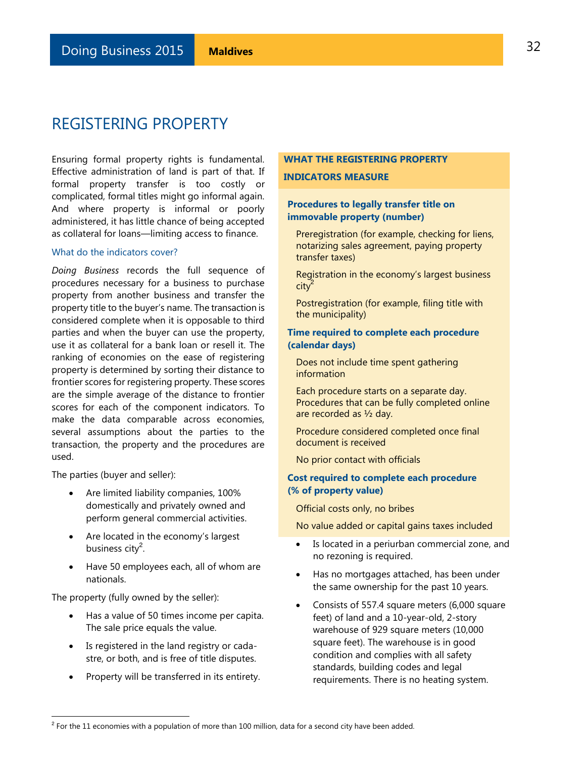<span id="page-31-0"></span>Ensuring formal property rights is fundamental. Effective administration of land is part of that. If formal property transfer is too costly or complicated, formal titles might go informal again. And where property is informal or poorly administered, it has little chance of being accepted as collateral for loans—limiting access to finance.

#### What do the indicators cover?

*Doing Business* records the full sequence of procedures necessary for a business to purchase property from another business and transfer the property title to the buyer's name. The transaction is considered complete when it is opposable to third parties and when the buyer can use the property, use it as collateral for a bank loan or resell it. The ranking of economies on the ease of registering property is determined by sorting their distance to frontier scores for registering property. These scores are the simple average of the distance to frontier scores for each of the component indicators. To make the data comparable across economies, several assumptions about the parties to the transaction, the property and the procedures are used.

The parties (buyer and seller):

- Are limited liability companies, 100% domestically and privately owned and perform general commercial activities.
- Are located in the economy's largest business city<sup>2</sup>.
- Have 50 employees each, all of whom are nationals.

The property (fully owned by the seller):

L

- Has a value of 50 times income per capita. The sale price equals the value.
- Is registered in the land registry or cadastre, or both, and is free of title disputes.
- Property will be transferred in its entirety.

#### **WHAT THE REGISTERING PROPERTY**

#### **INDICATORS MEASURE**

#### **Procedures to legally transfer title on immovable property (number)**

Preregistration (for example, checking for liens, notarizing sales agreement, paying property transfer taxes)

Registration in the economy's largest business  $\text{city}^2$ 

Postregistration (for example, filing title with the municipality)

#### **Time required to complete each procedure (calendar days)**

Does not include time spent gathering information

Each procedure starts on a separate day. Procedures that can be fully completed online are recorded as ½ day.

Procedure considered completed once final document is received

No prior contact with officials

#### **Cost required to complete each procedure (% of property value)**

Official costs only, no bribes

No value added or capital gains taxes included

- Is located in a periurban commercial zone, and no rezoning is required.
- Has no mortgages attached, has been under the same ownership for the past 10 years.
- Consists of 557.4 square meters (6,000 square feet) of land and a 10-year-old, 2-story warehouse of 929 square meters (10,000 square feet). The warehouse is in good condition and complies with all safety standards, building codes and legal requirements. There is no heating system.

 $^2$  For the 11 economies with a population of more than 100 million, data for a second city have been added.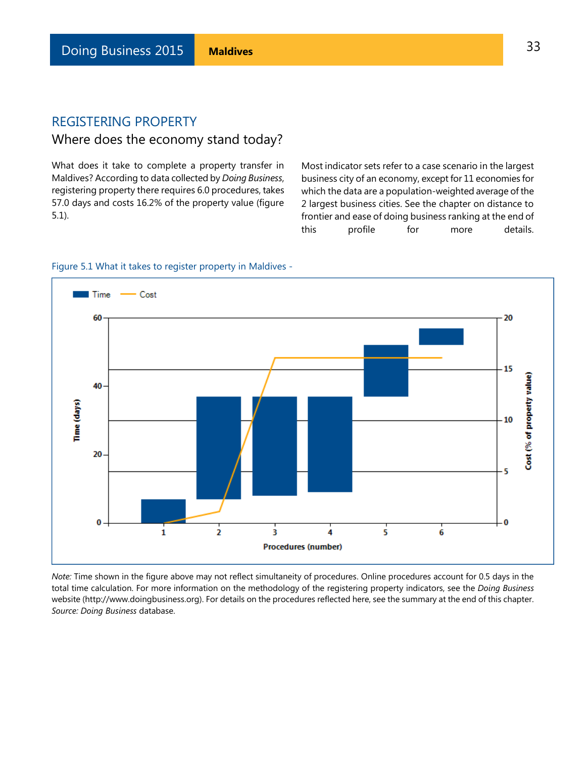### Where does the economy stand today?

What does it take to complete a property transfer in Maldives? According to data collected by *Doing Business*, registering property there requires 6.0 procedures, takes 57.0 days and costs 16.2% of the property value (figure 5.1).

Most indicator sets refer to a case scenario in the largest business city of an economy, except for 11 economies for which the data are a population-weighted average of the 2 largest business cities. See the chapter on distance to frontier and ease of doing business ranking at the end of this profile for more details.



#### Figure 5.1 What it takes to register property in Maldives -

*Note:* Time shown in the figure above may not reflect simultaneity of procedures. Online procedures account for 0.5 days in the total time calculation. For more information on the methodology of the registering property indicators, see the *Doing Business* website (http://www.doingbusiness.org). For details on the procedures reflected here, see the summary at the end of this chapter. *Source: Doing Business* database.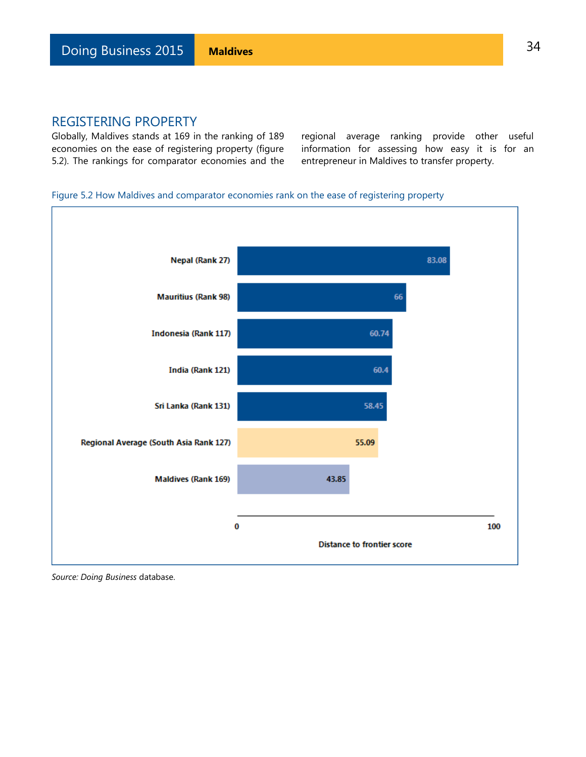Globally, Maldives stands at 169 in the ranking of 189 economies on the ease of registering property (figure 5.2). The rankings for comparator economies and the regional average ranking provide other useful information for assessing how easy it is for an entrepreneur in Maldives to transfer property.

### Figure 5.2 How Maldives and comparator economies rank on the ease of registering property

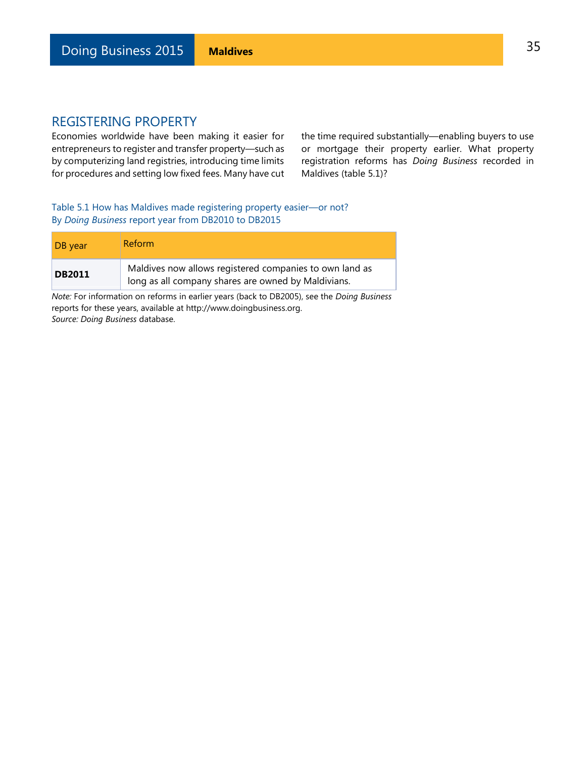Economies worldwide have been making it easier for entrepreneurs to register and transfer property—such as by computerizing land registries, introducing time limits for procedures and setting low fixed fees. Many have cut the time required substantially—enabling buyers to use or mortgage their property earlier. What property registration reforms has *Doing Business* recorded in Maldives (table 5.1)?

Table 5.1 How has Maldives made registering property easier—or not? By *Doing Business* report year from DB2010 to DB2015

| DB year       | Reform                                                                                                         |
|---------------|----------------------------------------------------------------------------------------------------------------|
| <b>DB2011</b> | Maldives now allows registered companies to own land as<br>long as all company shares are owned by Maldivians. |

*Note:* For information on reforms in earlier years (back to DB2005), see the *Doing Business* reports for these years, available at http://www.doingbusiness.org. *Source: Doing Business* database.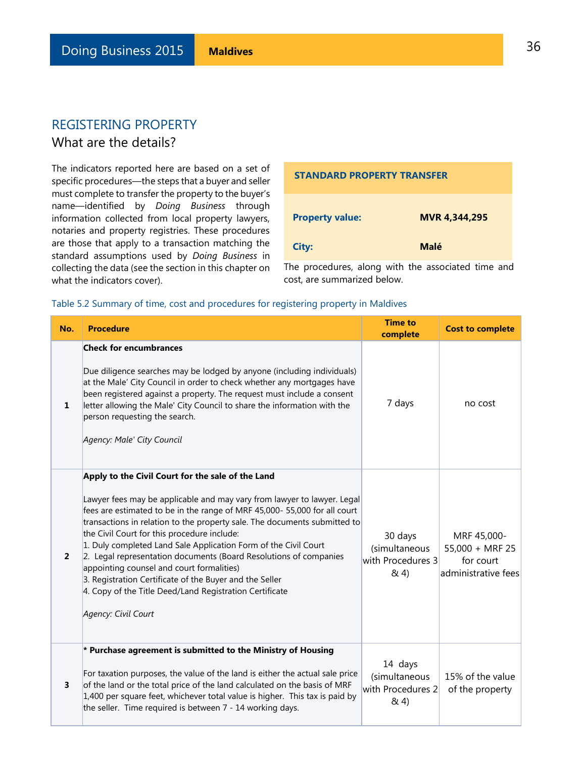### What are the details?

The indicators reported here are based on a set of specific procedures—the steps that a buyer and seller must complete to transfer the property to the buyer's name—identified by *Doing Business* through information collected from local property lawyers, notaries and property registries. These procedures are those that apply to a transaction matching the standard assumptions used by *Doing Business* in collecting the data (see the section in this chapter on what the indicators cover).

| <b>STANDARD PROPERTY TRANSFER</b> |                      |  |  |
|-----------------------------------|----------------------|--|--|
| <b>Property value:</b>            | <b>MVR 4,344,295</b> |  |  |
| City:                             | Malé                 |  |  |

The procedures, along with the associated time and cost, are summarized below.

#### Table 5.2 Summary of time, cost and procedures for registering property in Maldives

| No.            | <b>Procedure</b>                                                                                                                                                                                                                                                                                                                                                                                                                                                                                                                                                                                                                                                        | <b>Time to</b><br>complete                            | <b>Cost to complete</b>                                              |
|----------------|-------------------------------------------------------------------------------------------------------------------------------------------------------------------------------------------------------------------------------------------------------------------------------------------------------------------------------------------------------------------------------------------------------------------------------------------------------------------------------------------------------------------------------------------------------------------------------------------------------------------------------------------------------------------------|-------------------------------------------------------|----------------------------------------------------------------------|
| 1              | <b>Check for encumbrances</b><br>Due diligence searches may be lodged by anyone (including individuals)<br>at the Male' City Council in order to check whether any mortgages have<br>been registered against a property. The request must include a consent<br>letter allowing the Male' City Council to share the information with the<br>person requesting the search.<br>Agency: Male' City Council                                                                                                                                                                                                                                                                  | 7 days                                                | no cost                                                              |
| $\overline{2}$ | Apply to the Civil Court for the sale of the Land<br>Lawyer fees may be applicable and may vary from lawyer to lawyer. Legal<br>fees are estimated to be in the range of MRF 45,000- 55,000 for all court<br>transactions in relation to the property sale. The documents submitted to<br>the Civil Court for this procedure include:<br>1. Duly completed Land Sale Application Form of the Civil Court<br>2. Legal representation documents (Board Resolutions of companies<br>appointing counsel and court formalities)<br>3. Registration Certificate of the Buyer and the Seller<br>4. Copy of the Title Deed/Land Registration Certificate<br>Agency: Civil Court | 30 days<br>(simultaneous<br>with Procedures 3<br>& 4) | MRF 45,000-<br>$55,000 + MRF 25$<br>for court<br>administrative fees |
| 3              | * Purchase agreement is submitted to the Ministry of Housing<br>For taxation purposes, the value of the land is either the actual sale price<br>of the land or the total price of the land calculated on the basis of MRF<br>1,400 per square feet, whichever total value is higher. This tax is paid by<br>the seller. Time required is between 7 - 14 working days.                                                                                                                                                                                                                                                                                                   | 14 days<br>(simultaneous<br>with Procedures 2<br>8(4) | 15% of the value<br>of the property                                  |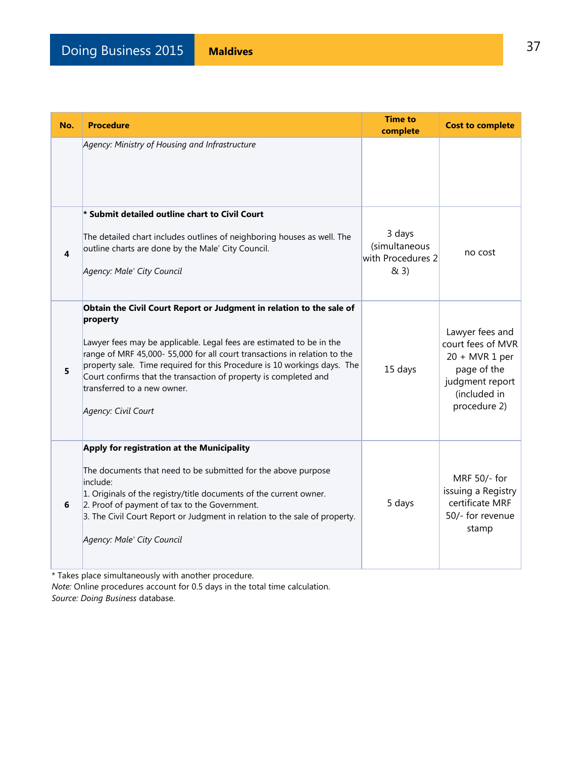| No. | <b>Procedure</b>                                                                                                                                                                                                                                                                                                                                                                                                                           | <b>Time to</b><br>complete                           | <b>Cost to complete</b>                                                                                                   |
|-----|--------------------------------------------------------------------------------------------------------------------------------------------------------------------------------------------------------------------------------------------------------------------------------------------------------------------------------------------------------------------------------------------------------------------------------------------|------------------------------------------------------|---------------------------------------------------------------------------------------------------------------------------|
|     | Agency: Ministry of Housing and Infrastructure                                                                                                                                                                                                                                                                                                                                                                                             |                                                      |                                                                                                                           |
| 4   | * Submit detailed outline chart to Civil Court<br>The detailed chart includes outlines of neighboring houses as well. The<br>outline charts are done by the Male' City Council.<br>Agency: Male' City Council                                                                                                                                                                                                                              | 3 days<br>(simultaneous<br>with Procedures 2<br>& 3) | no cost                                                                                                                   |
| 5   | Obtain the Civil Court Report or Judgment in relation to the sale of<br>property<br>Lawyer fees may be applicable. Legal fees are estimated to be in the<br>range of MRF 45,000-55,000 for all court transactions in relation to the<br>property sale. Time required for this Procedure is 10 workings days. The<br>Court confirms that the transaction of property is completed and<br>transferred to a new owner.<br>Agency: Civil Court | 15 days                                              | Lawyer fees and<br>court fees of MVR<br>$20 + MVR1$ per<br>page of the<br>judgment report<br>(included in<br>procedure 2) |
| 6   | Apply for registration at the Municipality<br>The documents that need to be submitted for the above purpose<br>include:<br>1. Originals of the registry/title documents of the current owner.<br>2. Proof of payment of tax to the Government.<br>3. The Civil Court Report or Judgment in relation to the sale of property.<br>Agency: Male' City Council                                                                                 | 5 days                                               | MRF 50/- for<br>issuing a Registry<br>certificate MRF<br>50/- for revenue<br>stamp                                        |

\* Takes place simultaneously with another procedure.

*Note:* Online procedures account for 0.5 days in the total time calculation. *Source: Doing Business* database.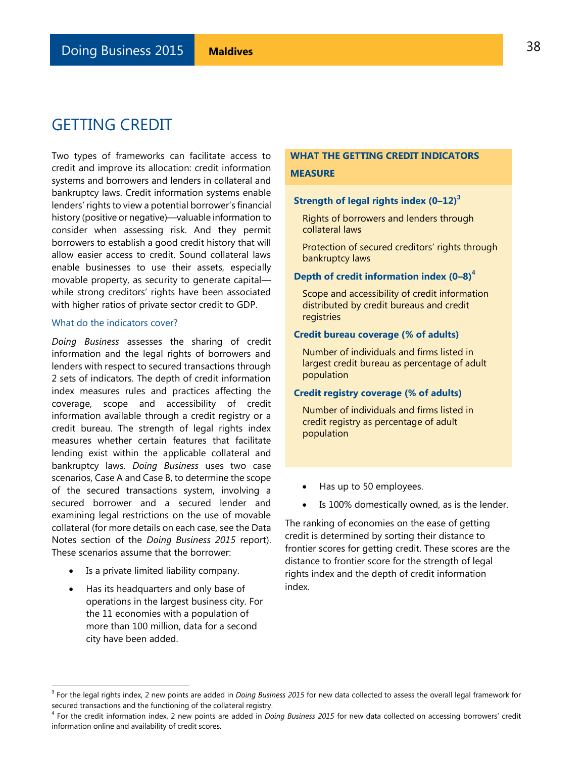# GETTING CREDIT

Two types of frameworks can facilitate access to credit and improve its allocation: credit information systems and borrowers and lenders in collateral and bankruptcy laws. Credit information systems enable lenders' rights to view a potential borrower's financial history (positive or negative)—valuable information to consider when assessing risk. And they permit borrowers to establish a good credit history that will allow easier access to credit. Sound collateral laws enable businesses to use their assets, especially movable property, as security to generate capital while strong creditors' rights have been associated with higher ratios of private sector credit to GDP.

#### What do the indicators cover?

*Doing Business* assesses the sharing of credit information and the legal rights of borrowers and lenders with respect to secured transactions through 2 sets of indicators. The depth of credit information index measures rules and practices affecting the coverage, scope and accessibility of credit information available through a credit registry or a credit bureau. The strength of legal rights index measures whether certain features that facilitate lending exist within the applicable collateral and bankruptcy laws. *Doing Business* uses two case scenarios, Case A and Case B, to determine the scope of the secured transactions system, involving a secured borrower and a secured lender and examining legal restrictions on the use of movable collateral (for more details on each case, see the Data Notes section of the *Doing Business 2015* report). These scenarios assume that the borrower:

Is a private limited liability company.

L

 Has its headquarters and only base of operations in the largest business city. For the 11 economies with a population of more than 100 million, data for a second city have been added.

### **WHAT THE GETTING CREDIT INDICATORS MEASURE**

### **Strength of legal rights index (0–12)<sup>3</sup>**

Rights of borrowers and lenders through collateral laws

Protection of secured creditors' rights through bankruptcy laws

#### **Depth of credit information index (0–8)<sup>4</sup>**

Scope and accessibility of credit information distributed by credit bureaus and credit registries

#### **Credit bureau coverage (% of adults)**

Number of individuals and firms listed in largest credit bureau as percentage of adult population

### **Credit registry coverage (% of adults)**

Number of individuals and firms listed in credit registry as percentage of adult population

- Has up to 50 employees.
- Is 100% domestically owned, as is the lender.

The ranking of economies on the ease of getting credit is determined by sorting their distance to frontier scores for getting credit. These scores are the distance to frontier score for the strength of legal rights index and the depth of credit information index.

<sup>3</sup> For the legal rights index, 2 new points are added in *Doing Business 2015* for new data collected to assess the overall legal framework for secured transactions and the functioning of the collateral registry.

<sup>4</sup> For the credit information index, 2 new points are added in *Doing Business 2015* for new data collected on accessing borrowers' credit information online and availability of credit scores.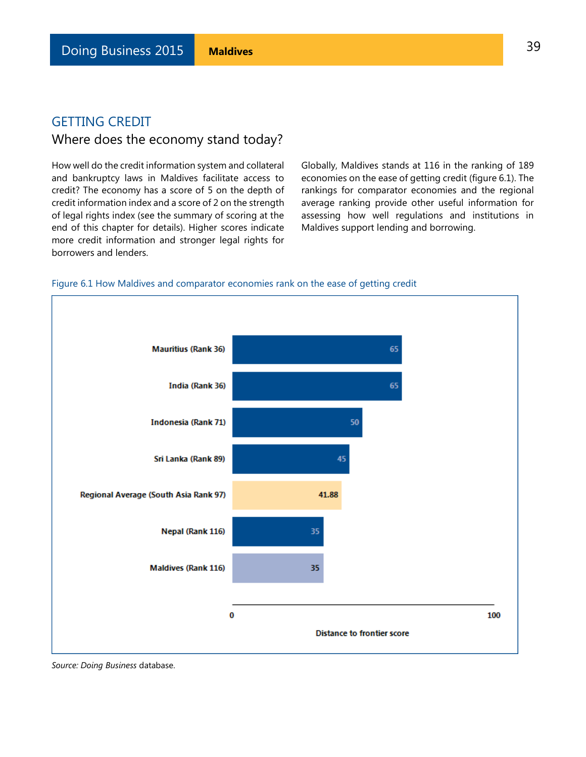# GETTING CREDIT Where does the economy stand today?

How well do the credit information system and collateral and bankruptcy laws in Maldives facilitate access to credit? The economy has a score of 5 on the depth of credit information index and a score of 2 on the strength of legal rights index (see the summary of scoring at the end of this chapter for details). Higher scores indicate more credit information and stronger legal rights for borrowers and lenders.

Globally, Maldives stands at 116 in the ranking of 189 economies on the ease of getting credit (figure 6.1). The rankings for comparator economies and the regional average ranking provide other useful information for assessing how well regulations and institutions in Maldives support lending and borrowing.

### Figure 6.1 How Maldives and comparator economies rank on the ease of getting credit



*Source: Doing Business* database.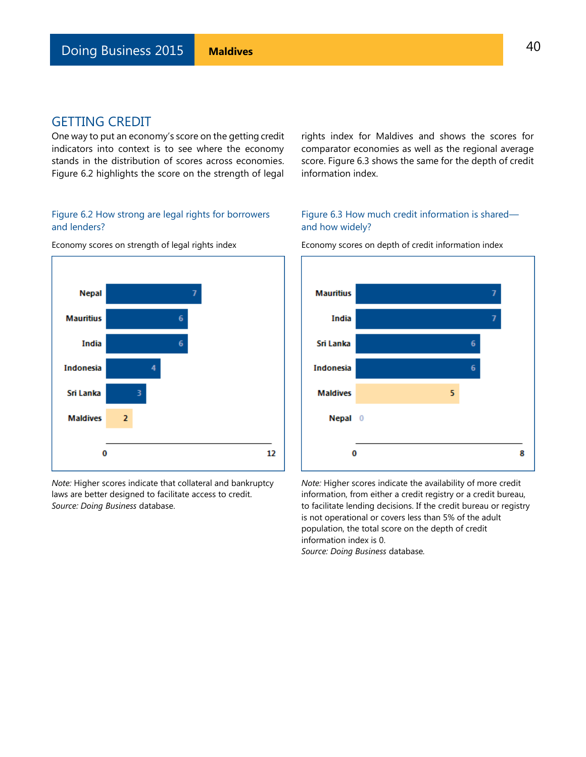### GETTING CREDIT

One way to put an economy's score on the getting credit indicators into context is to see where the economy stands in the distribution of scores across economies. Figure 6.2 highlights the score on the strength of legal

### Figure 6.2 How strong are legal rights for borrowers and lenders?

Economy scores on strength of legal rights index



*Note:* Higher scores indicate that collateral and bankruptcy laws are better designed to facilitate access to credit. *Source: Doing Business* database.

rights index for Maldives and shows the scores for comparator economies as well as the regional average score. Figure 6.3 shows the same for the depth of credit information index.

### Figure 6.3 How much credit information is shared and how widely?



Economy scores on depth of credit information index

*Note:* Higher scores indicate the availability of more credit information, from either a credit registry or a credit bureau, to facilitate lending decisions. If the credit bureau or registry is not operational or covers less than 5% of the adult population, the total score on the depth of credit information index is 0.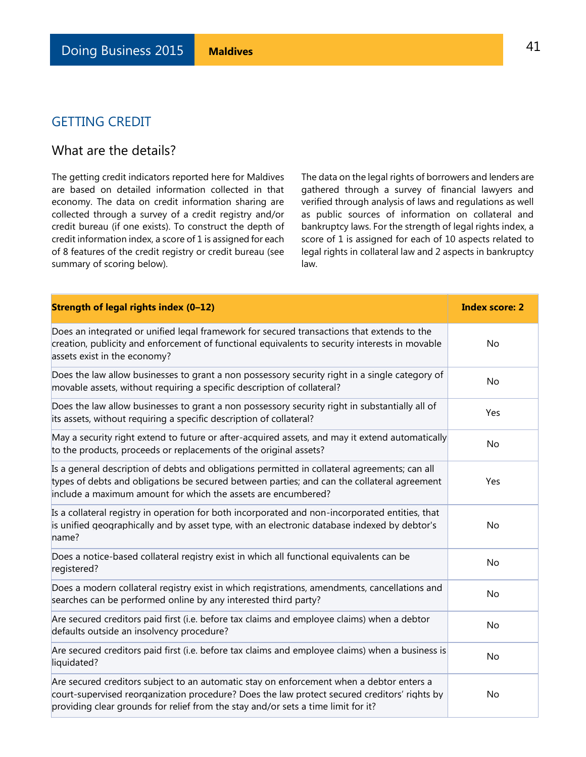## GETTING CREDIT

## What are the details?

The getting credit indicators reported here for Maldives are based on detailed information collected in that economy. The data on credit information sharing are collected through a survey of a credit registry and/or credit bureau (if one exists). To construct the depth of credit information index, a score of 1 is assigned for each of 8 features of the credit registry or credit bureau (see summary of scoring below).

The data on the legal rights of borrowers and lenders are gathered through a survey of financial lawyers and verified through analysis of laws and regulations as well as public sources of information on collateral and bankruptcy laws. For the strength of legal rights index, a score of 1 is assigned for each of 10 aspects related to legal rights in collateral law and 2 aspects in bankruptcy law.

| Strength of legal rights index (0-12)                                                                                                                                                                                                                                         | <b>Index score: 2</b> |
|-------------------------------------------------------------------------------------------------------------------------------------------------------------------------------------------------------------------------------------------------------------------------------|-----------------------|
| Does an integrated or unified legal framework for secured transactions that extends to the<br>creation, publicity and enforcement of functional equivalents to security interests in movable<br>assets exist in the economy?                                                  | No                    |
| Does the law allow businesses to grant a non possessory security right in a single category of<br>movable assets, without requiring a specific description of collateral?                                                                                                     | No                    |
| Does the law allow businesses to grant a non possessory security right in substantially all of<br>its assets, without requiring a specific description of collateral?                                                                                                         | Yes                   |
| May a security right extend to future or after-acquired assets, and may it extend automatically<br>to the products, proceeds or replacements of the original assets?                                                                                                          | No                    |
| Is a general description of debts and obligations permitted in collateral agreements; can all<br>types of debts and obligations be secured between parties; and can the collateral agreement<br>include a maximum amount for which the assets are encumbered?                 | Yes                   |
| Is a collateral registry in operation for both incorporated and non-incorporated entities, that<br>is unified geographically and by asset type, with an electronic database indexed by debtor's<br>name?                                                                      | No                    |
| Does a notice-based collateral registry exist in which all functional equivalents can be<br>registered?                                                                                                                                                                       | <b>No</b>             |
| Does a modern collateral registry exist in which registrations, amendments, cancellations and<br>searches can be performed online by any interested third party?                                                                                                              | No                    |
| Are secured creditors paid first (i.e. before tax claims and employee claims) when a debtor<br>defaults outside an insolvency procedure?                                                                                                                                      | No                    |
| Are secured creditors paid first (i.e. before tax claims and employee claims) when a business is<br>liquidated?                                                                                                                                                               | No                    |
| Are secured creditors subject to an automatic stay on enforcement when a debtor enters a<br>court-supervised reorganization procedure? Does the law protect secured creditors' rights by<br>providing clear grounds for relief from the stay and/or sets a time limit for it? | No                    |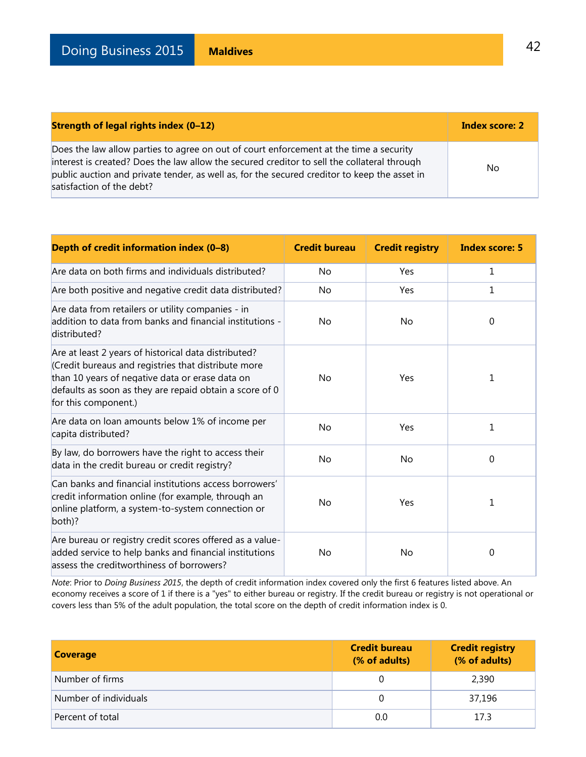| Strength of legal rights index (0-12)                                                                                                                                                                                                                                                                              | Index score: 2 |
|--------------------------------------------------------------------------------------------------------------------------------------------------------------------------------------------------------------------------------------------------------------------------------------------------------------------|----------------|
| Does the law allow parties to agree on out of court enforcement at the time a security<br>interest is created? Does the law allow the secured creditor to sell the collateral through<br>public auction and private tender, as well as, for the secured creditor to keep the asset in<br>satisfaction of the debt? | No.            |

| Depth of credit information index (0-8)                                                                                                                                                                                                          | <b>Credit bureau</b> | <b>Credit registry</b> | <b>Index score: 5</b> |
|--------------------------------------------------------------------------------------------------------------------------------------------------------------------------------------------------------------------------------------------------|----------------------|------------------------|-----------------------|
| Are data on both firms and individuals distributed?                                                                                                                                                                                              | No                   | Yes                    | $\mathbf{1}$          |
| Are both positive and negative credit data distributed?                                                                                                                                                                                          | No                   | Yes                    | $\mathbf{1}$          |
| Are data from retailers or utility companies - in<br>addition to data from banks and financial institutions -<br>distributed?                                                                                                                    | No                   | <b>No</b>              | 0                     |
| Are at least 2 years of historical data distributed?<br>Credit bureaus and registries that distribute more<br>than 10 years of negative data or erase data on<br>defaults as soon as they are repaid obtain a score of 0<br>for this component.) | No                   | Yes                    | 1                     |
| Are data on loan amounts below 1% of income per<br>capita distributed?                                                                                                                                                                           | No                   | Yes                    | $\mathbf{1}$          |
| By law, do borrowers have the right to access their<br>data in the credit bureau or credit registry?                                                                                                                                             | No                   | <b>No</b>              | 0                     |
| Can banks and financial institutions access borrowers'<br>credit information online (for example, through an<br>online platform, a system-to-system connection or<br>both)?                                                                      | No                   | Yes                    | 1                     |
| Are bureau or registry credit scores offered as a value-<br>added service to help banks and financial institutions<br>assess the creditworthiness of borrowers?                                                                                  | No                   | No                     | 0                     |

*Note*: Prior to *Doing Business 2015*, the depth of credit information index covered only the first 6 features listed above. An economy receives a score of 1 if there is a "yes" to either bureau or registry. If the credit bureau or registry is not operational or covers less than 5% of the adult population, the total score on the depth of credit information index is 0.

| <b>Coverage</b>       | <b>Credit bureau</b><br>(% of adults) | <b>Credit registry</b><br>(% of adults) |
|-----------------------|---------------------------------------|-----------------------------------------|
| Number of firms       |                                       | 2,390                                   |
| Number of individuals |                                       | 37,196                                  |
| Percent of total      | 0.0                                   | 17.3                                    |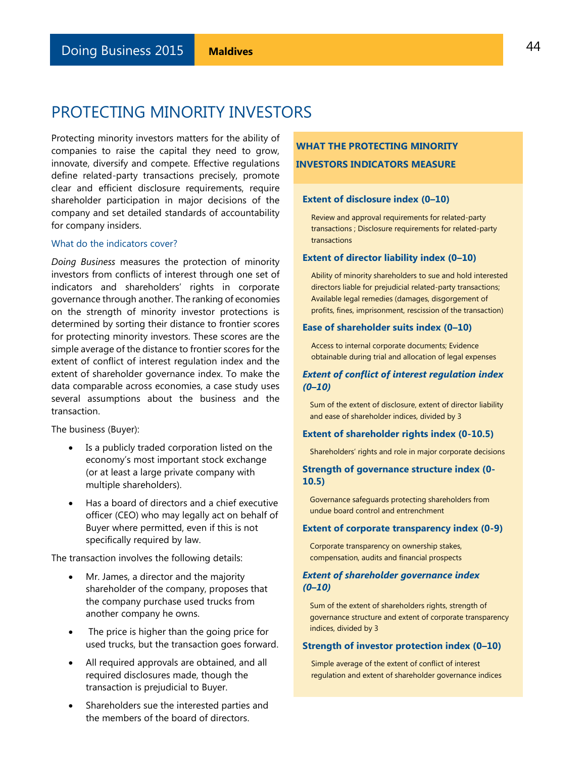Protecting minority investors matters for the ability of companies to raise the capital they need to grow, innovate, diversify and compete. Effective regulations define related-party transactions precisely, promote clear and efficient disclosure requirements, require shareholder participation in major decisions of the company and set detailed standards of accountability for company insiders.

#### What do the indicators cover?

*Doing Business* measures the protection of minority investors from conflicts of interest through one set of indicators and shareholders' rights in corporate governance through another. The ranking of economies on the strength of minority investor protections is determined by sorting their distance to frontier scores for protecting minority investors. These scores are the simple average of the distance to frontier scores for the extent of conflict of interest regulation index and the extent of shareholder governance index. To make the data comparable across economies, a case study uses several assumptions about the business and the transaction.

The business (Buyer):

- Is a publicly traded corporation listed on the economy's most important stock exchange (or at least a large private company with multiple shareholders).
- Has a board of directors and a chief executive officer (CEO) who may legally act on behalf of Buyer where permitted, even if this is not specifically required by law.

The transaction involves the following details:

- Mr. James, a director and the majority shareholder of the company, proposes that the company purchase used trucks from another company he owns.
- The price is higher than the going price for used trucks, but the transaction goes forward.
- All required approvals are obtained, and all required disclosures made, though the transaction is prejudicial to Buyer.
- Shareholders sue the interested parties and the members of the board of directors.

## **WHAT THE PROTECTING MINORITY INVESTORS INDICATORS MEASURE**

#### **Extent of disclosure index (0–10)**

Review and approval requirements for related-party transactions ; Disclosure requirements for related-party transactions

#### **Extent of director liability index (0–10)**

Ability of minority shareholders to sue and hold interested directors liable for prejudicial related-party transactions; Available legal remedies (damages, disgorgement of profits, fines, imprisonment, rescission of the transaction)

#### **Ease of shareholder suits index (0–10)**

Access to internal corporate documents; Evidence obtainable during trial and allocation of legal expenses

### *Extent of conflict of interest regulation index (0–10)*

Sum of the extent of disclosure, extent of director liability and ease of shareholder indices, divided by 3

#### **Extent of shareholder rights index (0-10.5)**

Shareholders' rights and role in major corporate decisions

### **Strength of governance structure index (0- 10.5)**

Governance safeguards protecting shareholders from undue board control and entrenchment

#### **Extent of corporate transparency index (0-9)**

Corporate transparency on ownership stakes, compensation, audits and financial prospects

#### *Extent of shareholder governance index (0–10)*

Sum of the extent of shareholders rights, strength of governance structure and extent of corporate transparency indices, divided by 3

#### **Strength of investor protection index (0–10)**

Simple average of the extent of conflict of interest regulation and extent of shareholder governance indices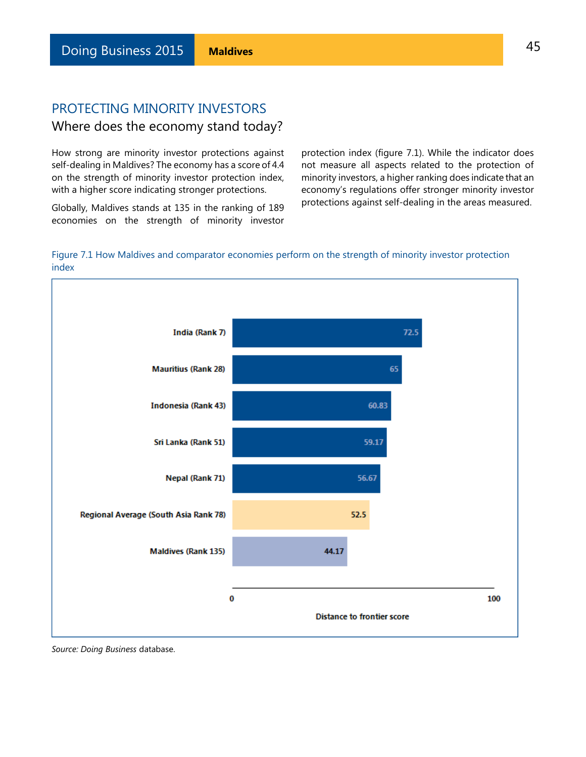# PROTECTING MINORITY INVESTORS Where does the economy stand today?

How strong are minority investor protections against self-dealing in Maldives? The economy has a score of 4.4 on the strength of minority investor protection index, with a higher score indicating stronger protections.

Globally, Maldives stands at 135 in the ranking of 189 economies on the strength of minority investor

protection index (figure 7.1). While the indicator does not measure all aspects related to the protection of minority investors, a higher ranking does indicate that an economy's regulations offer stronger minority investor protections against self-dealing in the areas measured.

### Figure 7.1 How Maldives and comparator economies perform on the strength of minority investor protection index



*Source: Doing Business* database.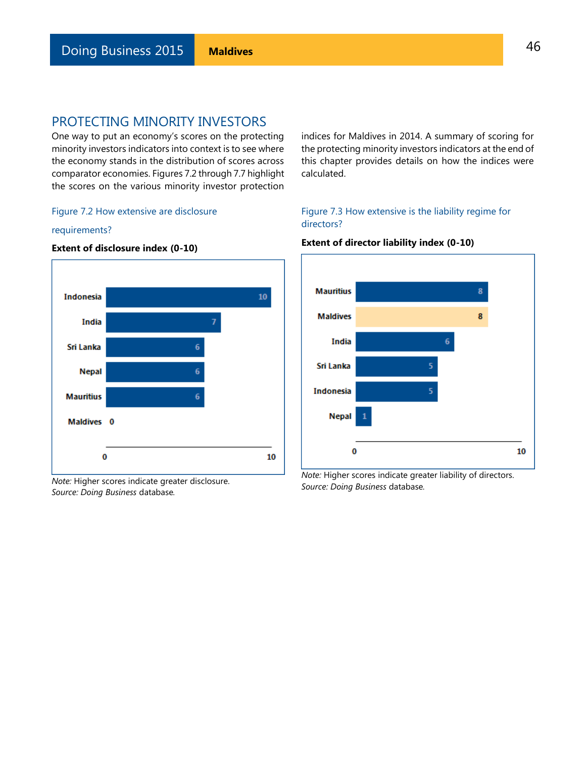One way to put an economy's scores on the protecting minority investors indicators into context is to see where the economy stands in the distribution of scores across comparator economies. Figures 7.2 through 7.7 highlight the scores on the various minority investor protection

### Figure 7.2 How extensive are disclosure

#### requirements?



### **Extent of disclosure index (0-10)**

*Note:* Higher scores indicate greater disclosure. *Source: Doing Business* database*.*

### indices for Maldives in 2014. A summary of scoring for the protecting minority investors indicators at the end of this chapter provides details on how the indices were calculated.

### Figure 7.3 How extensive is the liability regime for directors?



### **Extent of director liability index (0-10)**

*Note:* Higher scores indicate greater liability of directors. *Source: Doing Business* database*.*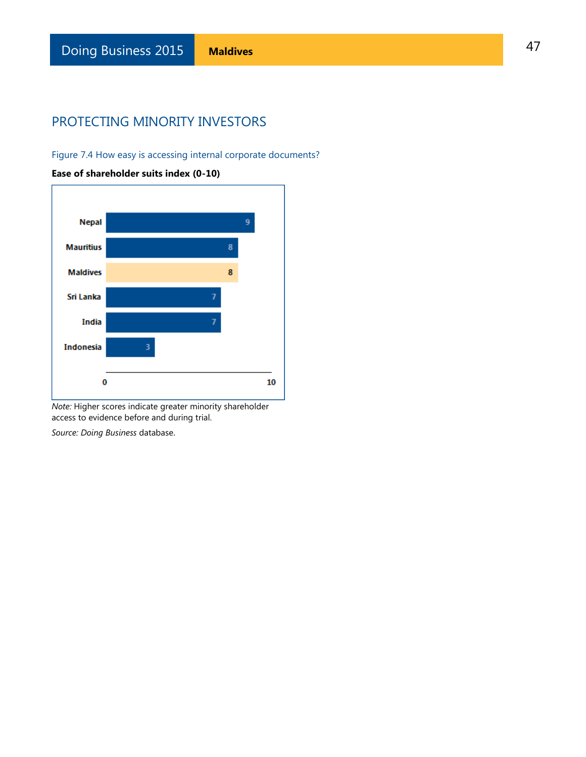Figure 7.4 How easy is accessing internal corporate documents?



**Ease of shareholder suits index (0-10)**

*Note:* Higher scores indicate greater minority shareholder access to evidence before and during trial.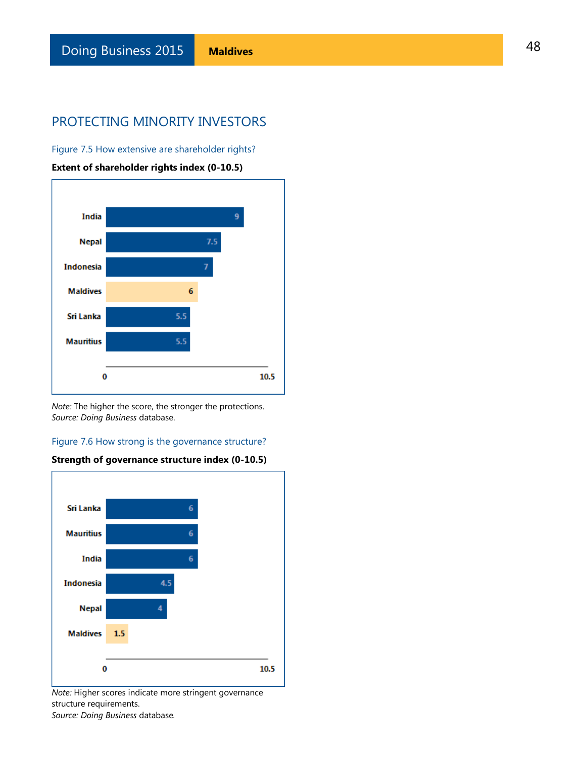Figure 7.5 How extensive are shareholder rights?

**Extent of shareholder rights index (0-10.5)** 



*Note:* The higher the score, the stronger the protections. *Source: Doing Business* database.

### Figure 7.6 How strong is the governance structure?



### **Strength of governance structure index (0-10.5)**

*Note:* Higher scores indicate more stringent governance structure requirements. *Source: Doing Business* database*.*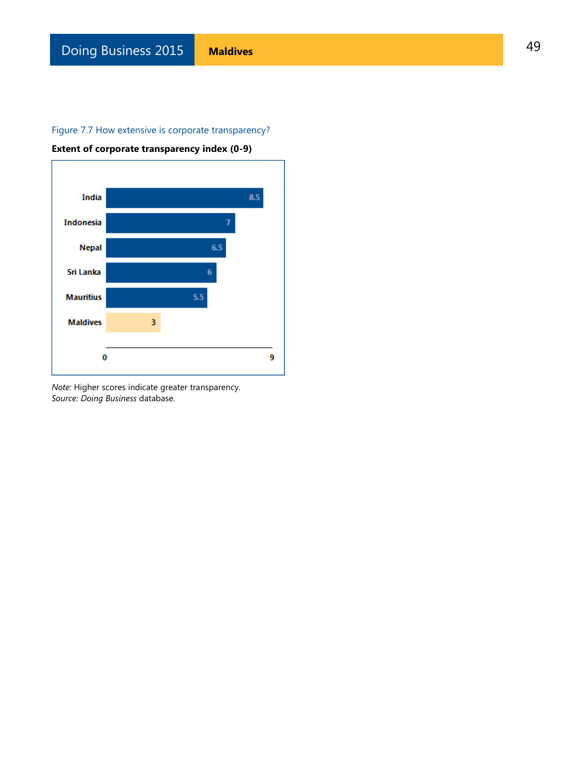### Figure 7.7 How extensive is corporate transparency?



**Extent of corporate transparency index (0-9)**

*Note:* Higher scores indicate greater transparency. *Source: Doing Business* database.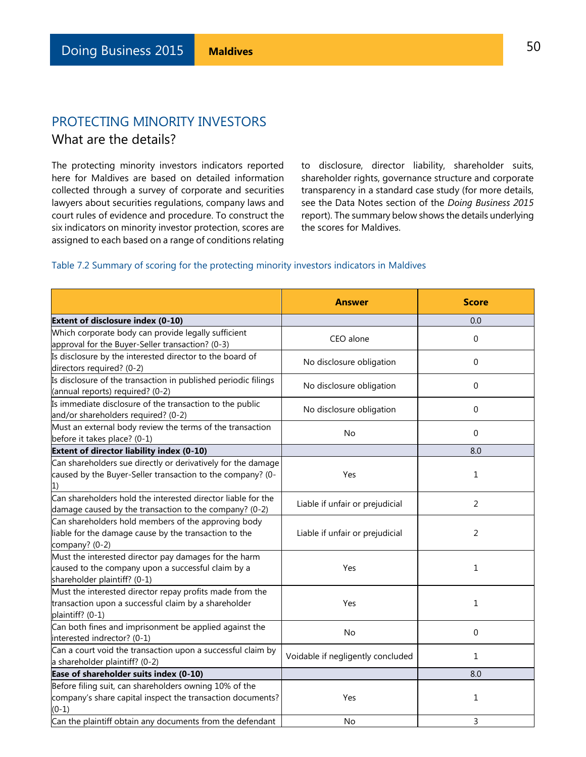# PROTECTING MINORITY INVESTORS What are the details?

The protecting minority investors indicators reported here for Maldives are based on detailed information collected through a survey of corporate and securities lawyers about securities regulations, company laws and court rules of evidence and procedure. To construct the six indicators on minority investor protection, scores are assigned to each based on a range of conditions relating

to disclosure, director liability, shareholder suits, shareholder rights, governance structure and corporate transparency in a standard case study (for more details, see the Data Notes section of the *Doing Business 2015*  report). The summary below shows the details underlying the scores for Maldives.

### Table 7.2 Summary of scoring for the protecting minority investors indicators in Maldives

|                                                                                                                                             | <b>Answer</b>                     | <b>Score</b> |
|---------------------------------------------------------------------------------------------------------------------------------------------|-----------------------------------|--------------|
| <b>Extent of disclosure index (0-10)</b>                                                                                                    |                                   | 0.0          |
| Which corporate body can provide legally sufficient<br>approval for the Buyer-Seller transaction? (0-3)                                     | CEO alone                         | $\Omega$     |
| Is disclosure by the interested director to the board of<br>directors required? (0-2)                                                       | No disclosure obligation          | $\Omega$     |
| Is disclosure of the transaction in published periodic filings<br>(annual reports) required? (0-2)                                          | No disclosure obligation          | 0            |
| Is immediate disclosure of the transaction to the public<br>and/or shareholders required? (0-2)                                             | No disclosure obligation          | 0            |
| Must an external body review the terms of the transaction<br>before it takes place? (0-1)                                                   | No                                | $\Omega$     |
| Extent of director liability index (0-10)                                                                                                   |                                   | 8.0          |
| Can shareholders sue directly or derivatively for the damage<br>caused by the Buyer-Seller transaction to the company? (0-                  | Yes                               | $\mathbf{1}$ |
| Can shareholders hold the interested director liable for the<br>damage caused by the transaction to the company? (0-2)                      | Liable if unfair or prejudicial   | 2            |
| Can shareholders hold members of the approving body<br>liable for the damage cause by the transaction to the<br>company? (0-2)              | Liable if unfair or prejudicial   | 2            |
| Must the interested director pay damages for the harm<br>caused to the company upon a successful claim by a<br>shareholder plaintiff? (0-1) | Yes                               | 1            |
| Must the interested director repay profits made from the<br>transaction upon a successful claim by a shareholder<br>plaintiff? (0-1)        | Yes                               | $\mathbf{1}$ |
| Can both fines and imprisonment be applied against the<br>interested indrector? (0-1)                                                       | No                                | 0            |
| Can a court void the transaction upon a successful claim by<br>a shareholder plaintiff? (0-2)                                               | Voidable if negligently concluded | 1            |
| Ease of shareholder suits index (0-10)                                                                                                      |                                   | 8.0          |
| Before filing suit, can shareholders owning 10% of the<br>company's share capital inspect the transaction documents?<br>$(0-1)$             | Yes                               | 1            |
| Can the plaintiff obtain any documents from the defendant                                                                                   | <b>No</b>                         | 3            |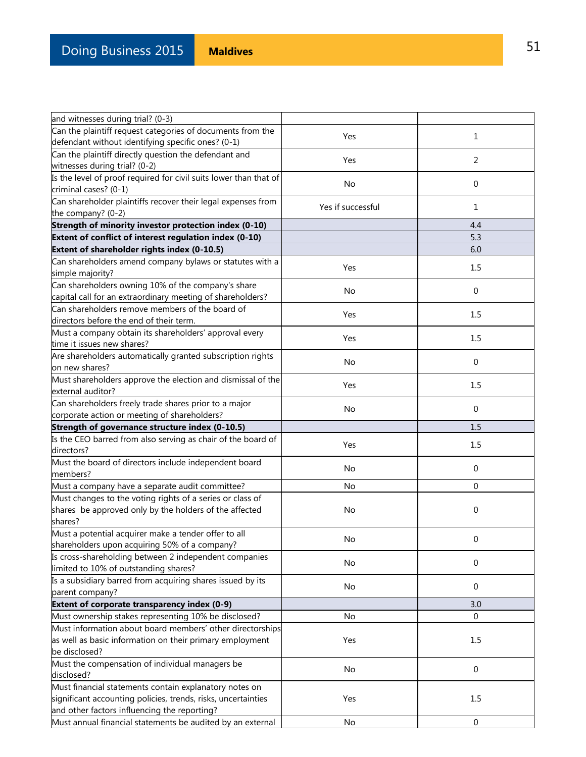| and witnesses during trial? (0-3)                                 |                   |                  |
|-------------------------------------------------------------------|-------------------|------------------|
| Can the plaintiff request categories of documents from the        | Yes               | $\mathbf{1}$     |
| defendant without identifying specific ones? (0-1)                |                   |                  |
| Can the plaintiff directly question the defendant and             |                   |                  |
| witnesses during trial? (0-2)                                     | Yes               | $\overline{2}$   |
| Is the level of proof required for civil suits lower than that of |                   |                  |
| criminal cases? (0-1)                                             | No                | $\mathbf{0}$     |
| Can shareholder plaintiffs recover their legal expenses from      |                   |                  |
| the company? (0-2)                                                | Yes if successful | $\mathbf{1}$     |
| Strength of minority investor protection index (0-10)             |                   | 4.4              |
| Extent of conflict of interest regulation index (0-10)            |                   | 5.3              |
| Extent of shareholder rights index (0-10.5)                       |                   | 6.0              |
| Can shareholders amend company bylaws or statutes with a          |                   |                  |
| simple majority?                                                  | Yes               | 1.5              |
| Can shareholders owning 10% of the company's share                |                   |                  |
| capital call for an extraordinary meeting of shareholders?        | No                | 0                |
| Can shareholders remove members of the board of                   |                   |                  |
| directors before the end of their term.                           | Yes               | 1.5              |
| Must a company obtain its shareholders' approval every            |                   |                  |
| time it issues new shares?                                        | Yes               | 1.5              |
| Are shareholders automatically granted subscription rights        |                   |                  |
| on new shares?                                                    | No                | $\mathbf 0$      |
| Must shareholders approve the election and dismissal of the       |                   |                  |
| external auditor?                                                 | Yes               | 1.5              |
| Can shareholders freely trade shares prior to a major             |                   |                  |
| corporate action or meeting of shareholders?                      | No                | $\mathbf 0$      |
| Strength of governance structure index (0-10.5)                   |                   | 1.5              |
| Is the CEO barred from also serving as chair of the board of      |                   |                  |
| directors?                                                        | Yes               | 1.5              |
| Must the board of directors include independent board             |                   |                  |
| members?                                                          | No                | $\mathbf{0}$     |
| Must a company have a separate audit committee?                   | No                | $\mathbf{0}$     |
| Must changes to the voting rights of a series or class of         |                   |                  |
| shares be approved only by the holders of the affected            | No                | 0                |
| shares?                                                           |                   |                  |
| Must a potential acquirer make a tender offer to all              |                   |                  |
| shareholders upon acquiring 50% of a company?                     | No                | 0                |
| Is cross-shareholding between 2 independent companies             |                   |                  |
| limited to 10% of outstanding shares?                             | No                | 0                |
| Is a subsidiary barred from acquiring shares issued by its        |                   |                  |
| parent company?                                                   | No                | 0                |
| Extent of corporate transparency index (0-9)                      |                   | 3.0              |
| Must ownership stakes representing 10% be disclosed?              | No                | 0                |
| Must information about board members' other directorships         |                   |                  |
| as well as basic information on their primary employment          | Yes               | 1.5              |
| be disclosed?                                                     |                   |                  |
| Must the compensation of individual managers be                   |                   |                  |
| disclosed?                                                        | No                | 0                |
| Must financial statements contain explanatory notes on            |                   |                  |
| significant accounting policies, trends, risks, uncertainties     | Yes               | 1.5              |
| and other factors influencing the reporting?                      |                   |                  |
| Must annual financial statements be audited by an external        | No                | $\boldsymbol{0}$ |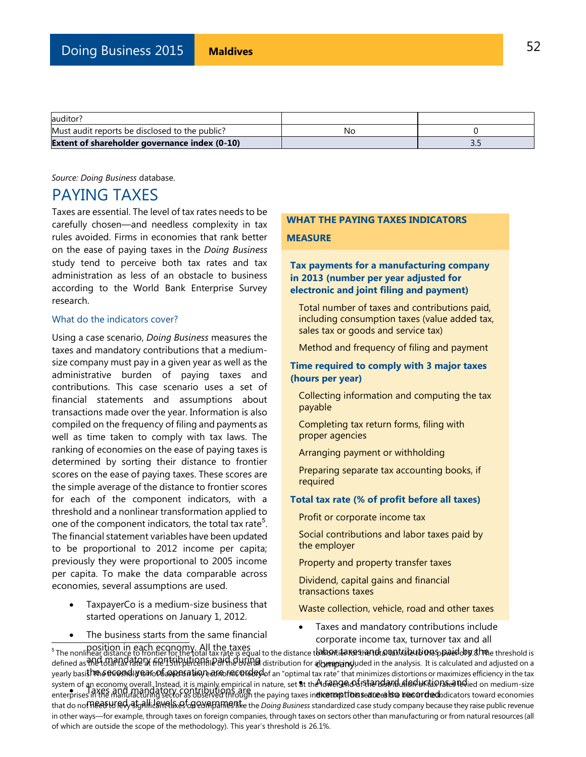| auditor?                                             |    |   |
|------------------------------------------------------|----|---|
| Must audit reports be disclosed to the public?       | Νc |   |
| <b>Extent of shareholder governance index (0-10)</b> |    | . |

*Source: Doing Business* database.

# PAYING TAXES

Taxes are essential. The level of tax rates needs to be carefully chosen—and needless complexity in tax rules avoided. Firms in economies that rank better on the ease of paying taxes in the *Doing Business* study tend to perceive both tax rates and tax administration as less of an obstacle to business according to the World Bank Enterprise Survey research.

#### What do the indicators cover?

Using a case scenario, *Doing Business* measures the taxes and mandatory contributions that a mediumsize company must pay in a given year as well as the administrative burden of paying taxes and contributions. This case scenario uses a set of financial statements and assumptions about transactions made over the year. Information is also compiled on the frequency of filing and payments as well as time taken to comply with tax laws. The ranking of economies on the ease of paying taxes is determined by sorting their distance to frontier scores on the ease of paying taxes. These scores are the simple average of the distance to frontier scores for each of the component indicators, with a threshold and a nonlinear transformation applied to one of the component indicators, the total tax rate<sup>5</sup>. The financial statement variables have been updated to be proportional to 2012 income per capita; previously they were proportional to 2005 income per capita. To make the data comparable across economies, several assumptions are used.

- TaxpayerCo is a medium-size business that started operations on January 1, 2012.
- The business starts from the same financial

### **WHAT THE PAYING TAXES INDICATORS MEASURE**

### **Tax payments for a manufacturing company in 2013 (number per year adjusted for electronic and joint filing and payment)**

Total number of taxes and contributions paid, including consumption taxes (value added tax, sales tax or goods and service tax)

Method and frequency of filing and payment

### **Time required to comply with 3 major taxes (hours per year)**

Collecting information and computing the tax payable

Completing tax return forms, filing with proper agencies

Arranging payment or withholding

Preparing separate tax accounting books, if required

### **Total tax rate (% of profit before all taxes)**

Profit or corporate income tax

Social contributions and labor taxes paid by the employer

Property and property transfer taxes

Dividend, capital gains and financial transactions taxes

Waste collection, vehicle, road and other taxes

 Taxes and mandatory contributions include corporate income tax, turnover tax and all

position in each economy. All the taxes and mandatory contributions paid during yearly basis. ከጫቆ<del>በናው Molly Balo Po AQ DEA U</del> MP ed ምንጭ በተፈረጋተው የመሆን የመሆን የተደረገ that minimizes distortions or maximizes efficiency in the tax  $\bullet$  . Taxes and mandatory contributions are that do not Reas H/Rd<sub>3</sub>da at all levels of GP explorative the *Doing Business* standardized case study company because they raise public revenue labon taxes and acastributions paid by she c **a**dbraapsainsyu at the Idway and fattandarid deductions and i **eixerorptioinseaneealiste biesordred**ho Fire business starts from the same imancial<br>position in each economy. All the taxes<br>The nonlinear distance to frontier for the total tax rate is equal to the distance to habortian that the power tax and all defined as የነ<del>ሁ total tax rate at the 15th percent</del>ile of the Uveral distribution for algrappanduded in the analysis. It is calculated and adjusted on a system of an economy overall. Instead, it is mainly empirical in nature, set at the ነውቅበ9ቁለው፣ናቹሎጊው#በውቅበው ቀርቺ እንደሚሰው የመied on medium-size enterprises in the manufacturing sector as observed through the paying taxes in**dicators from streams the bias or deci**ndicators toward economies in other ways—for example, through taxes on foreign companies, through taxes on sectors other than manufacturing or from natural resources (all of which are outside the scope of the methodology). This year's threshold is 26.1%.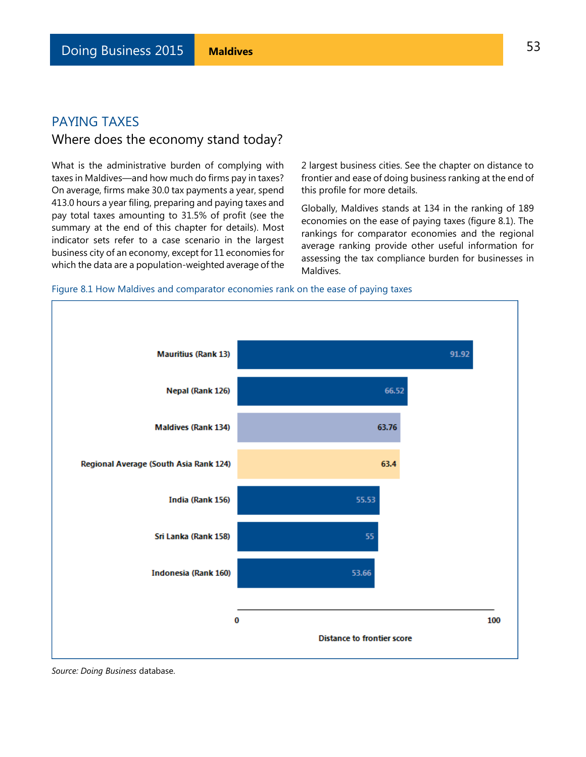# PAYING TAXES Where does the economy stand today?

What is the administrative burden of complying with taxes in Maldives—and how much do firms pay in taxes? On average, firms make 30.0 tax payments a year, spend 413.0 hours a year filing, preparing and paying taxes and pay total taxes amounting to 31.5% of profit (see the summary at the end of this chapter for details). Most indicator sets refer to a case scenario in the largest business city of an economy, except for 11 economies for which the data are a population-weighted average of the

2 largest business cities. See the chapter on distance to frontier and ease of doing business ranking at the end of this profile for more details.

Globally, Maldives stands at 134 in the ranking of 189 economies on the ease of paying taxes (figure 8.1). The rankings for comparator economies and the regional average ranking provide other useful information for assessing the tax compliance burden for businesses in Maldives.

### Figure 8.1 How Maldives and comparator economies rank on the ease of paying taxes



*Source: Doing Business* database.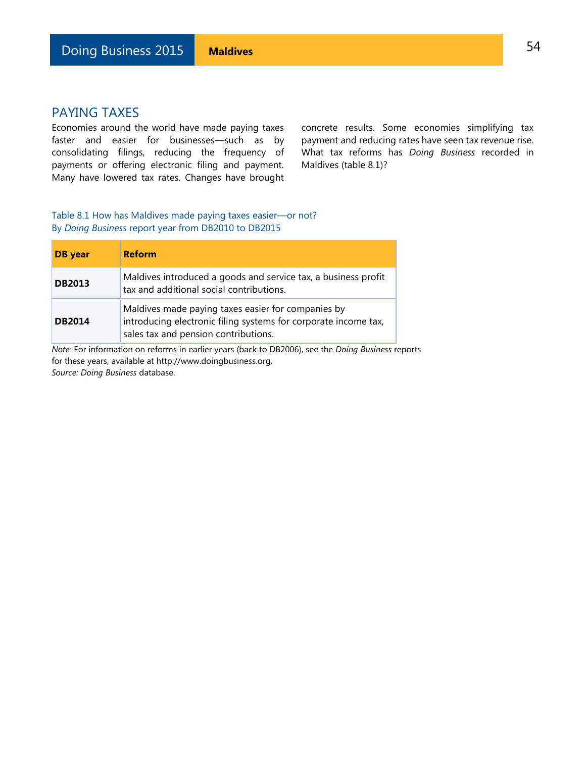### PAYING TAXES

Economies around the world have made paying taxes faster and easier for businesses—such as by consolidating filings, reducing the frequency of payments or offering electronic filing and payment. Many have lowered tax rates. Changes have brought

concrete results. Some economies simplifying tax payment and reducing rates have seen tax revenue rise. What tax reforms has *Doing Business* recorded in Maldives (table 8.1)?

Table 8.1 How has Maldives made paying taxes easier—or not? By *Doing Business* report year from DB2010 to DB2015

| DB year       | <b>Reform</b>                                                                                                                                                 |
|---------------|---------------------------------------------------------------------------------------------------------------------------------------------------------------|
| <b>DB2013</b> | Maldives introduced a goods and service tax, a business profit<br>tax and additional social contributions.                                                    |
| <b>DB2014</b> | Maldives made paying taxes easier for companies by<br>introducing electronic filing systems for corporate income tax,<br>sales tax and pension contributions. |

*Note:* For information on reforms in earlier years (back to DB2006), see the *Doing Business* reports for these years, available at http://www.doingbusiness.org. *Source: Doing Business* database.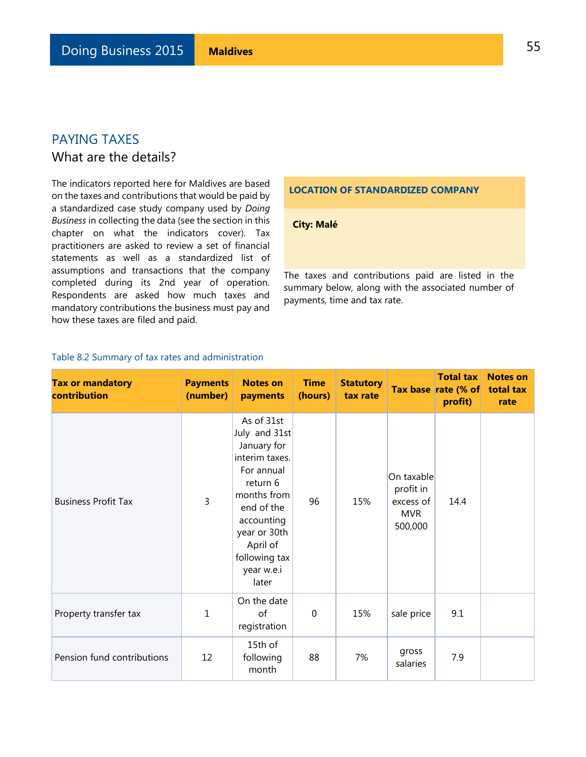# PAYING TAXES What are the details?

The indicators reported here for Maldives are based on the taxes and contributions that would be paid by a standardized case study company used by *Doing Business* in collecting the data (see the section in this chapter on what the indicators cover). Tax practitioners are asked to review a set of financial statements as well as a standardized list of assumptions and transactions that the company completed during its 2nd year of operation. Respondents are asked how much taxes and mandatory contributions the business must pay and how these taxes are filed and paid.

### **LOCATION OF STANDARDIZED COMPANY**

### **City: Malé**

The taxes and contributions paid are listed in the summary below, along with the associated number of payments, time and tax rate.

| <b>Tax or mandatory</b><br>contribution | <b>Payments</b><br>(number) | <b>Notes on</b><br>payments                                                                                                                                                                           | <b>Time</b><br>(hours) | <b>Statutory</b><br>tax rate |                                                               | <b>Total tax</b><br>Tax base rate (% of<br>profit) | <b>Notes on</b><br>total tax<br>rate |
|-----------------------------------------|-----------------------------|-------------------------------------------------------------------------------------------------------------------------------------------------------------------------------------------------------|------------------------|------------------------------|---------------------------------------------------------------|----------------------------------------------------|--------------------------------------|
| <b>Business Profit Tax</b>              | 3                           | As of 31st<br>July and 31st<br>January for<br>interim taxes.<br>For annual<br>return 6<br>months from<br>end of the<br>accounting<br>year or 30th<br>April of<br>following tax<br>year w.e.i<br>later | 96                     | 15%                          | On taxable<br>profit in<br>excess of<br><b>MVR</b><br>500,000 | 14.4                                               |                                      |
| Property transfer tax                   | 1                           | On the date<br>of<br>registration                                                                                                                                                                     | $\mathbf 0$            | 15%                          | sale price                                                    | 9.1                                                |                                      |
| Pension fund contributions              | 12                          | 15th of<br>following<br>month                                                                                                                                                                         | 88                     | 7%                           | gross<br>salaries                                             | 7.9                                                |                                      |

### Table 8.2 Summary of tax rates and administration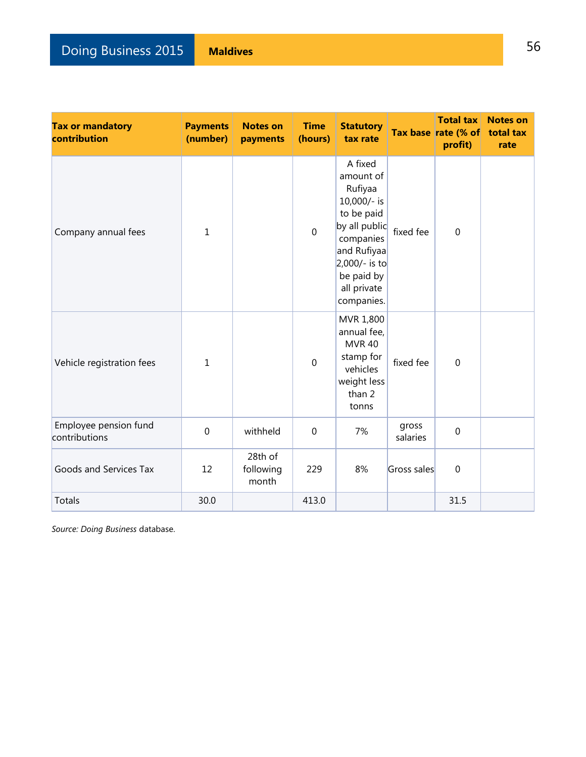# **Doing Business 2015 Maldives** 56

| <b>Tax or mandatory</b><br>contribution | <b>Payments</b><br>(number) | <b>Notes on</b><br>payments   | <b>Time</b><br>(hours) | <b>Statutory</b><br>tax rate                                                                                                                                          |                   | <b>Total tax</b><br>Tax base rate (% of<br>profit) | <b>Notes on</b><br>total tax<br>rate |
|-----------------------------------------|-----------------------------|-------------------------------|------------------------|-----------------------------------------------------------------------------------------------------------------------------------------------------------------------|-------------------|----------------------------------------------------|--------------------------------------|
| Company annual fees                     | 1                           |                               | $\mathbf 0$            | A fixed<br>amount of<br>Rufiyaa<br>10,000/- is<br>to be paid<br>by all public<br>companies<br>and Rufiyaa<br>2,000/- is to<br>be paid by<br>all private<br>companies. | fixed fee         | $\overline{0}$                                     |                                      |
| Vehicle registration fees               | $\mathbf 1$                 |                               | $\overline{0}$         | MVR 1,800<br>annual fee,<br><b>MVR 40</b><br>stamp for<br>vehicles<br>weight less<br>than 2<br>tonns                                                                  | fixed fee         | $\overline{0}$                                     |                                      |
| Employee pension fund<br>contributions  | $\mathbf 0$                 | withheld                      | $\mathbf 0$            | 7%                                                                                                                                                                    | gross<br>salaries | $\mathbf 0$                                        |                                      |
| Goods and Services Tax                  | 12                          | 28th of<br>following<br>month | 229                    | 8%                                                                                                                                                                    | Gross sales       | $\mathbf 0$                                        |                                      |
| Totals                                  | 30.0                        |                               | 413.0                  |                                                                                                                                                                       |                   | 31.5                                               |                                      |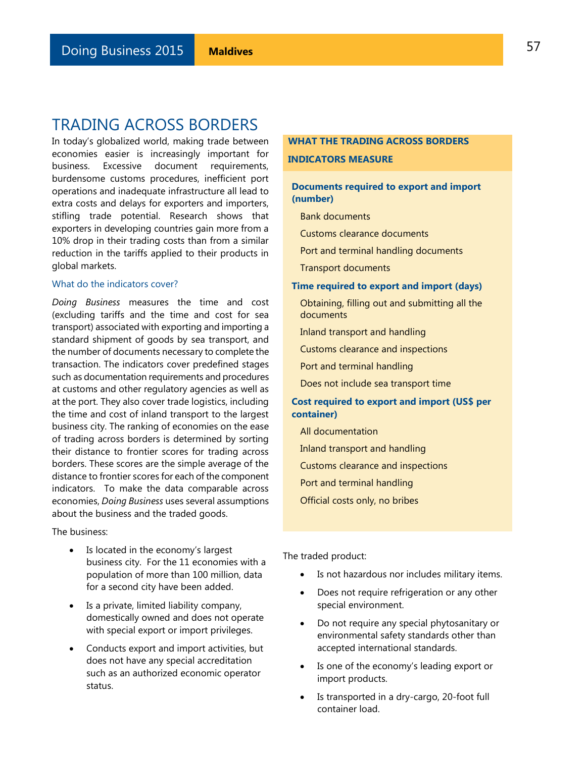# TRADING ACROSS BORDERS

In today's globalized world, making trade between economies easier is increasingly important for business. Excessive document requirements, burdensome customs procedures, inefficient port operations and inadequate infrastructure all lead to extra costs and delays for exporters and importers, stifling trade potential. Research shows that exporters in developing countries gain more from a 10% drop in their trading costs than from a similar reduction in the tariffs applied to their products in global markets.

### What do the indicators cover?

*Doing Business* measures the time and cost (excluding tariffs and the time and cost for sea transport) associated with exporting and importing a standard shipment of goods by sea transport, and the number of documents necessary to complete the transaction. The indicators cover predefined stages such as documentation requirements and procedures at customs and other regulatory agencies as well as at the port. They also cover trade logistics, including the time and cost of inland transport to the largest business city. The ranking of economies on the ease of trading across borders is determined by sorting their distance to frontier scores for trading across borders. These scores are the simple average of the distance to frontier scores for each of the component indicators. To make the data comparable across economies, *Doing Business* uses several assumptions about the business and the traded goods.

The business:

- Is located in the economy's largest business city. For the 11 economies with a population of more than 100 million, data for a second city have been added.
- Is a private, limited liability company, domestically owned and does not operate with special export or import privileges.
- Conducts export and import activities, but does not have any special accreditation such as an authorized economic operator status.

## **WHAT THE TRADING ACROSS BORDERS INDICATORS MEASURE**

### **Documents required to export and import (number)**

Bank documents

Customs clearance documents

- Port and terminal handling documents
- Transport documents

#### **Time required to export and import (days)**

Obtaining, filling out and submitting all the documents

Inland transport and handling

Customs clearance and inspections

Port and terminal handling

Does not include sea transport time

### **Cost required to export and import (US\$ per container)**

All documentation

Inland transport and handling

Customs clearance and inspections

Port and terminal handling

Official costs only, no bribes

The traded product:

- Is not hazardous nor includes military items.
- Does not require refrigeration or any other special environment.
- Do not require any special phytosanitary or environmental safety standards other than accepted international standards.
- Is one of the economy's leading export or import products.
- Is transported in a dry-cargo, 20-foot full container load.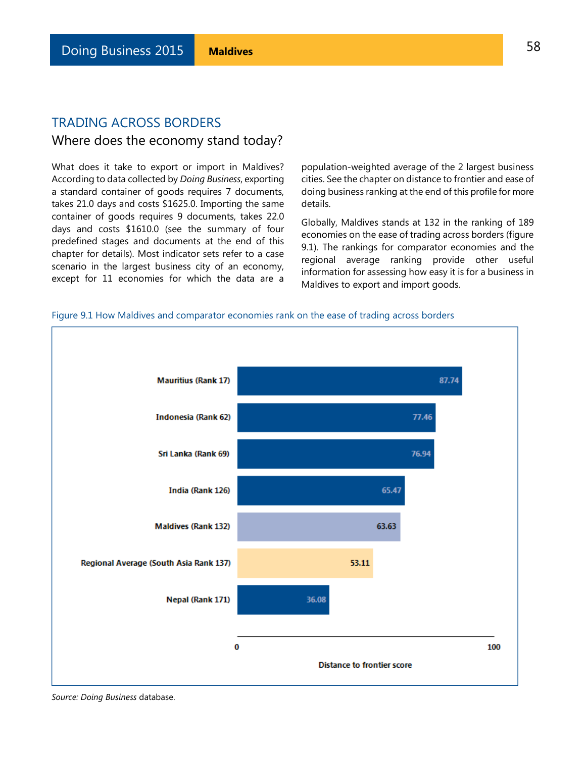### TRADING ACROSS BORDERS

### Where does the economy stand today?

What does it take to export or import in Maldives? According to data collected by *Doing Business*, exporting a standard container of goods requires 7 documents, takes 21.0 days and costs \$1625.0. Importing the same container of goods requires 9 documents, takes 22.0 days and costs \$1610.0 (see the summary of four predefined stages and documents at the end of this chapter for details). Most indicator sets refer to a case scenario in the largest business city of an economy, except for 11 economies for which the data are a

population-weighted average of the 2 largest business cities. See the chapter on distance to frontier and ease of doing business ranking at the end of this profile for more details.

Globally, Maldives stands at 132 in the ranking of 189 economies on the ease of trading across borders (figure 9.1). The rankings for comparator economies and the regional average ranking provide other useful information for assessing how easy it is for a business in Maldives to export and import goods.





*Source: Doing Business* database.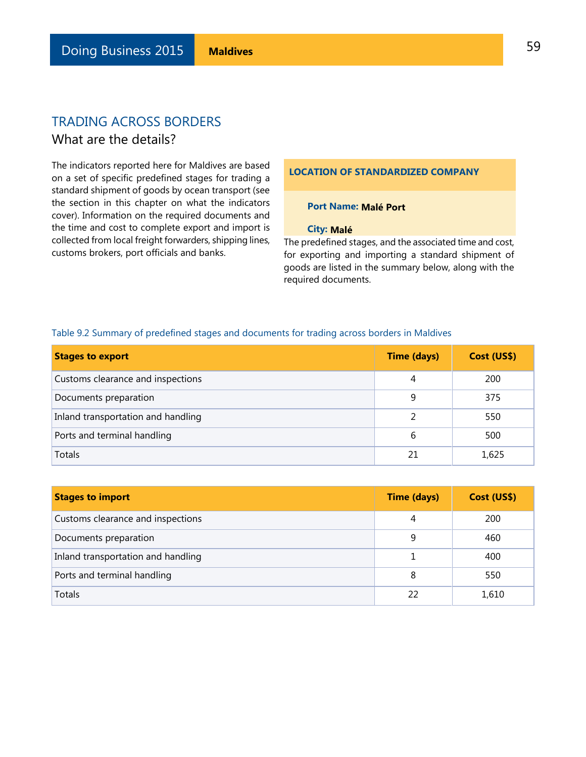# TRADING ACROSS BORDERS What are the details?

The indicators reported here for Maldives are based on a set of specific predefined stages for trading a standard shipment of goods by ocean transport (see the section in this chapter on what the indicators cover). Information on the required documents and the time and cost to complete export and import is collected from local freight forwarders, shipping lines, customs brokers, port officials and banks.

### **LOCATION OF STANDARDIZED COMPANY**

### **Port Name: Malé Port**

#### **City: Malé**

The predefined stages, and the associated time and cost, for exporting and importing a standard shipment of goods are listed in the summary below, along with the required documents.

| <b>Stages to export</b>            | <b>Time (days)</b> | Cost (US\$) |
|------------------------------------|--------------------|-------------|
| Customs clearance and inspections  | 4                  | 200         |
| Documents preparation              | 9                  | 375         |
| Inland transportation and handling | 2                  | 550         |
| Ports and terminal handling        | 6                  | 500         |
| Totals                             | 21                 | 1,625       |

#### Table 9.2 Summary of predefined stages and documents for trading across borders in Maldives

| <b>Stages to import</b>            | <b>Time (days)</b> | Cost (US\$) |
|------------------------------------|--------------------|-------------|
| Customs clearance and inspections  | 4                  | 200         |
| Documents preparation              | 9                  | 460         |
| Inland transportation and handling |                    | 400         |
| Ports and terminal handling        | 8                  | 550         |
| Totals                             | 22                 | 1,610       |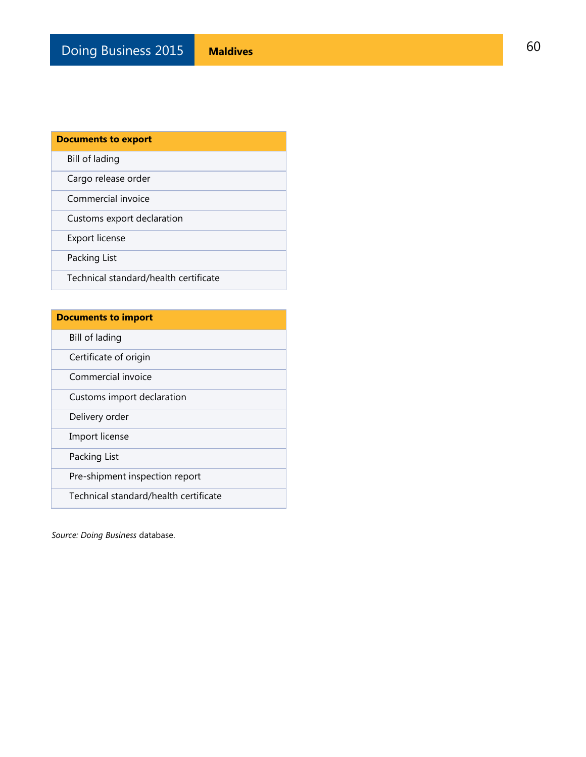| <b>Documents to export</b>            |
|---------------------------------------|
| Bill of lading                        |
| Cargo release order                   |
| Commercial invoice                    |
| Customs export declaration            |
| Export license                        |
| Packing List                          |
| Technical standard/health certificate |

| <b>Documents to import</b>            |
|---------------------------------------|
| Bill of lading                        |
| Certificate of origin                 |
| Commercial invoice                    |
| Customs import declaration            |
| Delivery order                        |
| Import license                        |
| Packing List                          |
| Pre-shipment inspection report        |
| Technical standard/health certificate |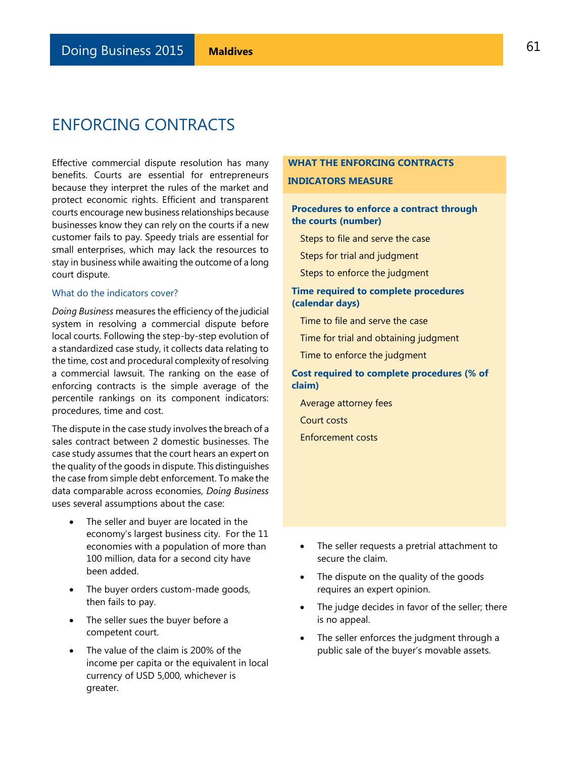# ENFORCING CONTRACTS

Effective commercial dispute resolution has many benefits. Courts are essential for entrepreneurs because they interpret the rules of the market and protect economic rights. Efficient and transparent courts encourage new business relationships because businesses know they can rely on the courts if a new customer fails to pay. Speedy trials are essential for small enterprises, which may lack the resources to stay in business while awaiting the outcome of a long court dispute.

### What do the indicators cover?

*Doing Business* measures the efficiency of the judicial system in resolving a commercial dispute before local courts. Following the step-by-step evolution of a standardized case study, it collects data relating to the time, cost and procedural complexity of resolving a commercial lawsuit. The ranking on the ease of enforcing contracts is the simple average of the percentile rankings on its component indicators: procedures, time and cost.

The dispute in the case study involves the breach of a sales contract between 2 domestic businesses. The case study assumes that the court hears an expert on the quality of the goods in dispute. This distinguishes the case from simple debt enforcement. To make the data comparable across economies, *Doing Business* uses several assumptions about the case:

- The seller and buyer are located in the economy's largest business city. For the 11 economies with a population of more than 100 million, data for a second city have been added.
- The buyer orders custom-made goods, then fails to pay.
- The seller sues the buyer before a competent court.
- The value of the claim is 200% of the income per capita or the equivalent in local currency of USD 5,000, whichever is greater.

### **WHAT THE ENFORCING CONTRACTS**

#### **INDICATORS MEASURE**

### **Procedures to enforce a contract through the courts (number)**

Steps to file and serve the case

Steps for trial and judgment

Steps to enforce the judgment

### **Time required to complete procedures (calendar days)**

Time to file and serve the case

Time for trial and obtaining judgment

Time to enforce the judgment

### **Cost required to complete procedures (% of claim)**

Average attorney fees

Court costs

Enforcement costs

- The seller requests a pretrial attachment to secure the claim.
- The dispute on the quality of the goods requires an expert opinion.
- The judge decides in favor of the seller; there is no appeal.
- The seller enforces the judgment through a public sale of the buyer's movable assets.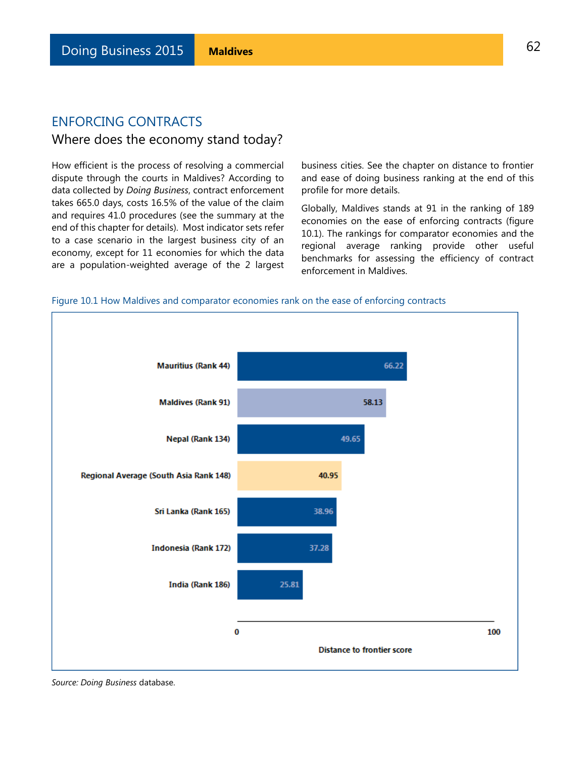# ENFORCING CONTRACTS

# Where does the economy stand today?

How efficient is the process of resolving a commercial dispute through the courts in Maldives? According to data collected by *Doing Business*, contract enforcement takes 665.0 days, costs 16.5% of the value of the claim and requires 41.0 procedures (see the summary at the end of this chapter for details). Most indicator sets refer to a case scenario in the largest business city of an economy, except for 11 economies for which the data are a population-weighted average of the 2 largest

business cities. See the chapter on distance to frontier and ease of doing business ranking at the end of this profile for more details.

Globally, Maldives stands at 91 in the ranking of 189 economies on the ease of enforcing contracts (figure 10.1). The rankings for comparator economies and the regional average ranking provide other useful benchmarks for assessing the efficiency of contract enforcement in Maldives.

### Figure 10.1 How Maldives and comparator economies rank on the ease of enforcing contracts

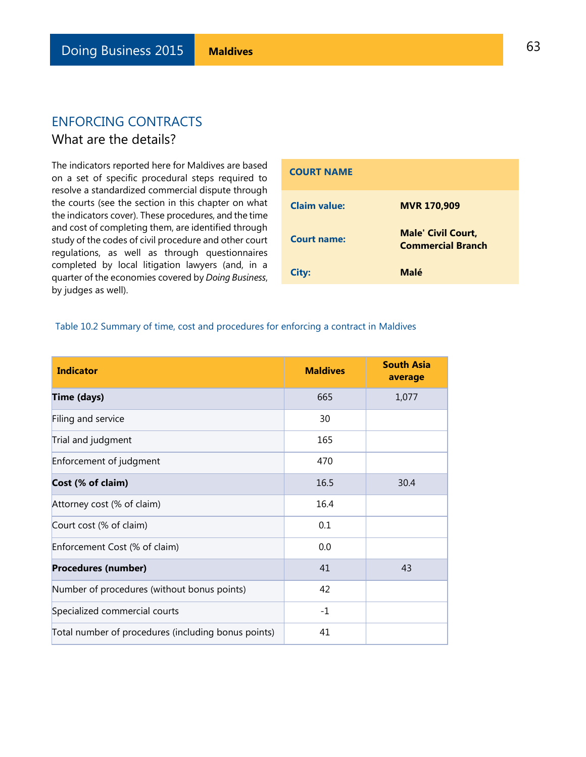# ENFORCING CONTRACTS What are the details?

The indicators reported here for Maldives are based on a set of specific procedural steps required to resolve a standardized commercial dispute through the courts (see the section in this chapter on what the indicators cover). These procedures, and the time and cost of completing them, are identified through study of the codes of civil procedure and other court regulations, as well as through questionnaires completed by local litigation lawyers (and, in a quarter of the economies covered by *Doing Business*, by judges as well).

| <b>COURT NAME</b>   |                                                       |
|---------------------|-------------------------------------------------------|
| <b>Claim value:</b> | <b>MVR 170,909</b>                                    |
| Court name:         | <b>Male' Civil Court,</b><br><b>Commercial Branch</b> |
| City:               | Malé                                                  |

### Table 10.2 Summary of time, cost and procedures for enforcing a contract in Maldives

| <b>Indicator</b>                                    | <b>Maldives</b> | <b>South Asia</b><br>average |
|-----------------------------------------------------|-----------------|------------------------------|
| <b>Time (days)</b>                                  | 665             | 1,077                        |
| Filing and service                                  | 30              |                              |
| Trial and judgment                                  | 165             |                              |
| Enforcement of judgment                             | 470             |                              |
| Cost (% of claim)                                   | 16.5            | 30.4                         |
| Attorney cost (% of claim)                          | 16.4            |                              |
| Court cost (% of claim)                             | 0.1             |                              |
| Enforcement Cost (% of claim)                       | 0.0             |                              |
| <b>Procedures (number)</b>                          | 41              | 43                           |
| Number of procedures (without bonus points)         | 42              |                              |
| Specialized commercial courts                       | $-1$            |                              |
| Total number of procedures (including bonus points) | 41              |                              |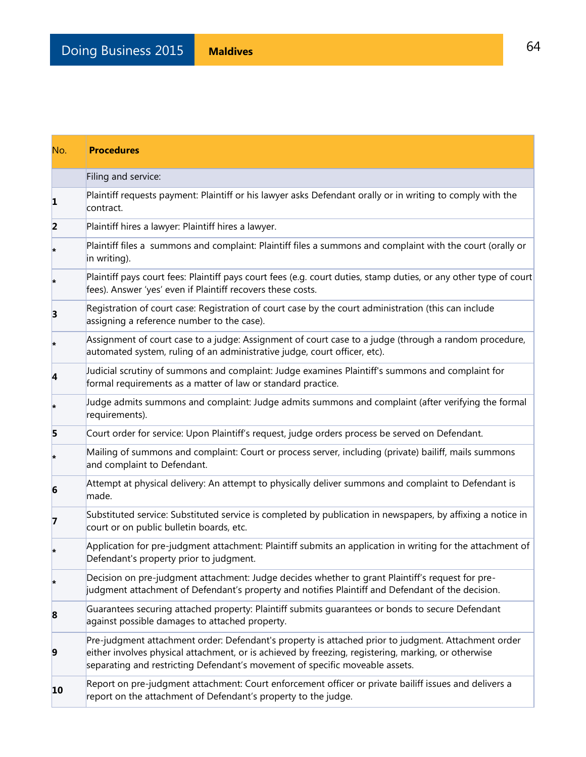| No.                     | <b>Procedures</b>                                                                                                                                                                                                                                                                          |
|-------------------------|--------------------------------------------------------------------------------------------------------------------------------------------------------------------------------------------------------------------------------------------------------------------------------------------|
|                         | Filing and service:                                                                                                                                                                                                                                                                        |
| 1                       | Plaintiff requests payment: Plaintiff or his lawyer asks Defendant orally or in writing to comply with the<br>contract.                                                                                                                                                                    |
| $\overline{\mathbf{2}}$ | Plaintiff hires a lawyer: Plaintiff hires a lawyer.                                                                                                                                                                                                                                        |
| $\ast$                  | Plaintiff files a summons and complaint: Plaintiff files a summons and complaint with the court (orally or<br>in writing).                                                                                                                                                                 |
|                         | Plaintiff pays court fees: Plaintiff pays court fees (e.g. court duties, stamp duties, or any other type of court<br>fees). Answer 'yes' even if Plaintiff recovers these costs.                                                                                                           |
| 3                       | Registration of court case: Registration of court case by the court administration (this can include<br>assigning a reference number to the case).                                                                                                                                         |
| $\ast$                  | Assignment of court case to a judge: Assignment of court case to a judge (through a random procedure,<br>automated system, ruling of an administrative judge, court officer, etc).                                                                                                         |
| 4                       | Judicial scrutiny of summons and complaint: Judge examines Plaintiff's summons and complaint for<br>formal requirements as a matter of law or standard practice.                                                                                                                           |
| $\ast$                  | Judge admits summons and complaint: Judge admits summons and complaint (after verifying the formal<br>requirements).                                                                                                                                                                       |
| 5                       | Court order for service: Upon Plaintiff's request, judge orders process be served on Defendant.                                                                                                                                                                                            |
| ×                       | Mailing of summons and complaint: Court or process server, including (private) bailiff, mails summons<br>and complaint to Defendant.                                                                                                                                                       |
| 6                       | Attempt at physical delivery: An attempt to physically deliver summons and complaint to Defendant is<br>made.                                                                                                                                                                              |
| 7                       | Substituted service: Substituted service is completed by publication in newspapers, by affixing a notice in<br>court or on public bulletin boards, etc.                                                                                                                                    |
| $\ast$                  | Application for pre-judgment attachment: Plaintiff submits an application in writing for the attachment of<br>Defendant's property prior to judgment.                                                                                                                                      |
|                         | Decision on pre-judgment attachment: Judge decides whether to grant Plaintiff's request for pre-<br>judgment attachment of Defendant's property and notifies Plaintiff and Defendant of the decision.                                                                                      |
| 8                       | Guarantees securing attached property: Plaintiff submits guarantees or bonds to secure Defendant<br>against possible damages to attached property.                                                                                                                                         |
| 9                       | Pre-judgment attachment order: Defendant's property is attached prior to judgment. Attachment order<br>either involves physical attachment, or is achieved by freezing, registering, marking, or otherwise<br>separating and restricting Defendant's movement of specific moveable assets. |
| 10                      | Report on pre-judgment attachment: Court enforcement officer or private bailiff issues and delivers a<br>report on the attachment of Defendant's property to the judge.                                                                                                                    |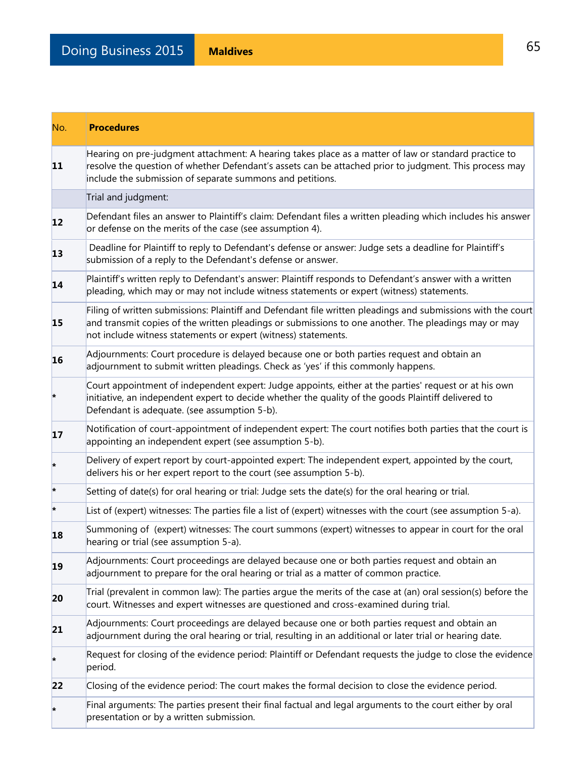| No.                    | <b>Procedures</b>                                                                                                                                                                                                                                                                      |
|------------------------|----------------------------------------------------------------------------------------------------------------------------------------------------------------------------------------------------------------------------------------------------------------------------------------|
| 11                     | Hearing on pre-judgment attachment: A hearing takes place as a matter of law or standard practice to<br>resolve the question of whether Defendant's assets can be attached prior to judgment. This process may<br>include the submission of separate summons and petitions.            |
|                        | Trial and judgment:                                                                                                                                                                                                                                                                    |
| 12                     | Defendant files an answer to Plaintiff's claim: Defendant files a written pleading which includes his answer<br>or defense on the merits of the case (see assumption 4).                                                                                                               |
| 13                     | Deadline for Plaintiff to reply to Defendant's defense or answer: Judge sets a deadline for Plaintiff's<br>submission of a reply to the Defendant's defense or answer.                                                                                                                 |
| 14                     | Plaintiff's written reply to Defendant's answer: Plaintiff responds to Defendant's answer with a written<br>pleading, which may or may not include witness statements or expert (witness) statements.                                                                                  |
| 15                     | Filing of written submissions: Plaintiff and Defendant file written pleadings and submissions with the court<br>and transmit copies of the written pleadings or submissions to one another. The pleadings may or may<br>not include witness statements or expert (witness) statements. |
| 16                     | Adjournments: Court procedure is delayed because one or both parties request and obtain an<br>adjournment to submit written pleadings. Check as 'yes' if this commonly happens.                                                                                                        |
| $\ast$                 | Court appointment of independent expert: Judge appoints, either at the parties' request or at his own<br>initiative, an independent expert to decide whether the quality of the goods Plaintiff delivered to<br>Defendant is adequate. (see assumption 5-b).                           |
| 17                     | Notification of court-appointment of independent expert: The court notifies both parties that the court is<br>appointing an independent expert (see assumption 5-b).                                                                                                                   |
| ×                      | Delivery of expert report by court-appointed expert: The independent expert, appointed by the court,<br>delivers his or her expert report to the court (see assumption 5-b).                                                                                                           |
| $\left  \cdot \right $ | Setting of date(s) for oral hearing or trial: Judge sets the date(s) for the oral hearing or trial.                                                                                                                                                                                    |
| $\ast$                 | List of (expert) witnesses: The parties file a list of (expert) witnesses with the court (see assumption 5-a).                                                                                                                                                                         |
| 18                     | Summoning of (expert) witnesses: The court summons (expert) witnesses to appear in court for the oral<br>hearing or trial (see assumption 5-a).                                                                                                                                        |
| 19                     | Adjournments: Court proceedings are delayed because one or both parties request and obtain an<br>adjournment to prepare for the oral hearing or trial as a matter of common practice.                                                                                                  |
| 20                     | Trial (prevalent in common law): The parties argue the merits of the case at (an) oral session(s) before the<br>court. Witnesses and expert witnesses are questioned and cross-examined during trial.                                                                                  |
| 21                     | Adjournments: Court proceedings are delayed because one or both parties request and obtain an<br>adjournment during the oral hearing or trial, resulting in an additional or later trial or hearing date.                                                                              |
| ŀ.                     | Request for closing of the evidence period: Plaintiff or Defendant requests the judge to close the evidence<br>period.                                                                                                                                                                 |
| 22                     | Closing of the evidence period: The court makes the formal decision to close the evidence period.                                                                                                                                                                                      |
|                        | Final arguments: The parties present their final factual and legal arguments to the court either by oral<br>presentation or by a written submission.                                                                                                                                   |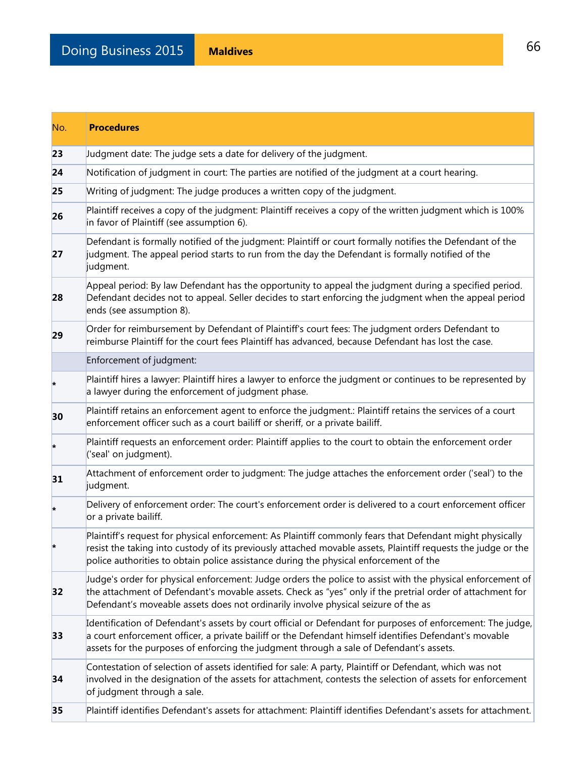| No. | <b>Procedures</b>                                                                                                                                                                                                                                                                                                   |
|-----|---------------------------------------------------------------------------------------------------------------------------------------------------------------------------------------------------------------------------------------------------------------------------------------------------------------------|
| 23  | Judgment date: The judge sets a date for delivery of the judgment.                                                                                                                                                                                                                                                  |
| 24  | Notification of judgment in court: The parties are notified of the judgment at a court hearing.                                                                                                                                                                                                                     |
| 25  | Writing of judgment: The judge produces a written copy of the judgment.                                                                                                                                                                                                                                             |
| 26  | Plaintiff receives a copy of the judgment: Plaintiff receives a copy of the written judgment which is 100%<br>in favor of Plaintiff (see assumption 6).                                                                                                                                                             |
| 27  | Defendant is formally notified of the judgment: Plaintiff or court formally notifies the Defendant of the<br>judgment. The appeal period starts to run from the day the Defendant is formally notified of the<br>judgment.                                                                                          |
| 28  | Appeal period: By law Defendant has the opportunity to appeal the judgment during a specified period.<br>Defendant decides not to appeal. Seller decides to start enforcing the judgment when the appeal period<br>ends (see assumption 8).                                                                         |
| 29  | Order for reimbursement by Defendant of Plaintiff's court fees: The judgment orders Defendant to<br>reimburse Plaintiff for the court fees Plaintiff has advanced, because Defendant has lost the case.                                                                                                             |
|     | Enforcement of judgment:                                                                                                                                                                                                                                                                                            |
| ×   | Plaintiff hires a lawyer: Plaintiff hires a lawyer to enforce the judgment or continues to be represented by<br>a lawyer during the enforcement of judgment phase.                                                                                                                                                  |
| 30  | Plaintiff retains an enforcement agent to enforce the judgment.: Plaintiff retains the services of a court<br>enforcement officer such as a court bailiff or sheriff, or a private bailiff.                                                                                                                         |
| ×   | Plaintiff requests an enforcement order: Plaintiff applies to the court to obtain the enforcement order<br>('seal' on judgment).                                                                                                                                                                                    |
| 31  | Attachment of enforcement order to judgment: The judge attaches the enforcement order ('seal') to the<br>judgment.                                                                                                                                                                                                  |
|     | Delivery of enforcement order: The court's enforcement order is delivered to a court enforcement officer<br>or a private bailiff.                                                                                                                                                                                   |
|     | Plaintiff's request for physical enforcement: As Plaintiff commonly fears that Defendant might physically<br>resist the taking into custody of its previously attached movable assets, Plaintiff requests the judge or the<br>police authorities to obtain police assistance during the physical enforcement of the |
| 32  | Judge's order for physical enforcement: Judge orders the police to assist with the physical enforcement of<br>the attachment of Defendant's movable assets. Check as "yes" only if the pretrial order of attachment for<br>Defendant's moveable assets does not ordinarily involve physical seizure of the as       |
| 33  | Identification of Defendant's assets by court official or Defendant for purposes of enforcement: The judge,<br>a court enforcement officer, a private bailiff or the Defendant himself identifies Defendant's movable<br>assets for the purposes of enforcing the judgment through a sale of Defendant's assets.    |
| 34  | Contestation of selection of assets identified for sale: A party, Plaintiff or Defendant, which was not<br>involved in the designation of the assets for attachment, contests the selection of assets for enforcement<br>of judgment through a sale.                                                                |
| 35  | Plaintiff identifies Defendant's assets for attachment: Plaintiff identifies Defendant's assets for attachment.                                                                                                                                                                                                     |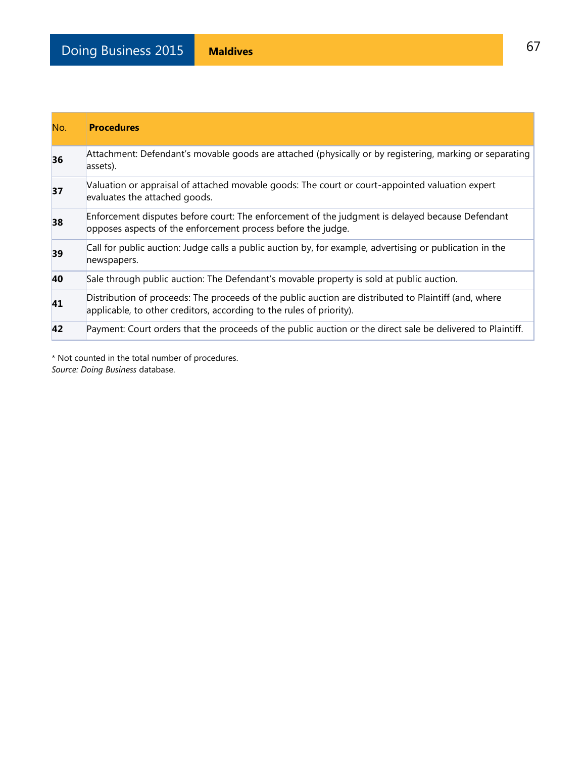| No. | <b>Procedures</b>                                                                                                                                                             |
|-----|-------------------------------------------------------------------------------------------------------------------------------------------------------------------------------|
| 36  | Attachment: Defendant's movable goods are attached (physically or by registering, marking or separating<br>assets).                                                           |
| 37  | Valuation or appraisal of attached movable goods: The court or court-appointed valuation expert<br>evaluates the attached goods.                                              |
| 38  | Enforcement disputes before court: The enforcement of the judgment is delayed because Defendant<br>opposes aspects of the enforcement process before the judge.               |
| 39  | Call for public auction: Judge calls a public auction by, for example, advertising or publication in the<br>newspapers.                                                       |
| 40  | Sale through public auction: The Defendant's movable property is sold at public auction.                                                                                      |
| 41  | Distribution of proceeds: The proceeds of the public auction are distributed to Plaintiff (and, where<br>applicable, to other creditors, according to the rules of priority). |
| 42  | Payment: Court orders that the proceeds of the public auction or the direct sale be delivered to Plaintiff.                                                                   |

\* Not counted in the total number of procedures. *Source: Doing Business* database.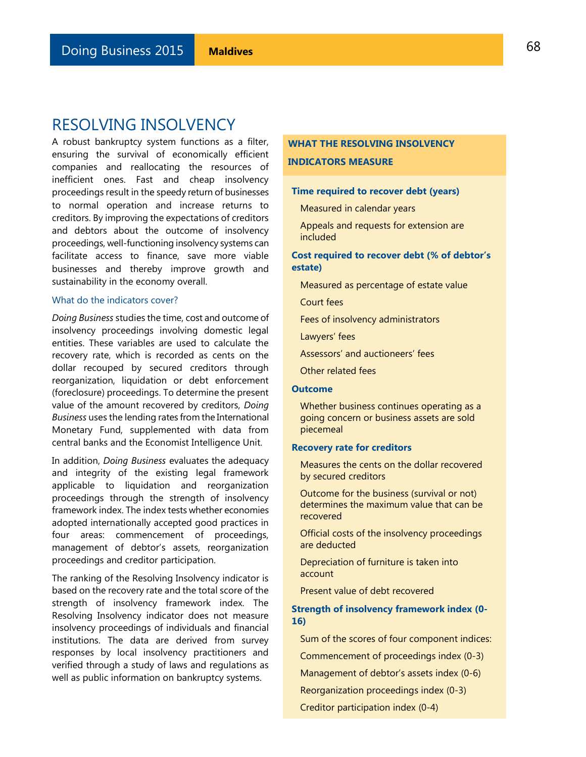# RESOLVING INSOLVENCY

A robust bankruptcy system functions as a filter, ensuring the survival of economically efficient companies and reallocating the resources of inefficient ones. Fast and cheap insolvency proceedings result in the speedy return of businesses to normal operation and increase returns to creditors. By improving the expectations of creditors and debtors about the outcome of insolvency proceedings, well-functioning insolvency systems can facilitate access to finance, save more viable businesses and thereby improve growth and sustainability in the economy overall.

### What do the indicators cover?

*Doing Business* studies the time, cost and outcome of insolvency proceedings involving domestic legal entities. These variables are used to calculate the recovery rate, which is recorded as cents on the dollar recouped by secured creditors through reorganization, liquidation or debt enforcement (foreclosure) proceedings. To determine the present value of the amount recovered by creditors, *Doing Business* uses the lending rates from the International Monetary Fund, supplemented with data from central banks and the Economist Intelligence Unit.

In addition, *Doing Business* evaluates the adequacy and integrity of the existing legal framework applicable to liquidation and reorganization proceedings through the strength of insolvency framework index. The index tests whether economies adopted internationally accepted good practices in four areas: commencement of proceedings, management of debtor's assets, reorganization proceedings and creditor participation.

The ranking of the Resolving Insolvency indicator is based on the recovery rate and the total score of the strength of insolvency framework index. The Resolving Insolvency indicator does not measure insolvency proceedings of individuals and financial institutions. The data are derived from survey responses by local insolvency practitioners and verified through a study of laws and regulations as well as public information on bankruptcy systems.

### **WHAT THE RESOLVING INSOLVENCY INDICATORS MEASURE**

### **Time required to recover debt (years)**

Measured in calendar years

Appeals and requests for extension are included

### **Cost required to recover debt (% of debtor's estate)**

Measured as percentage of estate value

Court fees

Fees of insolvency administrators

Lawyers' fees

Assessors' and auctioneers' fees

Other related fees

### **Outcome**

Whether business continues operating as a going concern or business assets are sold piecemeal

#### **Recovery rate for creditors**

Measures the cents on the dollar recovered by secured creditors

Outcome for the business (survival or not) determines the maximum value that can be recovered

Official costs of the insolvency proceedings are deducted

Depreciation of furniture is taken into account

Present value of debt recovered

### **Strength of insolvency framework index (0- 16)**

Sum of the scores of four component indices:

Commencement of proceedings index (0-3)

Management of debtor's assets index (0-6)

Reorganization proceedings index (0-3)

Creditor participation index (0-4)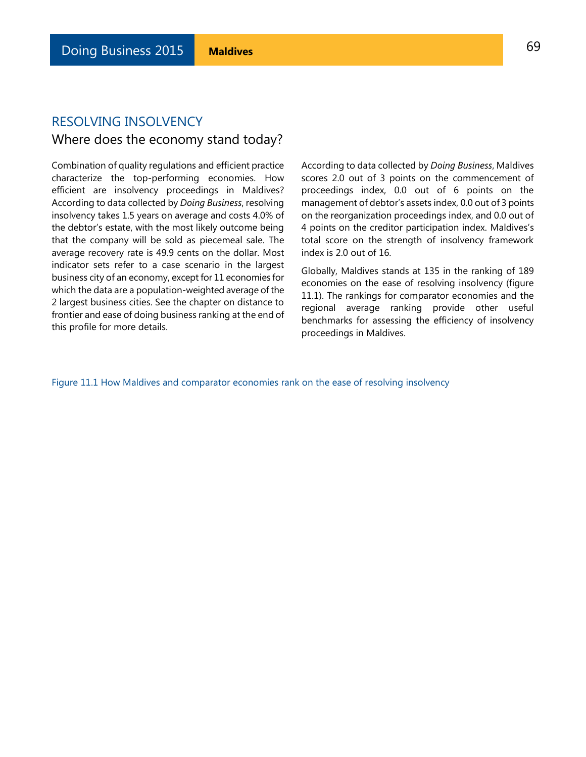# RESOLVING INSOLVENCY

# Where does the economy stand today?

Combination of quality regulations and efficient practice characterize the top-performing economies. How efficient are insolvency proceedings in Maldives? According to data collected by *Doing Business*, resolving insolvency takes 1.5 years on average and costs 4.0% of the debtor's estate, with the most likely outcome being that the company will be sold as piecemeal sale. The average recovery rate is 49.9 cents on the dollar. Most indicator sets refer to a case scenario in the largest business city of an economy, except for 11 economies for which the data are a population-weighted average of the 2 largest business cities. See the chapter on distance to frontier and ease of doing business ranking at the end of this profile for more details.

According to data collected by *Doing Business*, Maldives scores 2.0 out of 3 points on the commencement of proceedings index, 0.0 out of 6 points on the management of debtor's assets index, 0.0 out of 3 points on the reorganization proceedings index, and 0.0 out of 4 points on the creditor participation index. Maldives's total score on the strength of insolvency framework index is 2.0 out of 16.

Globally, Maldives stands at 135 in the ranking of 189 economies on the ease of resolving insolvency (figure 11.1). The rankings for comparator economies and the regional average ranking provide other useful benchmarks for assessing the efficiency of insolvency proceedings in Maldives.

Figure 11.1 How Maldives and comparator economies rank on the ease of resolving insolvency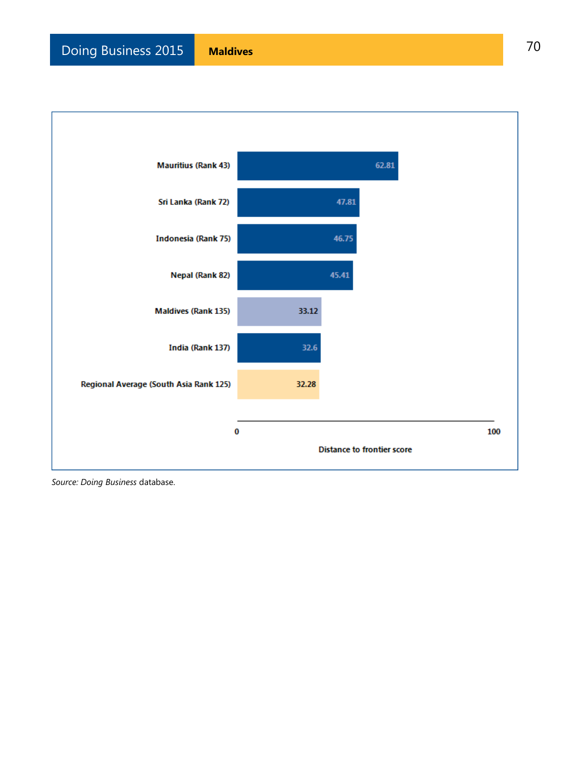

*Source: Doing Business* database.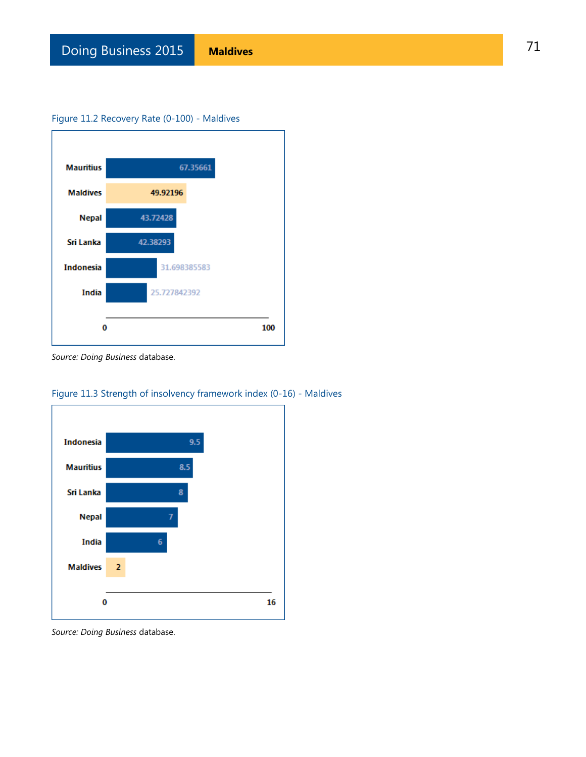### Figure 11.2 Recovery Rate (0-100) - Maldives



*Source: Doing Business* database.



Figure 11.3 Strength of insolvency framework index (0-16) - Maldives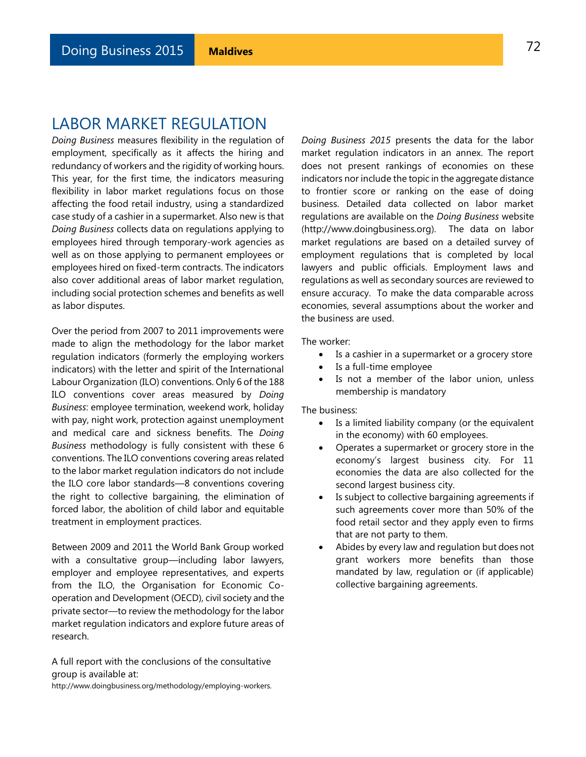# LABOR MARKET REGULATION

*Doing Business* measures flexibility in the regulation of employment, specifically as it affects the hiring and redundancy of workers and the rigidity of working hours. This year, for the first time, the indicators measuring flexibility in labor market regulations focus on those affecting the food retail industry, using a standardized case study of a cashier in a supermarket. Also new is that *Doing Business* collects data on regulations applying to employees hired through temporary-work agencies as well as on those applying to permanent employees or employees hired on fixed-term contracts. The indicators also cover additional areas of labor market regulation, including social protection schemes and benefits as well as labor disputes.

Over the period from 2007 to 2011 improvements were made to align the methodology for the labor market regulation indicators (formerly the employing workers indicators) with the letter and spirit of the International Labour Organization (ILO) conventions. Only 6 of the 188 ILO conventions cover areas measured by *Doing Business*: employee termination, weekend work, holiday with pay, night work, protection against unemployment and medical care and sickness benefits. The *Doing Business* methodology is fully consistent with these 6 conventions. The ILO conventions covering areas related to the labor market regulation indicators do not include the ILO core labor standards—8 conventions covering the right to collective bargaining, the elimination of forced labor, the abolition of child labor and equitable treatment in employment practices.

Between 2009 and 2011 the World Bank Group worked with a consultative group—including labor lawyers, employer and employee representatives, and experts from the ILO, the Organisation for Economic Cooperation and Development (OECD), civil society and the private sector—to review the methodology for the labor market regulation indicators and explore future areas of research.

A full report with the conclusions of the consultative group is available at: [http://www.doingbusiness.org/methodology/employing-workers.](http://www.doingbusiness.org/methodology/employing-workers) *Doing Business 2015* presents the data for the labor market regulation indicators in an annex. The report does not present rankings of economies on these indicators nor include the topic in the aggregate distance to frontier score or ranking on the ease of doing business. Detailed data collected on labor market regulations are available on the *Doing Business* website (http://www.doingbusiness.org). The data on labor market regulations are based on a detailed survey of employment regulations that is completed by local lawyers and public officials. Employment laws and regulations as well as secondary sources are reviewed to ensure accuracy. To make the data comparable across economies, several assumptions about the worker and the business are used.

The worker:

- Is a cashier in a supermarket or a grocery store
- Is a full-time employee
- Is not a member of the labor union, unless membership is mandatory

The business:

- Is a limited liability company (or the equivalent in the economy) with 60 employees.
- Operates a supermarket or grocery store in the economy's largest business city. For 11 economies the data are also collected for the second largest business city.
- Is subject to collective bargaining agreements if such agreements cover more than 50% of the food retail sector and they apply even to firms that are not party to them.
- Abides by every law and regulation but does not grant workers more benefits than those mandated by law, regulation or (if applicable) collective bargaining agreements.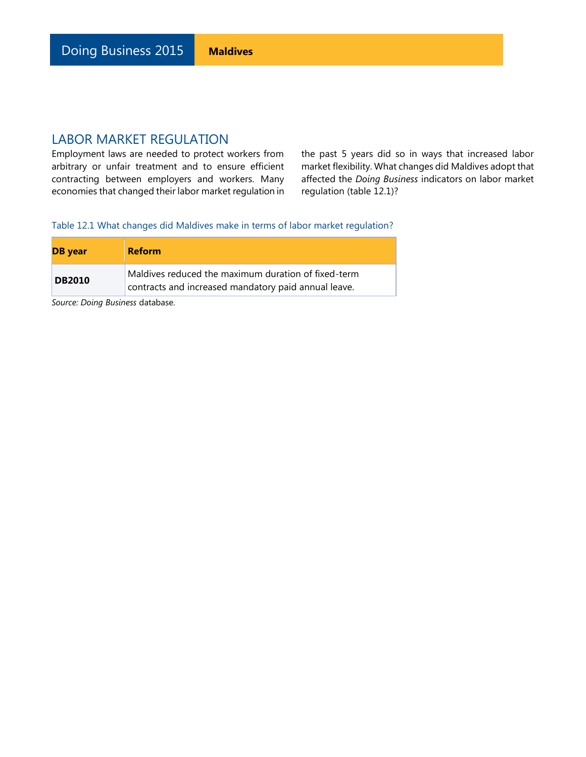Employment laws are needed to protect workers from arbitrary or unfair treatment and to ensure efficient contracting between employers and workers. Many economies that changed their labor market regulation in

the past 5 years did so in ways that increased labor market flexibility. What changes did Maldives adopt that affected the *Doing Business* indicators on labor market regulation (table 12.1)?

Table 12.1 What changes did Maldives make in terms of labor market regulation?

| <b>DB</b> year | <b>Reform</b>                                                                                               |
|----------------|-------------------------------------------------------------------------------------------------------------|
| <b>DB2010</b>  | Maldives reduced the maximum duration of fixed-term<br>contracts and increased mandatory paid annual leave. |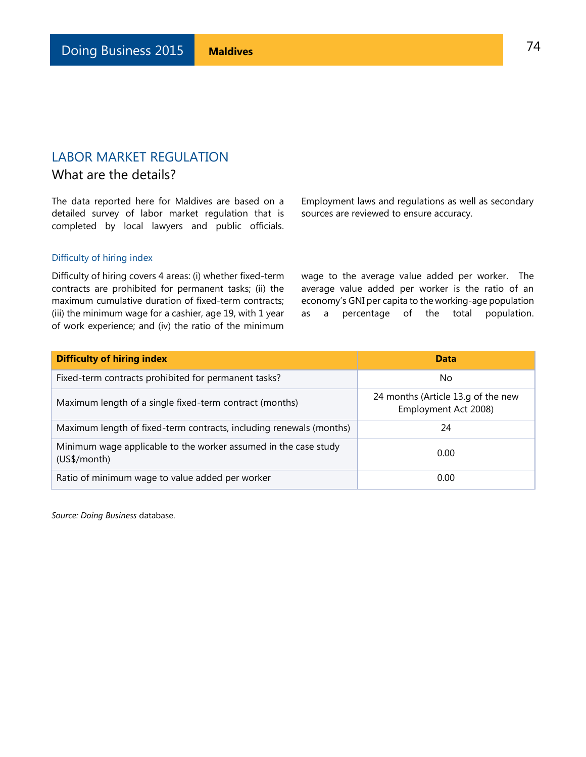## What are the details?

The data reported here for Maldives are based on a detailed survey of labor market regulation that is completed by local lawyers and public officials.

Employment laws and regulations as well as secondary sources are reviewed to ensure accuracy.

### Difficulty of hiring index

Difficulty of hiring covers 4 areas: (i) whether fixed-term contracts are prohibited for permanent tasks; (ii) the maximum cumulative duration of fixed-term contracts; (iii) the minimum wage for a cashier, age 19, with 1 year of work experience; and (iv) the ratio of the minimum

wage to the average value added per worker. The average value added per worker is the ratio of an economy's GNI per capita to the working-age population as a percentage of the total population.

| <b>Difficulty of hiring index</b>                                               | <b>Data</b>                                                |  |
|---------------------------------------------------------------------------------|------------------------------------------------------------|--|
| Fixed-term contracts prohibited for permanent tasks?                            | N <sub>o</sub>                                             |  |
| Maximum length of a single fixed-term contract (months)                         | 24 months (Article 13.g of the new<br>Employment Act 2008) |  |
| Maximum length of fixed-term contracts, including renewals (months)             | 24                                                         |  |
| Minimum wage applicable to the worker assumed in the case study<br>(US\$/month) | 0.00                                                       |  |
| Ratio of minimum wage to value added per worker                                 | 0.00                                                       |  |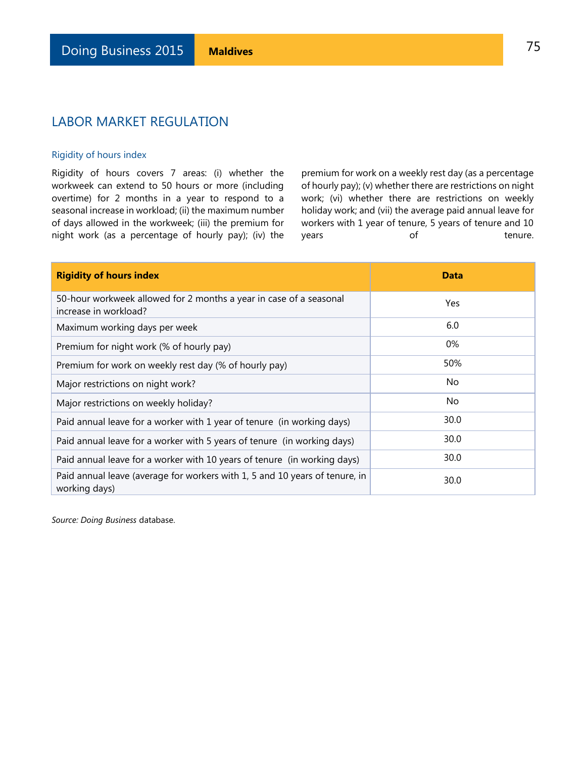### Rigidity of hours index

Rigidity of hours covers 7 areas: (i) whether the workweek can extend to 50 hours or more (including overtime) for 2 months in a year to respond to a seasonal increase in workload; (ii) the maximum number of days allowed in the workweek; (iii) the premium for night work (as a percentage of hourly pay); (iv) the

premium for work on a weekly rest day (as a percentage of hourly pay); (v) whether there are restrictions on night work; (vi) whether there are restrictions on weekly holiday work; and (vii) the average paid annual leave for workers with 1 year of tenure, 5 years of tenure and 10 years of tenure.

| <b>Rigidity of hours index</b>                                                               | <b>Data</b> |
|----------------------------------------------------------------------------------------------|-------------|
| 50-hour workweek allowed for 2 months a year in case of a seasonal<br>increase in workload?  | Yes         |
| Maximum working days per week                                                                | 6.0         |
| Premium for night work (% of hourly pay)                                                     | 0%          |
| Premium for work on weekly rest day (% of hourly pay)                                        | 50%         |
| Major restrictions on night work?                                                            | No.         |
| Major restrictions on weekly holiday?                                                        | No.         |
| Paid annual leave for a worker with 1 year of tenure (in working days)                       | 30.0        |
| Paid annual leave for a worker with 5 years of tenure (in working days)                      | 30.0        |
| Paid annual leave for a worker with 10 years of tenure (in working days)                     | 30.0        |
| Paid annual leave (average for workers with 1, 5 and 10 years of tenure, in<br>working days) | 30.0        |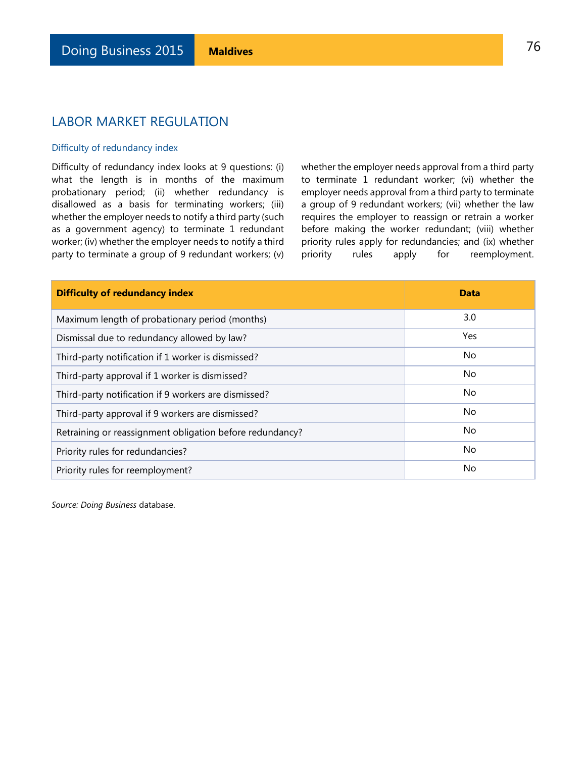### Difficulty of redundancy index

Difficulty of redundancy index looks at 9 questions: (i) what the length is in months of the maximum probationary period; (ii) whether redundancy is disallowed as a basis for terminating workers; (iii) whether the employer needs to notify a third party (such as a government agency) to terminate 1 redundant worker; (iv) whether the employer needs to notify a third party to terminate a group of 9 redundant workers; (v) whether the employer needs approval from a third party to terminate 1 redundant worker; (vi) whether the employer needs approval from a third party to terminate a group of 9 redundant workers; (vii) whether the law requires the employer to reassign or retrain a worker before making the worker redundant; (viii) whether priority rules apply for redundancies; and (ix) whether priority rules apply for reemployment.

| <b>Difficulty of redundancy index</b>                    | <b>Data</b> |
|----------------------------------------------------------|-------------|
| Maximum length of probationary period (months)           | 3.0         |
| Dismissal due to redundancy allowed by law?              | Yes         |
| Third-party notification if 1 worker is dismissed?       | No.         |
| Third-party approval if 1 worker is dismissed?           | No.         |
| Third-party notification if 9 workers are dismissed?     | No.         |
| Third-party approval if 9 workers are dismissed?         | No.         |
| Retraining or reassignment obligation before redundancy? | No.         |
| Priority rules for redundancies?                         | No          |
| Priority rules for reemployment?                         | No.         |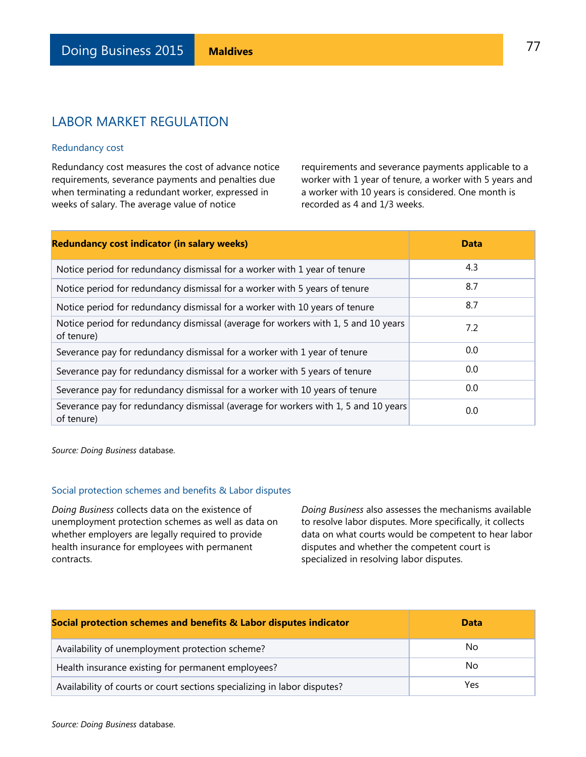#### Redundancy cost

Redundancy cost measures the cost of advance notice requirements, severance payments and penalties due when terminating a redundant worker, expressed in weeks of salary. The average value of notice

requirements and severance payments applicable to a worker with 1 year of tenure, a worker with 5 years and a worker with 10 years is considered. One month is recorded as 4 and 1/3 weeks.

| <b>Redundancy cost indicator (in salary weeks)</b>                                               | <b>Data</b> |
|--------------------------------------------------------------------------------------------------|-------------|
| Notice period for redundancy dismissal for a worker with 1 year of tenure                        | 4.3         |
| Notice period for redundancy dismissal for a worker with 5 years of tenure                       | 8.7         |
| Notice period for redundancy dismissal for a worker with 10 years of tenure                      | 8.7         |
| Notice period for redundancy dismissal (average for workers with 1, 5 and 10 years<br>of tenure) | 7.2         |
| Severance pay for redundancy dismissal for a worker with 1 year of tenure                        | 0.0         |
| Severance pay for redundancy dismissal for a worker with 5 years of tenure                       | 0.0         |
| Severance pay for redundancy dismissal for a worker with 10 years of tenure                      | 0.0         |
| Severance pay for redundancy dismissal (average for workers with 1, 5 and 10 years<br>of tenure) | 0.0         |

*Source: Doing Business* database.

### Social protection schemes and benefits & Labor disputes

*Doing Business* collects data on the existence of unemployment protection schemes as well as data on whether employers are legally required to provide health insurance for employees with permanent contracts.

*Doing Business* also assesses the mechanisms available to resolve labor disputes. More specifically, it collects data on what courts would be competent to hear labor disputes and whether the competent court is specialized in resolving labor disputes.

| Social protection schemes and benefits & Labor disputes indicator        | <b>Data</b> |
|--------------------------------------------------------------------------|-------------|
| Availability of unemployment protection scheme?                          | No.         |
| Health insurance existing for permanent employees?                       | No.         |
| Availability of courts or court sections specializing in labor disputes? | Yes         |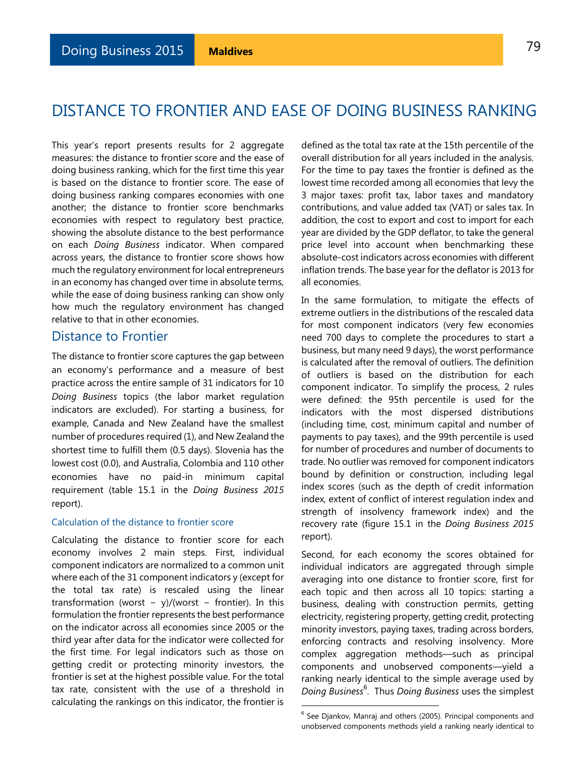# DISTANCE TO FRONTIER AND EASE OF DOING BUSINESS RANKING

This year's report presents results for 2 aggregate measures: the distance to frontier score and the ease of doing business ranking, which for the first time this year is based on the distance to frontier score. The ease of doing business ranking compares economies with one another; the distance to frontier score benchmarks economies with respect to regulatory best practice, showing the absolute distance to the best performance on each *Doing Business* indicator. When compared across years, the distance to frontier score shows how much the regulatory environment for local entrepreneurs in an economy has changed over time in absolute terms, while the ease of doing business ranking can show only how much the regulatory environment has changed relative to that in other economies.

### Distance to Frontier

The distance to frontier score captures the gap between an economy's performance and a measure of best practice across the entire sample of 31 indicators for 10 *Doing Business* topics (the labor market regulation indicators are excluded). For starting a business, for example, Canada and New Zealand have the smallest number of procedures required (1), and New Zealand the shortest time to fulfill them (0.5 days). Slovenia has the lowest cost (0.0), and Australia, Colombia and 110 other economies have no paid-in minimum capital requirement (table 15.1 in the *Doing Business 2015*  report).

#### Calculation of the distance to frontier score

Calculating the distance to frontier score for each economy involves 2 main steps. First, individual component indicators are normalized to a common unit where each of the 31 component indicators y (except for the total tax rate) is rescaled using the linear transformation (worst – y)/(worst – frontier). In this formulation the frontier represents the best performance on the indicator across all economies since 2005 or the third year after data for the indicator were collected for the first time. For legal indicators such as those on getting credit or protecting minority investors, the frontier is set at the highest possible value. For the total tax rate, consistent with the use of a threshold in calculating the rankings on this indicator, the frontier is

defined as the total tax rate at the 15th percentile of the overall distribution for all years included in the analysis. For the time to pay taxes the frontier is defined as the lowest time recorded among all economies that levy the 3 major taxes: profit tax, labor taxes and mandatory contributions, and value added tax (VAT) or sales tax. In addition, the cost to export and cost to import for each year are divided by the GDP deflator, to take the general price level into account when benchmarking these absolute-cost indicators across economies with different inflation trends. The base year for the deflator is 2013 for all economies.

In the same formulation, to mitigate the effects of extreme outliers in the distributions of the rescaled data for most component indicators (very few economies need 700 days to complete the procedures to start a business, but many need 9 days), the worst performance is calculated after the removal of outliers. The definition of outliers is based on the distribution for each component indicator. To simplify the process, 2 rules were defined: the 95th percentile is used for the indicators with the most dispersed distributions (including time, cost, minimum capital and number of payments to pay taxes), and the 99th percentile is used for number of procedures and number of documents to trade. No outlier was removed for component indicators bound by definition or construction, including legal index scores (such as the depth of credit information index, extent of conflict of interest regulation index and strength of insolvency framework index) and the recovery rate (figure 15.1 in the *Doing Business 2015* report).

Second, for each economy the scores obtained for individual indicators are aggregated through simple averaging into one distance to frontier score, first for each topic and then across all 10 topics: starting a business, dealing with construction permits, getting electricity, registering property, getting credit, protecting minority investors, paying taxes, trading across borders, enforcing contracts and resolving insolvency. More complex aggregation methods—such as principal components and unobserved components—yield a ranking nearly identical to the simple average used by *Doing Business*<sup>6</sup> . Thus *Doing Business* uses the simplest

l

<sup>&</sup>lt;sup>6</sup> See Djankov, Manraj and others (2005). Principal components and unobserved components methods yield a ranking nearly identical to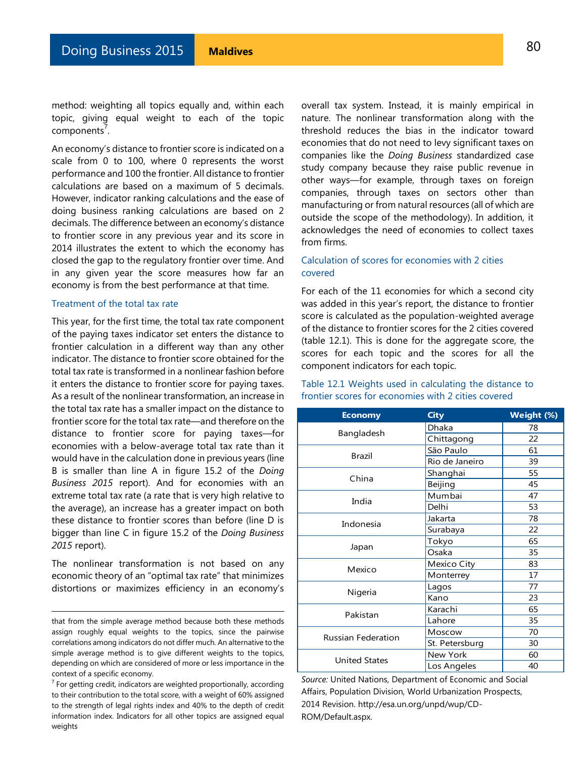method: weighting all topics equally and, within each topic, giving equal weight to each of the topic components<sup>7</sup>.

An economy's distance to frontier score is indicated on a scale from 0 to 100, where 0 represents the worst performance and 100 the frontier. All distance to frontier calculations are based on a maximum of 5 decimals. However, indicator ranking calculations and the ease of doing business ranking calculations are based on 2 decimals. The difference between an economy's distance to frontier score in any previous year and its score in 2014 illustrates the extent to which the economy has closed the gap to the regulatory frontier over time. And in any given year the score measures how far an economy is from the best performance at that time.

#### Treatment of the total tax rate

This year, for the first time, the total tax rate component of the paying taxes indicator set enters the distance to frontier calculation in a different way than any other indicator. The distance to frontier score obtained for the total tax rate is transformed in a nonlinear fashion before it enters the distance to frontier score for paying taxes. As a result of the nonlinear transformation, an increase in the total tax rate has a smaller impact on the distance to frontier score for the total tax rate—and therefore on the distance to frontier score for paying taxes—for economies with a below-average total tax rate than it would have in the calculation done in previous years (line B is smaller than line A in figure 15.2 of the *Doing Business 2015* report). And for economies with an extreme total tax rate (a rate that is very high relative to the average), an increase has a greater impact on both these distance to frontier scores than before (line D is bigger than line C in figure 15.2 of the *Doing Business 2015* report).

The nonlinear transformation is not based on any economic theory of an "optimal tax rate" that minimizes distortions or maximizes efficiency in an economy's

l

overall tax system. Instead, it is mainly empirical in nature. The nonlinear transformation along with the threshold reduces the bias in the indicator toward economies that do not need to levy significant taxes on companies like the *Doing Business* standardized case study company because they raise public revenue in other ways—for example, through taxes on foreign companies, through taxes on sectors other than manufacturing or from natural resources (all of which are outside the scope of the methodology). In addition, it acknowledges the need of economies to collect taxes from firms.

### Calculation of scores for economies with 2 cities covered

For each of the 11 economies for which a second city was added in this year's report, the distance to frontier score is calculated as the population-weighted average of the distance to frontier scores for the 2 cities covered (table 12.1). This is done for the aggregate score, the scores for each topic and the scores for all the component indicators for each topic.

### Table 12.1 Weights used in calculating the distance to frontier scores for economies with 2 cities covered

| <b>Economy</b>            | <b>City</b>    | Weight (%) |
|---------------------------|----------------|------------|
|                           | Dhaka          | 78         |
| Bangladesh                | Chittagong     | 22         |
| Brazil                    | São Paulo      | 61         |
|                           | Rio de Janeiro | 39         |
| China                     | Shanghai       | 55         |
|                           | Beijing        | 45         |
| India                     | Mumbai         | 47         |
|                           | Delhi          | 53         |
| Indonesia                 | Jakarta        | 78         |
|                           | Surabaya       | 22         |
|                           | Tokyo          | 65         |
| Japan                     | Osaka          | 35         |
|                           | Mexico City    | 83         |
| Mexico                    | Monterrey      | 17         |
|                           | Lagos          | 77         |
| Nigeria                   | Kano           | 23         |
| Pakistan                  | Karachi        | 65         |
|                           | Lahore         | 35         |
|                           | Moscow         | 70         |
| <b>Russian Federation</b> | St. Petersburg | 30         |
| <b>United States</b>      | New York       | 60         |
|                           | Los Angeles    | 40         |

*Source:* United Nations, Department of Economic and Social Affairs, Population Division, World Urbanization Prospects, 2014 Revision. http://esa.un.org/unpd/wup/CD-ROM/Default.aspx.

that from the simple average method because both these methods assign roughly equal weights to the topics, since the pairwise correlations among indicators do not differ much. An alternative to the simple average method is to give different weights to the topics, depending on which are considered of more or less importance in the context of a specific economy.

 $7$  For getting credit, indicators are weighted proportionally, according to their contribution to the total score, with a weight of 60% assigned to the strength of legal rights index and 40% to the depth of credit information index. Indicators for all other topics are assigned equal weights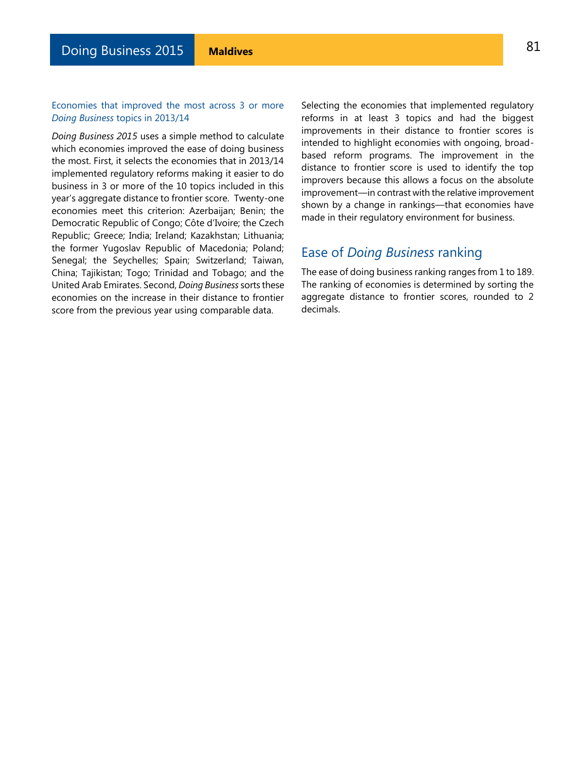### Economies that improved the most across 3 or more *Doing Business* topics in 2013/14

*Doing Business 2015* uses a simple method to calculate which economies improved the ease of doing business the most. First, it selects the economies that in 2013/14 implemented regulatory reforms making it easier to do business in 3 or more of the 10 topics included in this year's aggregate distance to frontier score. Twenty-one economies meet this criterion: Azerbaijan; Benin; the Democratic Republic of Congo; Côte d'Ivoire; the Czech Republic; Greece; India; Ireland; Kazakhstan; Lithuania; the former Yugoslav Republic of Macedonia; Poland; Senegal; the Seychelles; Spain; Switzerland; Taiwan, China; Tajikistan; Togo; Trinidad and Tobago; and the United Arab Emirates. Second, *Doing Business* sorts these economies on the increase in their distance to frontier score from the previous year using comparable data.

Selecting the economies that implemented regulatory reforms in at least 3 topics and had the biggest improvements in their distance to frontier scores is intended to highlight economies with ongoing, broadbased reform programs. The improvement in the distance to frontier score is used to identify the top improvers because this allows a focus on the absolute improvement—in contrast with the relative improvement shown by a change in rankings—that economies have made in their regulatory environment for business.

# Ease of *Doing Business* ranking

The ease of doing business ranking ranges from 1 to 189. The ranking of economies is determined by sorting the aggregate distance to frontier scores, rounded to 2 decimals.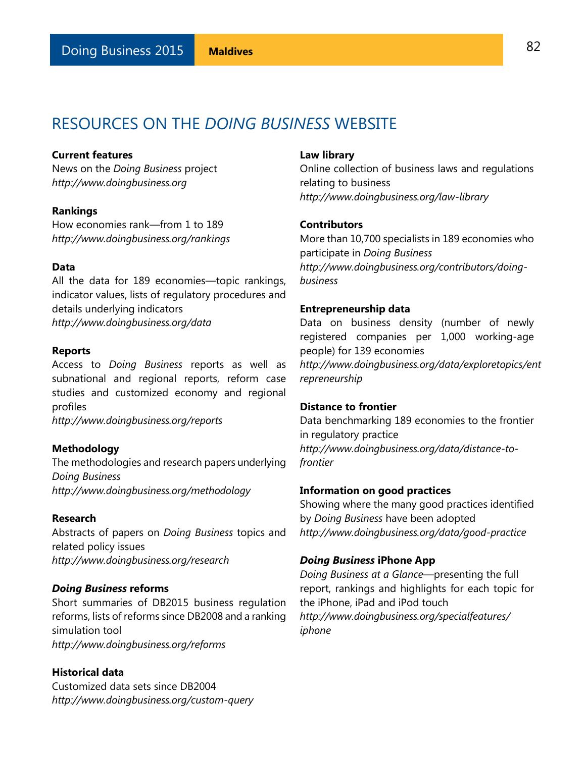# RESOURCES ON THE *DOING BUSINESS* WEBSITE

### **Current features**

News on the *Doing Business* project *http://www.doingbusiness.org* 

### **Rankings**

How economies rank—from 1 to 189 *[http://www.doingbusiness.org/rankings](http://www.doingbusiness.org/rankings/)* 

### **Data**

All the data for 189 economies—topic rankings, indicator values, lists of regulatory procedures and details underlying indicators *[http://www.doingbusiness.org/data](http://www.doingbusiness.org/data/)* 

#### **Reports**

Access to *Doing Business* reports as well as subnational and regional reports, reform case studies and customized economy and regional profiles

*[http://www.doingbusiness.org/reports](http://www.doingbusiness.org/reports/)* 

### **Methodology**

The methodologies and research papers underlying *Doing Business [http://www.doingbusiness.org/methodology](http://www.doingbusiness.org/methodology/)* 

### **Research**

Abstracts of papers on *Doing Business* topics and related policy issues *http://www.doingbusiness.org/research* 

#### *Doing Business* **reforms**

Short summaries of DB2015 business regulation reforms, lists of reforms since DB2008 and a ranking simulation tool *[http://www.doingbusiness.org/reforms](http://www.doingbusiness.org/reforms/)* 

### **Historical data**

Customized data sets since DB2004 *[http://www.doingbusiness.org/custom-query](http://www.doingbusiness.org/custom-query/)* 

### **Law library**

Online collection of business laws and regulations relating to business *http://www.doingbusiness.org/law-library* 

### **Contributors**

More than 10,700 specialists in 189 economies who participate in *Doing Business http://www.doingbusiness.org/contributors/doingbusiness* 

### **Entrepreneurship data**

Data on business density (number of newly registered companies per 1,000 working-age people) for 139 economies *[http://www.doingbusiness.org/data/exploretopics/ent](http://www.doingbusiness.org/data/exploretopics/entrepreneurship) [repreneurship](http://www.doingbusiness.org/data/exploretopics/entrepreneurship)* 

### **Distance to frontier**

Data benchmarking 189 economies to the frontier in regulatory practice *http://www.doingbusiness.org/data/distance-tofrontier* 

### **Information on good practices**

Showing where the many good practices identified by *Doing Business* have been adopted *http://www.doingbusiness.org/data/good-practice* 

### *Doing Business* **iPhone App**

*Doing Business at a Glance*—presenting the full report, rankings and highlights for each topic for the iPhone, iPad and iPod touch *http://www.doingbusiness.org/specialfeatures/ iphone*